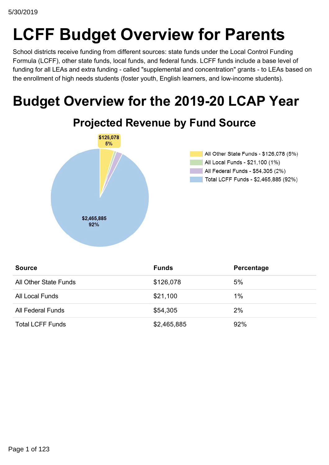# **LCFF Budget Overview for Parents**

School districts receive funding from different sources: state funds under the Local Control Funding Formula (LCFF), other state funds, local funds, and federal funds. LCFF funds include a base level of funding for all LEAs and extra funding - called "supplemental and concentration" grants - to LEAs based on the enrollment of high needs students (foster youth, English learners, and low-income students).

# **Budget Overview for the 2019-20 LCAP Year**



| <b>Source</b>           | <b>Funds</b> | Percentage |
|-------------------------|--------------|------------|
| All Other State Funds   | \$126,078    | 5%         |
| All Local Funds         | \$21,100     | 1%         |
| All Federal Funds       | \$54,305     | 2%         |
| <b>Total LCFF Funds</b> | \$2,465,885  | 92%        |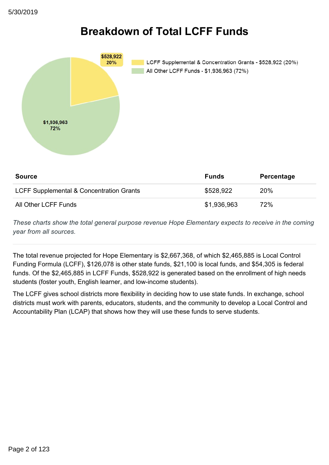# **Breakdown of Total LCFF Funds**



| <b>Source</b>                            | <b>Funds</b> | Percentage |
|------------------------------------------|--------------|------------|
| LCFF Supplemental & Concentration Grants | \$528.922    | <b>20%</b> |
| All Other LCFF Funds                     | \$1,936,963  | 72%        |

*These charts show the total general purpose revenue Hope Elementary expects to receive in the coming year from all sources.*

The total revenue projected for Hope Elementary is \$2,667,368, of which \$2,465,885 is Local Control Funding Formula (LCFF), \$126,078 is other state funds, \$21,100 is local funds, and \$54,305 is federal funds. Of the \$2,465,885 in LCFF Funds, \$528,922 is generated based on the enrollment of high needs students (foster youth, English learner, and low-income students).

The LCFF gives school districts more flexibility in deciding how to use state funds. In exchange, school districts must work with parents, educators, students, and the community to develop a Local Control and Accountability Plan (LCAP) that shows how they will use these funds to serve students.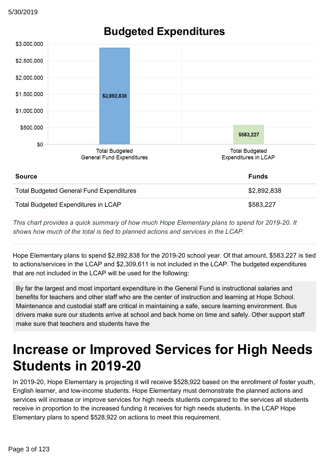

## **Budgeted Expenditures**

*This chart provides a quick summary of how much Hope Elementary plans to spend for 201920. It shows how much of the total is tied to planned actions and services in the LCAP.*

Hope Elementary plans to spend \$2,892,838 for the 2019-20 school year. Of that amount, \$583,227 is tied to actions/services in the LCAP and \$2,309,611 is not included in the LCAP. The budgeted expenditures that are not included in the LCAP will be used for the following:

By far the largest and most important expenditure in the General Fund is instructional salaries and benefits for teachers and other staff who are the center of instruction and learning at Hope School. Maintenance and custodial staff are critical in maintaining a safe, secure learning environment. Bus drivers make sure our students arrive at school and back home on time and safely. Other support staff make sure that teachers and students have the

# **Increase or Improved Services for High Needs Students in 2019-20**

In 2019-20, Hope Elementary is projecting it will receive \$528,922 based on the enrollment of foster youth, English learner, and low-income students. Hope Elementary must demonstrate the planned actions and services will increase or improve services for high needs students compared to the services all students receive in proportion to the increased funding it receives for high needs students. In the LCAP Hope Elementary plans to spend \$528,922 on actions to meet this requirement.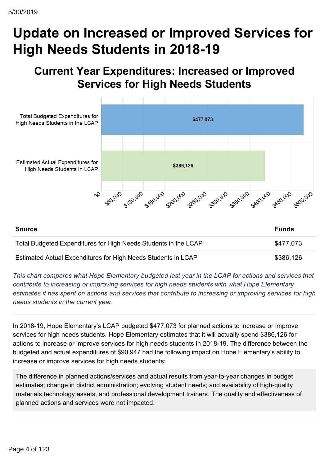# **Update on Increased or Improved Services for High Needs Students in 2018-19**

## **Current Year Expenditures: Increased or Improved Services for High Needs Students**



Estimated Actual Expenditures for High Needs Students in LCAP \$386,126

*This chart compares what Hope Elementary budgeted last year in the LCAP for actions and services that contribute to increasing or improving services for high needs students with what Hope Elementary estimates it has spent on actions and services that contribute to increasing or improving services for high needs students in the current year.*

In 2018-19, Hope Elementary's LCAP budgeted \$477,073 for planned actions to increase or improve services for high needs students. Hope Elementary estimates that it will actually spend \$386,126 for actions to increase or improve services for high needs students in 2018-19. The difference between the budgeted and actual expenditures of \$90,947 had the following impact on Hope Elementary's ability to increase or improve services for high needs students:

The difference in planned actions/services and actual results from year-to-year changes in budget estimates; change in district administration; evolving student needs; and availability of high-quality materials,technology assets, and professional development trainers. The quality and effectiveness of planned actions and services were not impacted.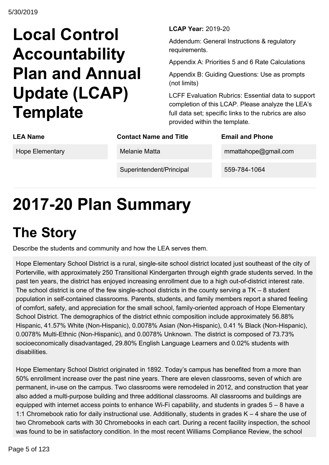# **Local Control Accountability Plan and Annual Update (LCAP) Template**

**LCAP Year: 2019-20** 

Addendum: General Instructions & regulatory requirements.

Appendix A: Priorities 5 and 6 Rate Calculations

Appendix B: Guiding Questions: Use as prompts (not limits)

LCFF Evaluation Rubrics: Essential data to support completion of this LCAP. Please analyze the LEA's full data set; specific links to the rubrics are also provided within the template.

| <b>LEA Name</b> | <b>Contact Name and Title</b> | <b>Email and Phone</b> |
|-----------------|-------------------------------|------------------------|
| Hope Elementary | Melanie Matta                 | mmattahope@gmail.com   |
|                 | Superintendent/Principal      | 559-784-1064           |
|                 |                               |                        |

# **201720 Plan Summary**

# **The Story**

Describe the students and community and how the LEA serves them.

Hope Elementary School District is a rural, single-site school district located just southeast of the city of Porterville, with approximately 250 Transitional Kindergarten through eighth grade students served. In the past ten years, the district has enjoyed increasing enrollment due to a high out-of-district interest rate. The school district is one of the few single-school districts in the county serving a  $TK - 8$  student population in self-contained classrooms. Parents, students, and family members report a shared feeling of comfort, safety, and appreciation for the small school, family-oriented approach of Hope Elementary School District. The demographics of the district ethnic composition include approximately 56.88% Hispanic, 41.57% White (Non-Hispanic), 0.0078% Asian (Non-Hispanic), 0.41 % Black (Non-Hispanic), 0.0078% Multi-Ethnic (Non-Hispanic), and 0.0078% Unknown. The district is composed of 73.73% socioeconomically disadvantaged, 29.80% English Language Learners and 0.02% students with disabilities.

Hope Elementary School District originated in 1892. Today's campus has benefited from a more than 50% enrollment increase over the past nine years. There are eleven classrooms, seven of which are permanent, in-use on the campus. Two classrooms were remodeled in 2012, and construction that year also added a multi-purpose building and three additional classrooms. All classrooms and buildings are equipped with internet access points to enhance Wi-Fi capability, and students in grades  $5 - 8$  have a 1:1 Chromebook ratio for daily instructional use. Additionally, students in grades K – 4 share the use of two Chromebook carts with 30 Chromebooks in each cart. During a recent facility inspection, the school was found to be in satisfactory condition. In the most recent Williams Compliance Review, the school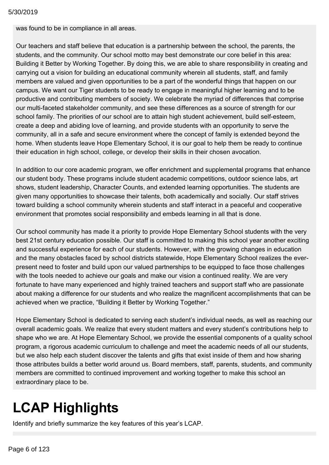was found to be in compliance in all areas.

Our teachers and staff believe that education is a partnership between the school, the parents, the students, and the community. Our school motto may best demonstrate our core belief in this area: Building it Better by Working Together. By doing this, we are able to share responsibility in creating and carrying out a vision for building an educational community wherein all students, staff, and family members are valued and given opportunities to be a part of the wonderful things that happen on our campus. We want our Tiger students to be ready to engage in meaningful higher learning and to be productive and contributing members of society. We celebrate the myriad of differences that comprise our multi-faceted stakeholder community, and see these differences as a source of strength for our school family. The priorities of our school are to attain high student achievement, build self-esteem, create a deep and abiding love of learning, and provide students with an opportunity to serve the community, all in a safe and secure environment where the concept of family is extended beyond the home. When students leave Hope Elementary School, it is our goal to help them be ready to continue their education in high school, college, or develop their skills in their chosen avocation.

In addition to our core academic program, we offer enrichment and supplemental programs that enhance our student body. These programs include student academic competitions, outdoor science labs, art shows, student leadership, Character Counts, and extended learning opportunities. The students are given many opportunities to showcase their talents, both academically and socially. Our staff strives toward building a school community wherein students and staff interact in a peaceful and cooperative environment that promotes social responsibility and embeds learning in all that is done.

Our school community has made it a priority to provide Hope Elementary School students with the very best 21st century education possible. Our staff is committed to making this school year another exciting and successful experience for each of our students. However, with the growing changes in education and the many obstacles faced by school districts statewide, Hope Elementary School realizes the everpresent need to foster and build upon our valued partnerships to be equipped to face those challenges with the tools needed to achieve our goals and make our vision a continued reality. We are very fortunate to have many experienced and highly trained teachers and support staff who are passionate about making a difference for our students and who realize the magnificent accomplishments that can be achieved when we practice, "Building it Better by Working Together."

Hope Elementary School is dedicated to serving each student's individual needs, as well as reaching our overall academic goals. We realize that every student matters and every student's contributions help to shape who we are. At Hope Elementary School, we provide the essential components of a quality school program, a rigorous academic curriculum to challenge and meet the academic needs of all our students, but we also help each student discover the talents and gifts that exist inside of them and how sharing those attributes builds a better world around us. Board members, staff, parents, students, and community members are committed to continued improvement and working together to make this school an extraordinary place to be.

# **LCAP Highlights**

Identify and briefly summarize the key features of this year's LCAP.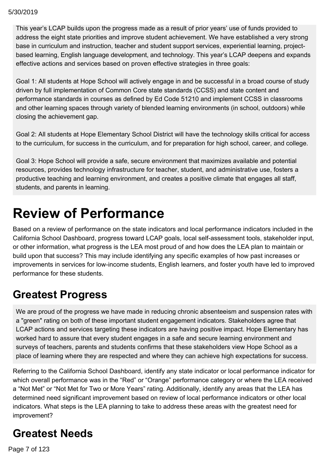This year's LCAP builds upon the progress made as a result of prior years' use of funds provided to address the eight state priorities and improve student achievement. We have established a very strong base in curriculum and instruction, teacher and student support services, experiential learning, projectbased learning, English language development, and technology. This year's LCAP deepens and expands effective actions and services based on proven effective strategies in three goals:

Goal 1: All students at Hope School will actively engage in and be successful in a broad course of study driven by full implementation of Common Core state standards (CCSS) and state content and performance standards in courses as defined by Ed Code 51210 and implement CCSS in classrooms and other learning spaces through variety of blended learning environments (in school, outdoors) while closing the achievement gap.

Goal 2: All students at Hope Elementary School District will have the technology skills critical for access to the curriculum, for success in the curriculum, and for preparation for high school, career, and college.

Goal 3: Hope School will provide a safe, secure environment that maximizes available and potential resources, provides technology infrastructure for teacher, student, and administrative use, fosters a productive teaching and learning environment, and creates a positive climate that engages all staff, students, and parents in learning.

# **Review of Performance**

Based on a review of performance on the state indicators and local performance indicators included in the California School Dashboard, progress toward LCAP goals, local self-assessment tools, stakeholder input, or other information, what progress is the LEA most proud of and how does the LEA plan to maintain or build upon that success? This may include identifying any specific examples of how past increases or improvements in services for low-income students, English learners, and foster youth have led to improved performance for these students.

# **Greatest Progress**

We are proud of the progress we have made in reducing chronic absenteeism and suspension rates with a "green" rating on both of these important student engagement indicators. Stakeholders agree that LCAP actions and services targeting these indicators are having positive impact. Hope Elementary has worked hard to assure that every student engages in a safe and secure learning environment and surveys of teachers, parents and students confirms that these stakeholders view Hope School as a place of learning where they are respected and where they can achieve high expectations for success.

Referring to the California School Dashboard, identify any state indicator or local performance indicator for which overall performance was in the "Red" or "Orange" performance category or where the LEA received a "Not Met" or "Not Met for Two or More Years" rating. Additionally, identify any areas that the LEA has determined need significant improvement based on review of local performance indicators or other local indicators. What steps is the LEA planning to take to address these areas with the greatest need for improvement?

# **Greatest Needs**

 $\sigma$ ge 7 of 123  $\sigma$  stategories indicator for state indicator for schoolwide is in the "red" category. Schoolwide is in the "red" category. Schoolwide is in the "red" category. Schoolwide is in the "red" category. School Page 7 of 123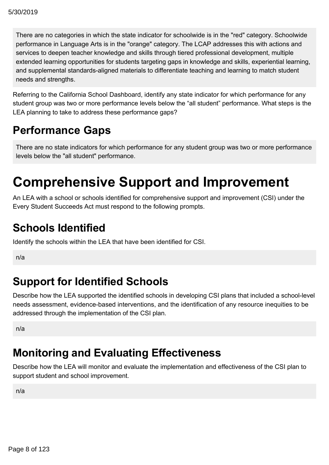There are no categories in which the state indicator for schoolwide is in the "red" category. Schoolwide performance in Language Arts is in the "orange" category. The LCAP addresses this with actions and services to deepen teacher knowledge and skills through tiered professional development, multiple extended learning opportunities for students targeting gaps in knowledge and skills, experiential learning, and supplemental standards-aligned materials to differentiate teaching and learning to match student needs and strengths.

Referring to the California School Dashboard, identify any state indicator for which performance for any student group was two or more performance levels below the "all student" performance. What steps is the LEA planning to take to address these performance gaps?

## **Performance Gaps**

There are no state indicators for which performance for any student group was two or more performance levels below the "all student" performance.

# **Comprehensive Support and Improvement**

An LEA with a school or schools identified for comprehensive support and improvement (CSI) under the Every Student Succeeds Act must respond to the following prompts.

## **Schools Identified**

Identify the schools within the LEA that have been identified for CSI.

n/a

# **Support for Identified Schools**

Describe how the LEA supported the identified schools in developing CSI plans that included a school-level needs assessment, evidence-based interventions, and the identification of any resource inequities to be addressed through the implementation of the CSI plan.

n/a

# **Monitoring and Evaluating Effectiveness**

Describe how the LEA will monitor and evaluate the implementation and effectiveness of the CSI plan to support student and school improvement.

n/a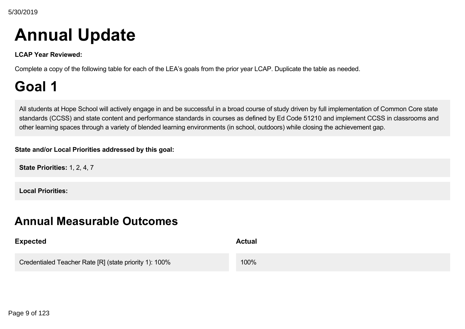# **Annual Update**

**LCAP Year Reviewed:**

Complete a copy of the following table for each of the LEA's goals from the prior year LCAP. Duplicate the table as needed.

# **Goal 1**

All students at Hope School will actively engage in and be successful in a broad course of study driven by full implementation of Common Core state standards (CCSS) and state content and performance standards in courses as defined by Ed Code 51210 and implement CCSS in classrooms and other learning spaces through a variety of blended learning environments (in school, outdoors) while closing the achievement gap.

### **State and/or Local Priorities addressed by this goal:**

**State Priorities:** 1, 2, 4, 7

**Local Priorities:**

## **Annual Measurable Outcomes**

| <b>Expected</b>                                        | <b>Actual</b> |
|--------------------------------------------------------|---------------|
| Credentialed Teacher Rate [R] (state priority 1): 100% | 100%          |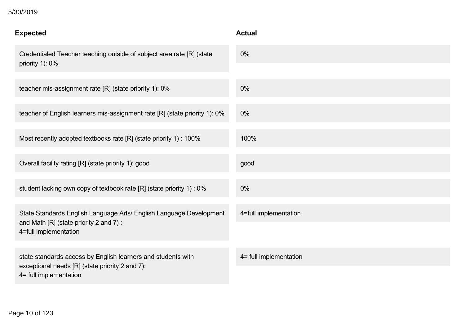### **Experience**<br> **Experience** 5/30/2019

| <b>Expected</b>                                                                                                                           | <b>Actual</b>          |
|-------------------------------------------------------------------------------------------------------------------------------------------|------------------------|
| Credentialed Teacher teaching outside of subject area rate [R] (state<br>priority 1): 0%                                                  | $0\%$                  |
| teacher mis-assignment rate [R] (state priority 1): 0%                                                                                    | $0\%$                  |
| teacher of English learners mis-assignment rate [R] (state priority 1): 0%                                                                | $0\%$                  |
| Most recently adopted textbooks rate [R] (state priority 1) : 100%                                                                        | 100%                   |
| Overall facility rating [R] (state priority 1): good                                                                                      | good                   |
| student lacking own copy of textbook rate [R] (state priority 1) : 0%                                                                     | 0%                     |
| State Standards English Language Arts/ English Language Development<br>and Math $[R]$ (state priority 2 and 7):<br>4=full implementation  | 4=full implementation  |
|                                                                                                                                           |                        |
| state standards access by English learners and students with<br>exceptional needs [R] (state priority 2 and 7):<br>4= full implementation | 4= full implementation |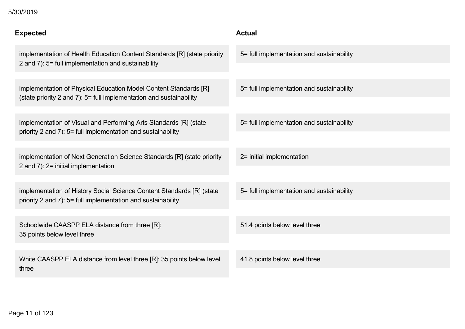### $5/30/2019$

| <b>Expected</b>                                                                                                                         | <b>Actual</b>                             |
|-----------------------------------------------------------------------------------------------------------------------------------------|-------------------------------------------|
| implementation of Health Education Content Standards [R] (state priority<br>2 and 7): 5= full implementation and sustainability         | 5= full implementation and sustainability |
|                                                                                                                                         |                                           |
| implementation of Physical Education Model Content Standards [R]<br>(state priority 2 and 7): 5= full implementation and sustainability | 5= full implementation and sustainability |
|                                                                                                                                         |                                           |
| implementation of Visual and Performing Arts Standards [R] (state<br>priority 2 and 7): 5= full implementation and sustainability       | 5= full implementation and sustainability |
|                                                                                                                                         |                                           |
| implementation of Next Generation Science Standards [R] (state priority<br>2 and 7): 2= initial implementation                          | 2= initial implementation                 |
|                                                                                                                                         |                                           |
| implementation of History Social Science Content Standards [R] (state<br>priority 2 and 7): 5= full implementation and sustainability   | 5= full implementation and sustainability |
|                                                                                                                                         |                                           |
| Schoolwide CAASPP ELA distance from three [R]:<br>35 points below level three                                                           | 51.4 points below level three             |
|                                                                                                                                         |                                           |
| White CAASPP ELA distance from level three [R]: 35 points below level                                                                   | 41.8 points below level three             |
| three                                                                                                                                   |                                           |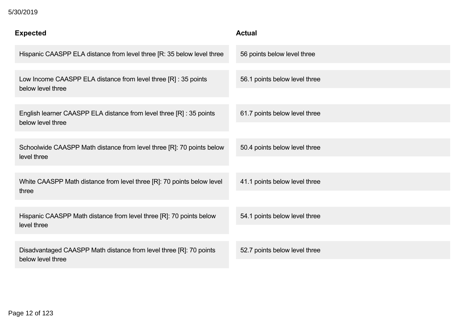### 5/30/2019

| <b>Expected</b>                                                                           | <b>Actual</b>                 |
|-------------------------------------------------------------------------------------------|-------------------------------|
| Hispanic CAASPP ELA distance from level three [R: 35 below level three                    | 56 points below level three   |
| Low Income CAASPP ELA distance from level three [R] : 35 points<br>below level three      | 56.1 points below level three |
| English learner CAASPP ELA distance from level three [R] : 35 points<br>below level three | 61.7 points below level three |
| Schoolwide CAASPP Math distance from level three [R]: 70 points below<br>level three      | 50.4 points below level three |
| White CAASPP Math distance from level three [R]: 70 points below level<br>three           | 41.1 points below level three |
| Hispanic CAASPP Math distance from level three [R]: 70 points below<br>level three        | 54.1 points below level three |
| Disadvantaged CAASPP Math distance from level three [R]: 70 points<br>below level three   | 52.7 points below level three |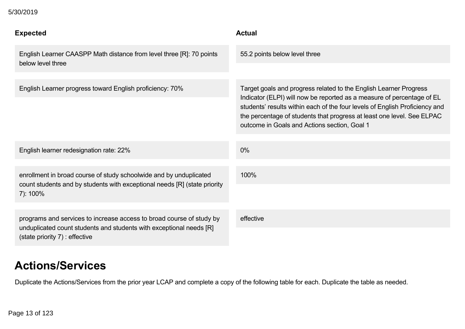| <b>Expected</b>                                                                                                                             | <b>Actual</b>                                                                                                                                                                                                                                                                                                                                        |
|---------------------------------------------------------------------------------------------------------------------------------------------|------------------------------------------------------------------------------------------------------------------------------------------------------------------------------------------------------------------------------------------------------------------------------------------------------------------------------------------------------|
| English Learner CAASPP Math distance from level three [R]: 70 points<br>below level three                                                   | 55.2 points below level three                                                                                                                                                                                                                                                                                                                        |
|                                                                                                                                             |                                                                                                                                                                                                                                                                                                                                                      |
| English Learner progress toward English proficiency: 70%                                                                                    | Target goals and progress related to the English Learner Progress<br>Indicator (ELPI) will now be reported as a measure of percentage of EL<br>students' results within each of the four levels of English Proficiency and<br>the percentage of students that progress at least one level. See ELPAC<br>outcome in Goals and Actions section, Goal 1 |
|                                                                                                                                             |                                                                                                                                                                                                                                                                                                                                                      |
| English learner redesignation rate: 22%                                                                                                     | $0\%$                                                                                                                                                                                                                                                                                                                                                |
|                                                                                                                                             |                                                                                                                                                                                                                                                                                                                                                      |
| enrollment in broad course of study schoolwide and by unduplicated                                                                          | 100%                                                                                                                                                                                                                                                                                                                                                 |
| count students and by students with exceptional needs [R] (state priority<br>7): 100%                                                       |                                                                                                                                                                                                                                                                                                                                                      |
|                                                                                                                                             |                                                                                                                                                                                                                                                                                                                                                      |
| programs and services to increase access to broad course of study by<br>unduplicated count students and students with exceptional needs [R] | effective                                                                                                                                                                                                                                                                                                                                            |
| (state priority 7) : effective                                                                                                              |                                                                                                                                                                                                                                                                                                                                                      |

## **Actions/Services**

Duplicate the Actions/Services from the prior year LCAP and complete a copy of the following table for each. Duplicate the table as needed.

5/30/2019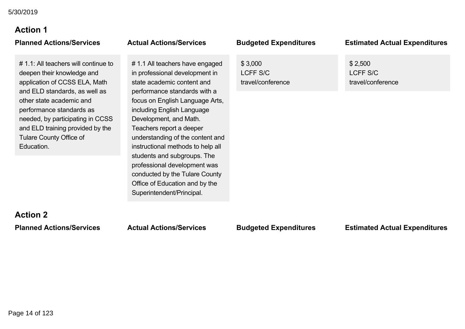### **Action 1 Planned Actions/Services Actual Actions/Services Budgeted Expenditures Estimated Actual Expenditures**

# 1.1: All teachers will continue to deepen their knowledge and application of CCSS ELA, Math and ELD standards, as well as other state academic and performance standards as needed, by participating in CCSS and ELD training provided by the Tulare County Office of Education.

# 1.1 All teachers have engaged in professional development in state academic content and performance standards with a focus on English Language Arts, including English Language Development, and Math. Teachers report a deeper understanding of the content and instructional methods to help all students and subgroups. The professional development was conducted by the Tulare County Office of Education and by the Superintendent/Principal.

\$ 3,000 LCFF S/C

travel/conference

\$ 2,500 LCFF S/C travel/conference

# **Action 2**

### **Planned Actions/Services Actual Actions/Services Budgeted Expenditures Estimated Actual Expenditures**

Page 14 of 123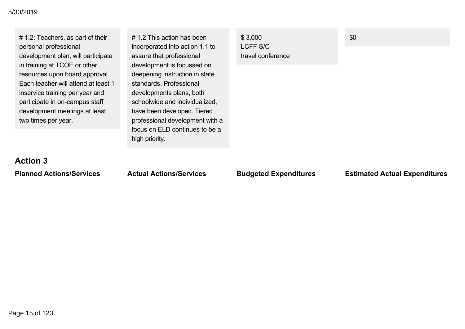# 1.2: Teachers, as part of their personal professional development plan, will participate in training at TCOE or other resources upon board approval. Each teacher will attend at least 1 inservice training per year and participate in on-campus staff development meetings at least two times per year.

# 1.2 This action has been incorporated into action 1.1 to assure that professional development is focussed on deepening instruction in state standards. Professional developments plans, both schoolwide and individualized, have been developed. Tiered professional development with a focus on ELD continues to be a high priority.

\$ 3,000 LCFF S/C travel conference \$0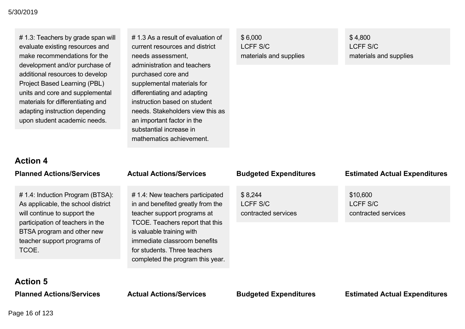# 1.3: Teachers by grade span will evaluate existing resources and make recommendations for the development and/or purchase of additional resources to develop Project Based Learning (PBL) units and core and supplemental materials for differentiating and adapting instruction depending upon student academic needs.

# 1.3 As a result of evaluation of current resources and district needs assessment, administration and teachers purchased core and supplemental materials for differentiating and adapting instruction based on student needs. Stakeholders view this as an important factor in the substantial increase in mathematics achievement.

\$ 6,000 LCFF S/C materials and supplies \$ 4,800 LCFF S/C materials and supplies

### **Action 4**

# 1.4: Induction Program (BTSA): As applicable, the school district will continue to support the participation of teachers in the BTSA program and other new teacher support programs of **TCOF** 

# 1.4: New teachers participated in and benefited greatly from the teacher support programs at TCOE. Teachers report that this is valuable training with immediate classroom benefits for students. Three teachers completed the program this year.

\$ 8,244 LCFF S/C contracted services

### **Planned Actions/Services Actual Actions/Services Budgeted Expenditures Estimated Actual Expenditures**

\$10,600 LCFF S/C contracted services

### **Action 5**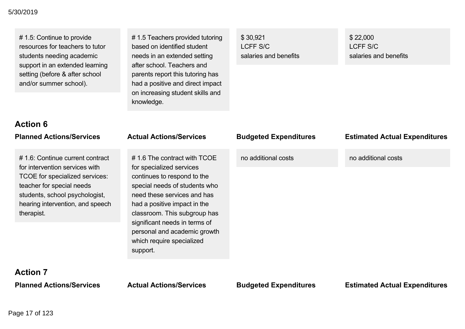# 1.5: Continue to provide resources for teachers to tutor students needing academic support in an extended learning setting (before & after school and/or summer school).

**Action 6**

# 1.5 Teachers provided tutoring based on identified student needs in an extended setting after school. Teachers and parents report this tutoring has had a positive and direct impact on increasing student skills and knowledge.

\$ 30,921 LCFF S/C salaries and benefits \$ 22,000 LCFF S/C salaries and benefits

| <b>Planned Actions/Services</b>                                                                                                                                                                                      | <b>Actual Actions/Services</b>                                                                                                                                                                                                                                                                                                   | <b>Budgeted Expenditures</b> | <b>Estimated Actual Expenditures</b> |
|----------------------------------------------------------------------------------------------------------------------------------------------------------------------------------------------------------------------|----------------------------------------------------------------------------------------------------------------------------------------------------------------------------------------------------------------------------------------------------------------------------------------------------------------------------------|------------------------------|--------------------------------------|
| #1.6: Continue current contract<br>for intervention services with<br>TCOE for specialized services:<br>teacher for special needs<br>students, school psychologist,<br>hearing intervention, and speech<br>therapist. | #1.6 The contract with TCOE<br>for specialized services<br>continues to respond to the<br>special needs of students who<br>need these services and has<br>had a positive impact in the<br>classroom. This subgroup has<br>significant needs in terms of<br>personal and academic growth<br>which require specialized<br>support. | no additional costs          | no additional costs                  |
| Action 7                                                                                                                                                                                                             |                                                                                                                                                                                                                                                                                                                                  |                              |                                      |

**Action 7**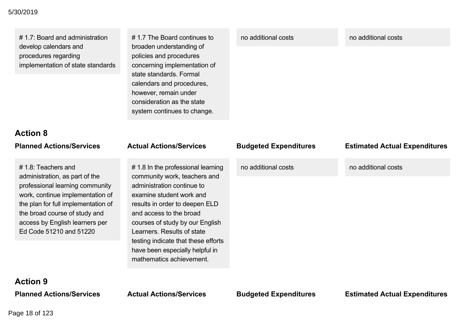# 1.7: Board and administration develop calendars and procedures regarding implementation of state standards # 1.7 The Board continues to broaden understanding of policies and procedures concerning implementation of state standards. Formal calendars and procedures, however, remain under consideration as the state system continues to change.

### no additional costs no additional costs

# **Action 8**

# 1.8: Teachers and administration, as part of the professional learning community work, continue implementation of the plan for full implementation of the broad course of study and access by English learners per Ed Code 51210 and 51220

#1.8 In the professional learning community work, teachers and administration continue to examine student work and results in order to deepen ELD and access to the broad courses of study by our English Learners. Results of state testing indicate that these efforts have been especially helpful in mathematics achievement.

### **Planned Actions/Services Actual Actions/Services Budgeted Expenditures Estimated Actual Expenditures**

no additional costs no additional costs

# **Action 9**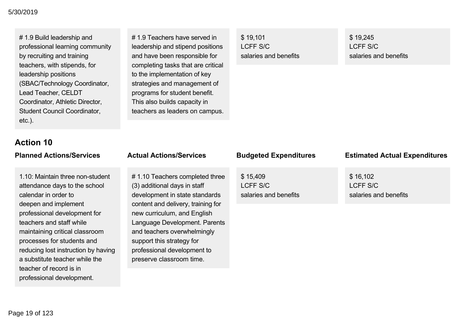# 1.9 Build leadership and professional learning community by recruiting and training teachers, with stipends, for leadership positions (SBAC/Technology Coordinator, Lead Teacher, CELDT Coordinator, Athletic Director, Student Council Coordinator, etc.).

# **Action 10**

1.10: Maintain three non-student attendance days to the school calendar in order to deepen and implement professional development for teachers and staff while maintaining critical classroom processes for students and reducing lost instruction by having a substitute teacher while the teacher of record is in professional development.

### # 1.9 Teachers have served in leadership and stipend positions and have been responsible for completing tasks that are critical to the implementation of key strategies and management of programs for student benefit. This also builds capacity in teachers as leaders on campus.

\$ 19,101 LCFF S/C salaries and benefits \$ 19,245 LCFF S/C salaries and benefits

# 1.10 Teachers completed three (3) additional days in staff development in state standards content and delivery, training for new curriculum, and English Language Development. Parents and teachers overwhelmingly support this strategy for professional development to preserve classroom time.

\$ 15,409 LCFF S/C salaries and benefits

### **Planned Actions/Services Actual Actions/Services Budgeted Expenditures Estimated Actual Expenditures**

\$ 16,102 LCFF S/C salaries and benefits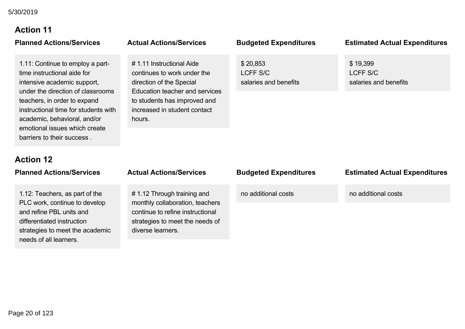# **Action 11**

1.11: Continue to employ a parttime instructional aide for intensive academic support, under the direction of classrooms teachers, in order to expand instructional time for students with academic, behavioral, and/or emotional issues which create barriers to their success .

# 1.11 Instructional Aide continues to work under the direction of the Special Education teacher and services to students has improved and increased in student contact hours.

# \$ 20,853

LCFF S/C salaries and benefits

### **Planned Actions/Services Actual Actions/Services Budgeted Expenditures Estimated Actual Expenditures**

\$ 19,399 LCFF S/C salaries and benefits

### **Action 12**

| <b>Planned Actions/Services</b>                                                                                                                                                        | <b>Actual Actions/Services</b>                                                                                                                            | <b>Budgeted Expenditures</b> | <b>Estimated Actual Expenditures</b> |
|----------------------------------------------------------------------------------------------------------------------------------------------------------------------------------------|-----------------------------------------------------------------------------------------------------------------------------------------------------------|------------------------------|--------------------------------------|
| 1.12: Teachers, as part of the<br>PLC work, continue to develop<br>and refine PBL units and<br>differentiated instruction<br>strategies to meet the academic<br>needs of all learners. | #1.12 Through training and<br>monthly collaboration, teachers<br>continue to refine instructional<br>strategies to meet the needs of<br>diverse learners. | no additional costs          | no additional costs                  |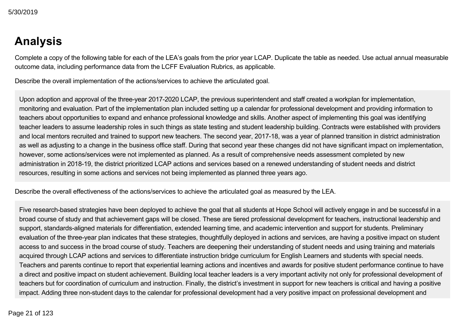## **Analysis**

Complete a copy of the following table for each of the LEA's goals from the prior year LCAP. Duplicate the table as needed. Use actual annual measurable outcome data, including performance data from the LCFF Evaluation Rubrics, as applicable.

Describe the overall implementation of the actions/services to achieve the articulated goal.

Upon adoption and approval of the three-year 2017-2020 LCAP, the previous superintendent and staff created a workplan for implementation, monitoring and evaluation. Part of the implementation plan included setting up a calendar for professional development and providing information to teachers about opportunities to expand and enhance professional knowledge and skills. Another aspect of implementing this goal was identifying teacher leaders to assume leadership roles in such things as state testing and student leadership building. Contracts were established with providers and local mentors recruited and trained to support new teachers. The second year, 2017-18, was a year of planned transition in district administration as well as adjusting to a change in the business office staff. During that second year these changes did not have significant impact on implementation, however, some actions/services were not implemented as planned. As a result of comprehensive needs assessment completed by new administration in 2018-19, the district prioritized LCAP actions and services based on a renewed understanding of student needs and district resources, resulting in some actions and services not being implemented as planned three years ago.

Describe the overall effectiveness of the actions/services to achieve the articulated goal as measured by the LEA.

Five research-based strategies have been deployed to achieve the goal that all students at Hope School will actively engage in and be successful in a broad course of study and that achievement gaps will be closed. These are tiered professional development for teachers, instructional leadership and support, standards-aligned materials for differentiation, extended learning time, and academic intervention and support for students. Preliminary evaluation of the three-year plan indicates that these strategies, thoughtfully deployed in actions and services, are having a positive impact on student access to and success in the broad course of study. Teachers are deepening their understanding of student needs and using training and materials acquired through LCAP actions and services to differentiate instruction bridge curriculum for English Learners and students with special needs. Teachers and parents continue to report that experiential learning actions and incentives and awards for positive student performance continue to have a direct and positive impact on student achievement. Building local teacher leaders is a very important activity not only for professional development of teachers but for coordination of curriculum and instruction. Finally, the district's investment in support for new teachers is critical and having a positive impact. Adding three non-student days to the calendar for professional development had a very positive impact on professional development and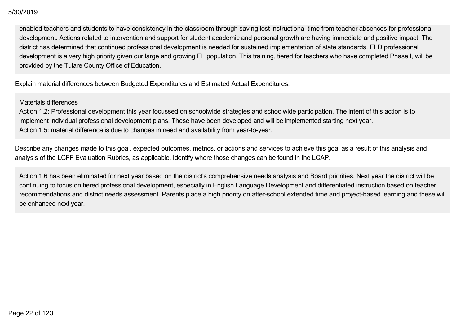enabled teachers and students to have consistency in the classroom through saving lost instructional time from teacher absences for professional development. Actions related to intervention and support for student academic and personal growth are having immediate and positive impact. The district has determined that continued professional development is needed for sustained implementation of state standards. ELD professional development is a very high priority given our large and growing EL population. This training, tiered for teachers who have completed Phase I, will be provided by the Tulare County Office of Education.

Explain material differences between Budgeted Expenditures and Estimated Actual Expenditures.

### Materials differences

Action 1.2: Professional development this year focussed on schoolwide strategies and schoolwide participation. The intent of this action is to implement individual professional development plans. These have been developed and will be implemented starting next year. Action 1.5: material difference is due to changes in need and availability from year-to-year.

Describe any changes made to this goal, expected outcomes, metrics, or actions and services to achieve this goal as a result of this analysis and analysis of the LCFF Evaluation Rubrics, as applicable. Identify where those changes can be found in the LCAP.

Action 1.6 has been eliminated for next year based on the district's comprehensive needs analysis and Board priorities. Next year the district will be continuing to focus on tiered professional development, especially in English Language Development and differentiated instruction based on teacher recommendations and district needs assessment. Parents place a high priority on after-school extended time and project-based learning and these will be enhanced next year.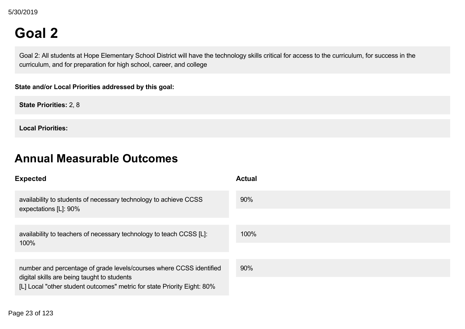# **Goal 2**

Goal 2: All students at Hope Elementary School District will have the technology skills critical for access to the curriculum, for success in the curriculum, and for preparation for high school, career, and college

**State and/or Local Priorities addressed by this goal:**

**State Priorities:** 2, 8

**Local Priorities:**

## **Annual Measurable Outcomes**

| <b>Expected</b>                                                                                                        | <b>Actual</b> |
|------------------------------------------------------------------------------------------------------------------------|---------------|
| availability to students of necessary technology to achieve CCSS<br>expectations [L]: 90%                              | 90%           |
|                                                                                                                        |               |
| availability to teachers of necessary technology to teach CCSS [L]:                                                    | 100%          |
| 100%                                                                                                                   |               |
| number and percentage of grade levels/courses where CCSS identified                                                    | 90%           |
| digital skills are being taught to students<br>[L] Local "other student outcomes" metric for state Priority Eight: 80% |               |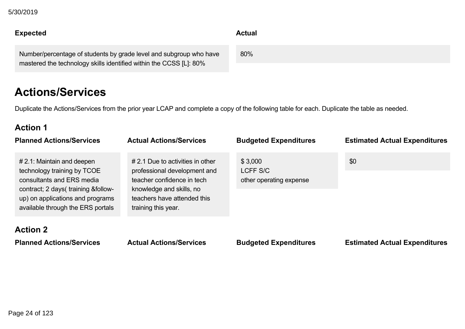Page 24 of 123

### $D/2019$ 5/30/2019

### **Expected Actual**  $\mathbf{F}$  local  $\mathbf{F}$  student outcomes  $\mathbf{F}$

Number/percentage of students by grade level and subgroup who have mastered the technology skills identified within the CCSS [L]: 80%

## **Actions/Services**

Duplicate the Actions/Services from the prior year LCAP and complete a copy of the following table for each. Duplicate the table as needed.

## **Action 1**

| <b>Planned Actions/Services</b>                                                                                                                                                                           | <b>Actual Actions/Services</b>                                                                                                                                                      | <b>Budgeted Expenditures</b>                   | <b>Estimated Actual Expenditures</b> |
|-----------------------------------------------------------------------------------------------------------------------------------------------------------------------------------------------------------|-------------------------------------------------------------------------------------------------------------------------------------------------------------------------------------|------------------------------------------------|--------------------------------------|
| $# 2.1$ : Maintain and deepen<br>technology training by TCOE<br>consultants and ERS media<br>contract; 2 days( training &follow-<br>up) on applications and programs<br>available through the ERS portals | $\#$ 2.1 Due to activities in other<br>professional development and<br>teacher confidence in tech<br>knowledge and skills, no<br>teachers have attended this<br>training this year. | \$3,000<br>LCFF S/C<br>other operating expense | \$0                                  |
| <b>Action 2</b><br><b>Planned Actions/Services</b>                                                                                                                                                        | <b>Actual Actions/Services</b>                                                                                                                                                      | <b>Budgeted Expenditures</b>                   | <b>Estimated Actual Expenditures</b> |

80%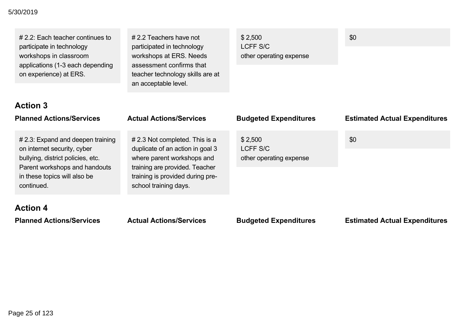### **Planned Actions/Services Actual Actions/Services Budgeted Expenditures Estimated Actual Expenditures** 5/30/2019

# 2.2: Each teacher continues to participate in technology workshops in classroom applications (1-3 each depending on experience) at ERS.

# 2.2 Teachers have not participated in technology workshops at ERS. Needs assessment confirms that teacher technology skills are at an acceptable level.

\$ 2,500 LCFF S/C other operating expense \$0

### **Action 3**

| <b>Planned Actions/Services</b>                                                                                                                                                      | <b>Actual Actions/Services</b>                                                                                                                                                                  | <b>Budgeted Expenditures</b>                   | <b>Estimated Actual Expenditures</b> |
|--------------------------------------------------------------------------------------------------------------------------------------------------------------------------------------|-------------------------------------------------------------------------------------------------------------------------------------------------------------------------------------------------|------------------------------------------------|--------------------------------------|
| # 2.3: Expand and deepen training<br>on internet security, cyber<br>bullying, district policies, etc.<br>Parent workshops and handouts<br>in these topics will also be<br>continued. | # 2.3 Not completed. This is a<br>duplicate of an action in goal 3<br>where parent workshops and<br>training are provided. Teacher<br>training is provided during pre-<br>school training days. | \$2,500<br>LCFF S/C<br>other operating expense | \$0                                  |
| <b>Action 4</b>                                                                                                                                                                      |                                                                                                                                                                                                 |                                                |                                      |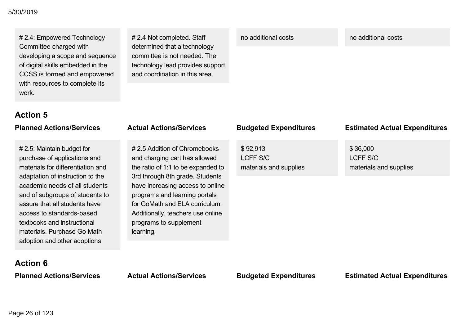### **Planned Actions/Services Actual Actions/Services Budgeted Expenditures Estimated Actual Expenditures** 5/30/2019

# 2.4: Empowered Technology Committee charged with developing a scope and sequence of digital skills embedded in the CCSS is formed and empowered with resources to complete its work.

# 2.4 Not completed. Staff determined that a technology committee is not needed. The technology lead provides support and coordination in this area.

no additional costs no additional costs

### **Action 5**

| <b>Planned Actions/Services</b>                                                                                                                                                                                                                                                                                                                                      | <b>Actual Actions/Services</b>                                                                                                                                                                                                                                                                                            | <b>Budgeted Expenditures</b>                   | <b>Estimated Actual Expenditures</b>                  |
|----------------------------------------------------------------------------------------------------------------------------------------------------------------------------------------------------------------------------------------------------------------------------------------------------------------------------------------------------------------------|---------------------------------------------------------------------------------------------------------------------------------------------------------------------------------------------------------------------------------------------------------------------------------------------------------------------------|------------------------------------------------|-------------------------------------------------------|
| # 2.5: Maintain budget for<br>purchase of applications and<br>materials for differentiation and<br>adaptation of instruction to the<br>academic needs of all students<br>and of subgroups of students to<br>assure that all students have<br>access to standards-based<br>textbooks and instructional<br>materials. Purchase Go Math<br>adoption and other adoptions | #2.5 Addition of Chromebooks<br>and charging cart has allowed<br>the ratio of 1:1 to be expanded to<br>3rd through 8th grade. Students<br>have increasing access to online<br>programs and learning portals<br>for GoMath and ELA curriculum.<br>Additionally, teachers use online<br>programs to supplement<br>learning. | \$92,913<br>LCFF S/C<br>materials and supplies | \$36,000<br><b>LCFF S/C</b><br>materials and supplies |
| <b>Action 6</b>                                                                                                                                                                                                                                                                                                                                                      |                                                                                                                                                                                                                                                                                                                           |                                                |                                                       |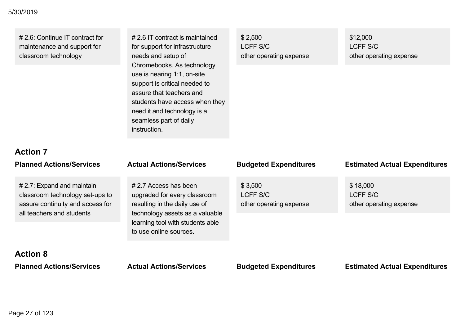### **Planned Actions/Services Actual Actions/Services Budgeted Expenditures Estimated Actual Expenditures** 5/30/2019

| # 2.6: Continue IT contract for |  |
|---------------------------------|--|
| maintenance and support for     |  |
| classroom technology            |  |

# 2.6 IT contract is maintained for support for infrastructure needs and setup of Chromebooks. As technology use is nearing 1:1, on-site support is critical needed to assure that teachers and students have access when they need it and technology is a seamless part of daily instruction.

| \$2,500                 |  |
|-------------------------|--|
| LCFF S/C                |  |
| other operating expense |  |

\$12,000 LCFF S/C other operating expense

### **Action 7**

| <b>Planned Actions/Services</b>                                                                                                   | <b>Actual Actions/Services</b>                                                                                                                                                          | <b>Budgeted Expenditures</b>                   | <b>Estimated Actual Expenditures</b>            |
|-----------------------------------------------------------------------------------------------------------------------------------|-----------------------------------------------------------------------------------------------------------------------------------------------------------------------------------------|------------------------------------------------|-------------------------------------------------|
| $# 2.7$ : Expand and maintain<br>classroom technology set-ups to<br>assure continuity and access for<br>all teachers and students | # 2.7 Access has been<br>upgraded for every classroom<br>resulting in the daily use of<br>technology assets as a valuable<br>learning tool with students able<br>to use online sources. | \$3,500<br>LCFF S/C<br>other operating expense | \$18,000<br>LCFF S/C<br>other operating expense |
| <b>Action 8</b><br><b>Planned Actions/Services</b>                                                                                | <b>Actual Actions/Services</b>                                                                                                                                                          | <b>Budgeted Expenditures</b>                   | <b>Estimated Actual Expenditures</b>            |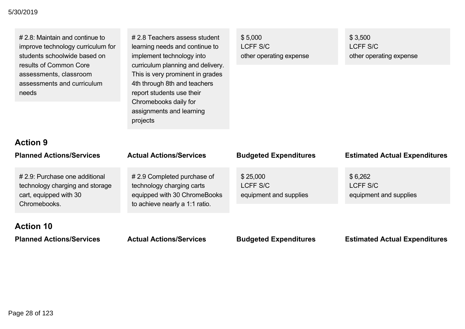| $# 2.8$ : Maintain and continue to<br>improve technology curriculum for<br>students schoolwide based on<br>results of Common Core<br>assessments, classroom<br>assessments and curriculum<br>needs | # 2.8 Teachers assess student<br>learning needs and continue to<br>implement technology into<br>curriculum planning and delivery.<br>This is very prominent in grades<br>4th through 8th and teachers<br>report students use their<br>Chromebooks daily for<br>assignments and learning<br>projects | \$5,000<br><b>LCFF S/C</b><br>other operating expense | \$3,500<br>LCFF S/C<br>other operating expense       |
|----------------------------------------------------------------------------------------------------------------------------------------------------------------------------------------------------|-----------------------------------------------------------------------------------------------------------------------------------------------------------------------------------------------------------------------------------------------------------------------------------------------------|-------------------------------------------------------|------------------------------------------------------|
| <b>Action 9</b><br><b>Planned Actions/Services</b>                                                                                                                                                 | <b>Actual Actions/Services</b>                                                                                                                                                                                                                                                                      | <b>Budgeted Expenditures</b>                          | <b>Estimated Actual Expenditures</b>                 |
| # 2.9: Purchase one additional<br>technology charging and storage<br>cart, equipped with 30<br>Chromebooks.                                                                                        | #2.9 Completed purchase of<br>technology charging carts<br>equipped with 30 ChromeBooks<br>to achieve nearly a 1:1 ratio.                                                                                                                                                                           | \$25,000<br><b>LCFF S/C</b><br>equipment and supplies | \$6,262<br><b>LCFF S/C</b><br>equipment and supplies |
| <b>Action 10</b><br><b>Planned Actions/Services</b>                                                                                                                                                | <b>Actual Actions/Services</b>                                                                                                                                                                                                                                                                      | <b>Budgeted Expenditures</b>                          | <b>Estimated Actual Expenditures</b>                 |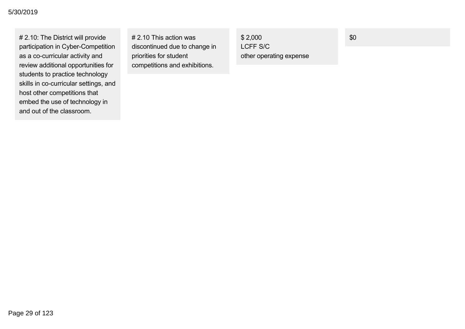# 2.10: The District will provide participation in Cyber-Competition as a co-curricular activity and review additional opportunities for students to practice technology skills in co-curricular settings, and host other competitions that embed the use of technology in and out of the classroom.

# 2.10 This action was discontinued due to change in priorities for student competitions and exhibitions.

\$ 2,000 LCFF S/C other operating expense \$0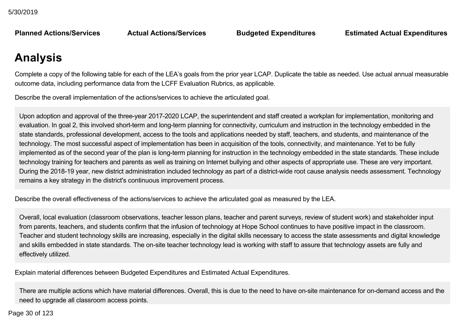**Planned Actions/Services** 

**Planned Actions/Services Actual Actions/Services Budgeted Expenditures Estimated Actual Expenditures**

## **Analysis**

Complete a copy of the following table for each of the LEA's goals from the prior year LCAP. Duplicate the table as needed. Use actual annual measurable outcome data, including performance data from the LCFF Evaluation Rubrics, as applicable.

Describe the overall implementation of the actions/services to achieve the articulated goal.

Upon adoption and approval of the three-year 2017-2020 LCAP, the superintendent and staff created a workplan for implementation, monitoring and evaluation. In goal 2, this involved short-term and long-term planning for connectivity, curriculum and instruction in the technology embedded in the state standards, professional development, access to the tools and applications needed by staff, teachers, and students, and maintenance of the technology. The most successful aspect of implementation has been in acquisition of the tools, connectivity, and maintenance. Yet to be fully implemented as of the second year of the plan is long-term planning for instruction in the technology embedded in the state standards. These include technology training for teachers and parents as well as training on Internet bullying and other aspects of appropriate use. These are very important. During the 2018-19 year, new district administration included technology as part of a district-wide root cause analysis needs assessment. Technology remains a key strategy in the district's continuous improvement process.

Describe the overall effectiveness of the actions/services to achieve the articulated goal as measured by the LEA.

Overall, local evaluation (classroom observations, teacher lesson plans, teacher and parent surveys, review of student work) and stakeholder input from parents, teachers, and students confirm that the infusion of technology at Hope School continues to have positive impact in the classroom. Teacher and student technology skills are increasing, especially in the digital skills necessary to access the state assessments and digital knowledge and skills embedded in state standards. The on-site teacher technology lead is working with staff to assure that technology assets are fully and effectively utilized.

Explain material differences between Budgeted Expenditures and Estimated Actual Expenditures.

There are multiple actions which have material differences. Overall, this is due to the need to have on-site maintenance for on-demand access and the need to upgrade all classroom access points.

 $\frac{20}{5}$  of 122  $A_{\rm eff}$  material difference due to the need for fulltime onsite technical support rather than  $p$ Page 30 of 123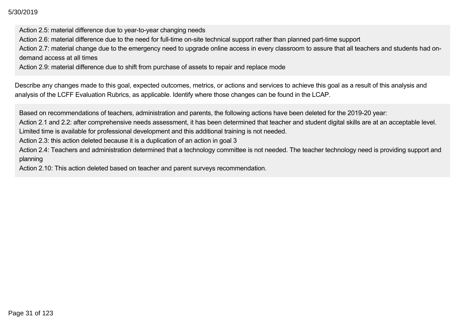Action 2.5: material difference due to year-to-year changing needs

Action 2.6: material difference due to the need for full-time on-site technical support rather than planned part-time support

Action 2.7: material change due to the emergency need to upgrade online access in every classroom to assure that all teachers and students had ondemand access at all times

Action 2.9: material difference due to shift from purchase of assets to repair and replace mode

Describe any changes made to this goal, expected outcomes, metrics, or actions and services to achieve this goal as a result of this analysis and analysis of the LCFF Evaluation Rubrics, as applicable. Identify where those changes can be found in the LCAP.

Based on recommendations of teachers, administration and parents, the following actions have been deleted for the 2019-20 year:

Action 2.1 and 2.2: after comprehensive needs assessment, it has been determined that teacher and student digital skills are at an acceptable level. Limited time is available for professional development and this additional training is not needed.

Action 2.3: this action deleted because it is a duplication of an action in goal 3

Action 2.4: Teachers and administration determined that a technology committee is not needed. The teacher technology need is providing support and planning

Action 2.10: This action deleted based on teacher and parent surveys recommendation.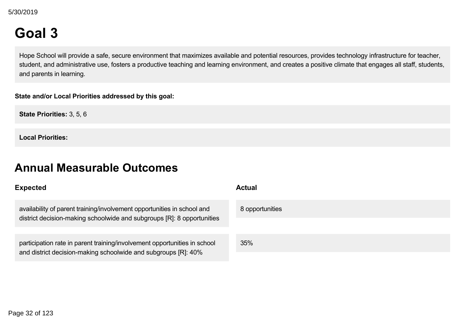# **Goal 3**

Hope School will provide a safe, secure environment that maximizes available and potential resources, provides technology infrastructure for teacher, student, and administrative use, fosters a productive teaching and learning environment, and creates a positive climate that engages all staff, students, and parents in learning.

### **State and/or Local Priorities addressed by this goal:**

**State Priorities:** 3, 5, 6

**Local Priorities:**

## **Annual Measurable Outcomes**

### **Expected Actual** availability of parent training/involvement opportunities in school and district decision-making schoolwide and subgroups [R]: 8 opportunities 8 opportunities participation rate in parent training/involvement opportunities in school and district decision-making schoolwide and subgroups [R]: 40% 35%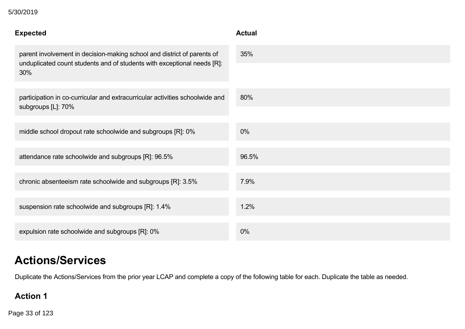| <b>Expected</b>                                                                                                                                           | <b>Actual</b> |
|-----------------------------------------------------------------------------------------------------------------------------------------------------------|---------------|
| parent involvement in decision-making school and district of parents of<br>unduplicated count students and of students with exceptional needs [R]:<br>30% | 35%           |
| participation in co-curricular and extracurricular activities schoolwide and<br>subgroups [L]: 70%                                                        | 80%           |
| middle school dropout rate schoolwide and subgroups [R]: 0%                                                                                               | 0%            |
| attendance rate schoolwide and subgroups [R]: 96.5%                                                                                                       | 96.5%         |
| chronic absenteeism rate schoolwide and subgroups [R]: 3.5%                                                                                               | 7.9%          |
| suspension rate schoolwide and subgroups [R]: 1.4%                                                                                                        | 1.2%          |
| expulsion rate schoolwide and subgroups [R]: 0%                                                                                                           | $0\%$         |

## **Actions/Services**

Duplicate the Actions/Services from the prior year LCAP and complete a copy of the following table for each. Duplicate the table as needed.

### **Action 1**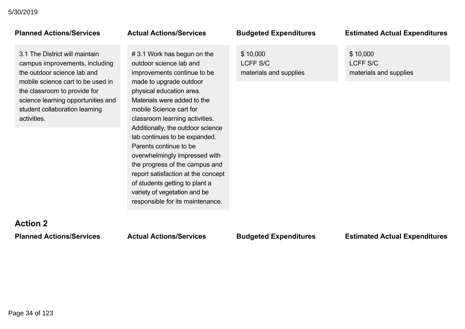3.1 The District will maintain campus improvements, including the outdoor science lab and mobile science cart to be used in the classroom to provide for science learning opportunities and student collaboration learning activities.

# 3.1 Work has begun on the outdoor science lab and improvements continue to be made to upgrade outdoor physical education area. Materials were added to the mobile Science cart for classroom learning activities. Additionally, the outdoor science lab continues to be expanded. Parents continue to be overwhelmingly impressed with the progress of the campus and report satisfaction at the concept of students getting to plant a variety of vegetation and be responsible for its maintenance.

\$ 10,000 LCFF S/C materials and supplies

### **Planned Actions/Services Actual Actions/Services Budgeted Expenditures Estimated Actual Expenditures**

\$ 10,000 LCFF S/C materials and supplies

# **Action 2**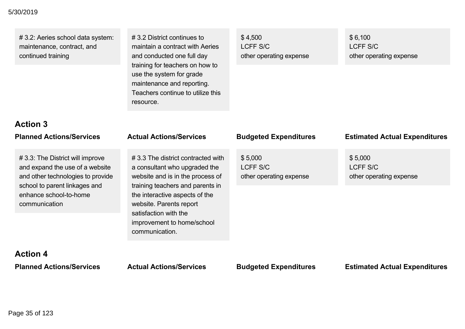# 3.2: Aeries school data system: maintenance, contract, and continued training

# 3.2 District continues to maintain a contract with Aeries and conducted one full day training for teachers on how to use the system for grade maintenance and reporting. Teachers continue to utilize this resource.

\$ 4,500 LCFF S/C other operating expense \$ 6,100 LCFF S/C other operating expense

# **Action 3**

# 3.3: The District will improve and expand the use of a website and other technologies to provide school to parent linkages and enhance school-to-home communication

# 3.3 The district contracted with a consultant who upgraded the website and is in the process of training teachers and parents in the interactive aspects of the website. Parents report satisfaction with the improvement to home/school communication.

### **Planned Actions/Services Actual Actions/Services Budgeted Expenditures Estimated Actual Expenditures** \$ 5,000 LCFF S/C other operating expense \$ 5,000 LCFF S/C other operating expense

# **Action 4**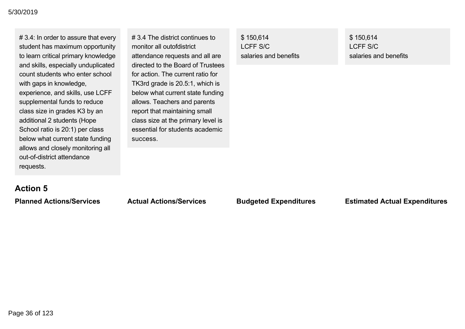# 3.4: In order to assure that every student has maximum opportunity to learn critical primary knowledge and skills, especially unduplicated count students who enter school with gaps in knowledge, experience, and skills, use LCFF supplemental funds to reduce class size in grades K3 by an additional 2 students (Hope School ratio is 20:1) per class below what current state funding allows and closely monitoring all out-of-district attendance requests.

# 3.4 The district continues to monitor all outofdistrict attendance requests and all are directed to the Board of Trustees for action. The current ratio for TK3rd grade is 20.5:1, which is below what current state funding allows. Teachers and parents report that maintaining small class size at the primary level is essential for students academic success.

\$ 150,614 LCFF S/C salaries and benefits \$ 150,614 LCFF S/C salaries and benefits

### **Action 5**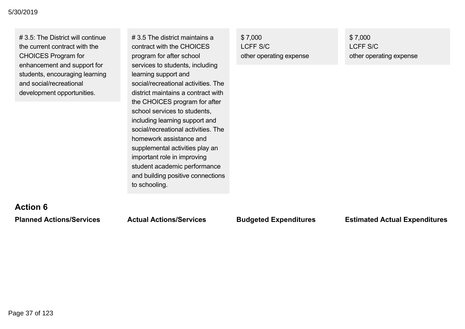# 3.5: The District will continue the current contract with the CHOICES Program for enhancement and support for students, encouraging learning and social/recreational development opportunities.

# 3.5 The district maintains a contract with the CHOICES program for after school services to students, including learning support and social/recreational activities. The district maintains a contract with the CHOICES program for after school services to students, including learning support and social/recreational activities. The homework assistance and supplemental activities play an important role in improving student academic performance and building positive connections to schooling.

\$ 7,000 LCFF S/C other operating expense \$ 7,000 LCFF S/C other operating expense

# **Action 6**

#### **Planned Actions/Services Actual Actions/Services Budgeted Expenditures Estimated Actual Expenditures**

Page 37 of 123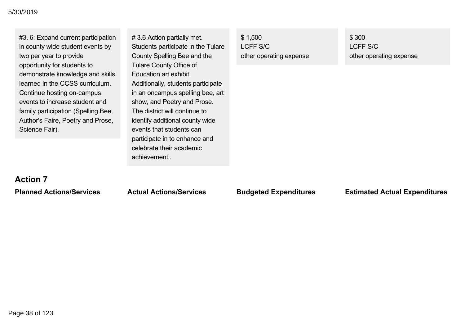| #3. 6: Expand current participation<br>in county wide student events by<br>two per year to provide                                                                                                                                             | #3.6 Action partially met.<br>Students participate in the Tulare<br>County Spelling Bee and the                                                                                                                                       | \$1,500<br>LCFF S/C<br>other operating expense | \$300<br>LCFF S/C<br>other operating expense |
|------------------------------------------------------------------------------------------------------------------------------------------------------------------------------------------------------------------------------------------------|---------------------------------------------------------------------------------------------------------------------------------------------------------------------------------------------------------------------------------------|------------------------------------------------|----------------------------------------------|
| opportunity for students to<br>demonstrate knowledge and skills<br>learned in the CCSS curriculum.<br>Continue hosting on-campus<br>events to increase student and<br>family participation (Spelling Bee,<br>Author's Faire, Poetry and Prose, | <b>Tulare County Office of</b><br>Education art exhibit.<br>Additionally, students participate<br>in an oncampus spelling bee, art<br>show, and Poetry and Prose.<br>The district will continue to<br>identify additional county wide |                                                |                                              |
| Science Fair).                                                                                                                                                                                                                                 | events that students can<br>participate in to enhance and<br>celebrate their academic<br>achievement                                                                                                                                  |                                                |                                              |

# **Action 7**

### **Planned Actions/Services Actual Actions/Services Budgeted Expenditures Estimated Actual Expenditures**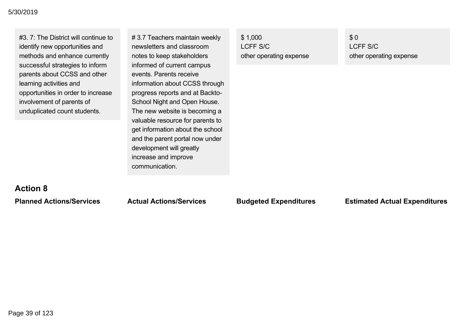#3. 7: The District will continue to identify new opportunities and methods and enhance currently successful strategies to inform parents about CCSS and other learning activities and opportunities in order to increase involvement of parents of unduplicated count students.

# 3.7 Teachers maintain weekly newsletters and classroom notes to keep stakeholders informed of current campus events. Parents receive information about CCSS through progress reports and at Backto School Night and Open House. The new website is becoming a valuable resource for parents to get information about the school and the parent portal now under development will greatly increase and improve communication.

\$ 1,000 LCFF S/C other operating expense \$ 0 LCFF S/C other operating expense

## **Action 8**

**Planned Actions/Services Actual Actions/Services Budgeted Expenditures Estimated Actual Expenditures**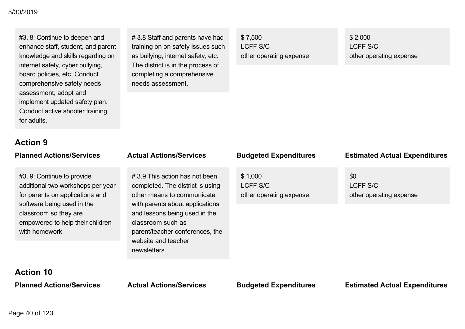#### **Planned Actions/Services Actual Actions/Services Budgeted Expenditures Estimated Actual Expenditures** 5/30/2019

#3. 8: Continue to deepen and enhance staff, student, and parent knowledge and skills regarding on internet safety, cyber bullying, board policies, etc. Conduct comprehensive safety needs assessment, adopt and implement updated safety plan. Conduct active shooter training for adults.

# 3.8 Staff and parents have had training on on safety issues such as bullying, internet safety, etc. The district is in the process of completing a comprehensive needs assessment.

\$ 7,500 LCFF S/C other operating expense \$ 2,000 LCFF S/C other operating expense

# **Action 9**

| <b>Planned Actions/Services</b>                                                                                                                                                                                | <b>Actual Actions/Services</b>                                                                                                                                                                                                                                     | <b>Budgeted Expenditures</b>                   | <b>Estimated Actual Expenditures</b>       |
|----------------------------------------------------------------------------------------------------------------------------------------------------------------------------------------------------------------|--------------------------------------------------------------------------------------------------------------------------------------------------------------------------------------------------------------------------------------------------------------------|------------------------------------------------|--------------------------------------------|
| #3. 9: Continue to provide<br>additional two workshops per year<br>for parents on applications and<br>software being used in the<br>classroom so they are<br>empowered to help their children<br>with homework | #3.9 This action has not been<br>completed. The district is using<br>other means to communicate<br>with parents about applications<br>and lessons being used in the<br>classroom such as<br>parent/teacher conferences, the<br>website and teacher<br>newsletters. | \$1,000<br>LCFF S/C<br>other operating expense | \$0<br>LCFF S/C<br>other operating expense |
| <b>Action 10</b>                                                                                                                                                                                               |                                                                                                                                                                                                                                                                    |                                                |                                            |
| <b>Planned Actions/Services</b>                                                                                                                                                                                | <b>Actual Actions/Services</b>                                                                                                                                                                                                                                     | <b>Budgeted Expenditures</b>                   | <b>Estimated Actual Expenditures</b>       |

Page 40 of 123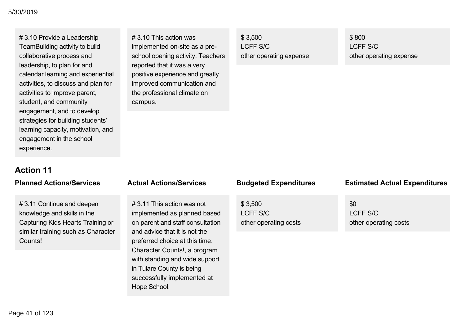# 3.10 Provide a Leadership TeamBuilding activity to build collaborative process and leadership, to plan for and calendar learning and experiential activities, to discuss and plan for activities to improve parent, student, and community engagement, and to develop strategies for building students' learning capacity, motivation, and engagement in the school experience.

# 3.10 This action was implemented on-site as a preschool opening activity. Teachers reported that it was a very positive experience and greatly improved communication and the professional climate on campus.

\$ 3,500 LCFF S/C other operating expense \$ 800 LCFF S/C other operating expense

# **Action 11**

# 3.11 Continue and deepen knowledge and skills in the Capturing Kids Hearts Training or similar training such as Character Counts!

# 3.11 This action was not implemented as planned based on parent and staff consultation and advice that it is not the preferred choice at this time. Character Counts!, a program with standing and wide support in Tulare County is being successfully implemented at Hope School.

\$ 3,500 LCFF S/C other operating costs

#### **Planned Actions/Services Actual Actions/Services Budgeted Expenditures Estimated Actual Expenditures**

\$0 LCFF S/C other operating costs

**Action 12** Page 41 of 123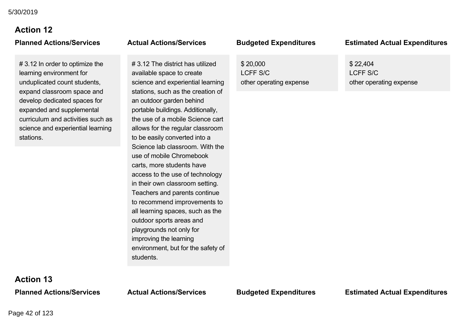# **Action 12**

# 3.12 In order to optimize the learning environment for unduplicated count students, expand classroom space and develop dedicated spaces for expanded and supplemental curriculum and activities such as science and experiential learning stations.

# 3.12 The district has utilized available space to create science and experiential learning stations, such as the creation of an outdoor garden behind portable buildings. Additionally, the use of a mobile Science cart allows for the regular classroom to be easily converted into a Science lab classroom. With the use of mobile Chromebook carts, more students have access to the use of technology in their own classroom setting. Teachers and parents continue to recommend improvements to all learning spaces, such as the outdoor sports areas and playgrounds not only for improving the learning environment, but for the safety of students.

\$ 20,000 LCFF S/C other operating expense

#### **Planned Actions/Services Actual Actions/Services Budgeted Expenditures Estimated Actual Expenditures**

\$ 22,404 LCFF S/C other operating expense

**Action 13**

**Planned Actions/Services Actual Actions/Services Budgeted Expenditures Estimated Actual Expenditures**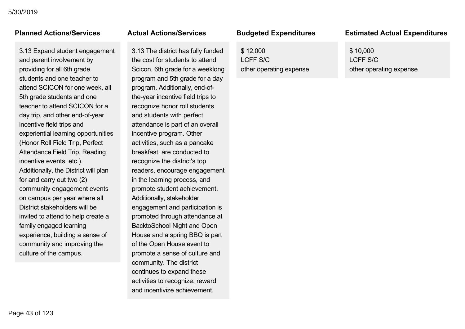3.13 Expand student engagement and parent involvement by providing for all 6th grade students and one teacher to attend SCICON for one week, all 5th grade students and one teacher to attend SCICON for a day trip, and other end-of-year incentive field trips and experiential learning opportunities (Honor Roll Field Trip, Perfect Attendance Field Trip, Reading incentive events, etc.). Additionally, the District will plan for and carry out two (2) community engagement events on campus per year where all District stakeholders will be invited to attend to help create a family engaged learning experience, building a sense of community and improving the culture of the campus.

3.13 The district has fully funded the cost for students to attend Scicon, 6th grade for a weeklong program and 5th grade for a day program. Additionally, end-ofthe-year incentive field trips to recognize honor roll students and students with perfect attendance is part of an overall incentive program. Other activities, such as a pancake breakfast, are conducted to recognize the district's top readers, encourage engagement in the learning process, and promote student achievement. Additionally, stakeholder engagement and participation is promoted through attendance at BacktoSchool Night and Open House and a spring BBQ is part of the Open House event to promote a sense of culture and community. The district continues to expand these activities to recognize, reward and incentivize achievement.

\$ 12,000 LCFF S/C other operating expense

### **Planned Actions/Services Actual Actions/Services Budgeted Expenditures Estimated Actual Expenditures Planned Actions/Services Actual Actions/Services Budgeted Expenditures Estimated Actual Expenditures**

\$ 10,000 LCFF S/C other operating expense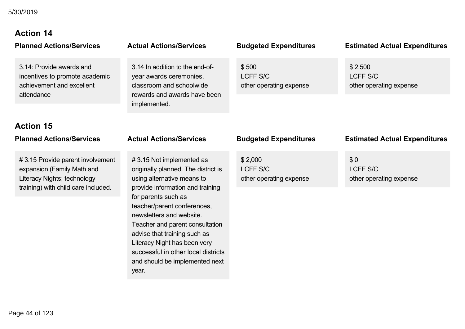# **Action 14**

3.14: Provide awards and incentives to promote academic achievement and excellent attendance

# **Action 15**

# 3.15 Provide parent involvement expansion (Family Math and Literacy Nights; technology training) with child care included.

# 3.14 In addition to the end-ofyear awards ceremonies, classroom and schoolwide rewards and awards have been

\$ 500 LCFF S/C other operating expense

#### **Planned Actions/Services Actual Actions/Services Budgeted Expenditures Estimated Actual Expenditures**

\$ 2,500 LCFF S/C other operating expense

implemented.

# 3.15 Not implemented as originally planned. The district is using alternative means to provide information and training for parents such as teacher/parent conferences, newsletters and website. Teacher and parent consultation advise that training such as Literacy Night has been very successful in other local districts and should be implemented next year.

\$ 2,000 LCFF S/C other operating expense

#### **Planned Actions/Services Actual Actions/Services Budgeted Expenditures Estimated Actual Expenditures**

\$ 0 LCFF S/C other operating expense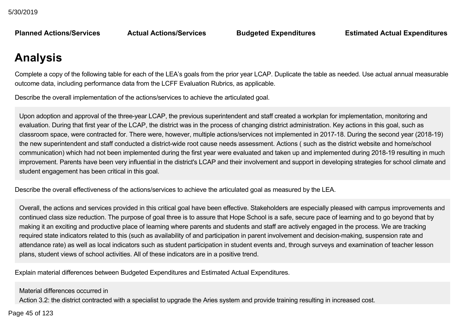**Planned Actions/Services Actual Actions/Services Budgeted Expenditures Estimated Actual Expenditures**

# **Analysis**

Complete a copy of the following table for each of the LEA's goals from the prior year LCAP. Duplicate the table as needed. Use actual annual measurable outcome data, including performance data from the LCFF Evaluation Rubrics, as applicable.

Describe the overall implementation of the actions/services to achieve the articulated goal.

Upon adoption and approval of the three-year LCAP, the previous superintendent and staff created a workplan for implementation, monitoring and evaluation. During that first year of the LCAP, the district was in the process of changing district administration. Key actions in this goal, such as classroom space, were contracted for. There were, however, multiple actions/services not implemented in 2017-18. During the second year (2018-19) the new superintendent and staff conducted a district-wide root cause needs assessment. Actions (such as the district website and home/school communication) which had not been implemented during the first year were evaluated and taken up and implemented during 2018-19 resulting in much improvement. Parents have been very influential in the district's LCAP and their involvement and support in developing strategies for school climate and student engagement has been critical in this goal.

Describe the overall effectiveness of the actions/services to achieve the articulated goal as measured by the LEA.

Overall, the actions and services provided in this critical goal have been effective. Stakeholders are especially pleased with campus improvements and continued class size reduction. The purpose of goal three is to assure that Hope School is a safe, secure pace of learning and to go beyond that by making it an exciting and productive place of learning where parents and students and staff are actively engaged in the process. We are tracking required state indicators related to this (such as availability of and participation in parent involvement and decision-making, suspension rate and attendance rate) as well as local indicators such as student participation in student events and, through surveys and examination of teacher lesson plans, student views of school activities. All of these indicators are in a positive trend.

Explain material differences between Budgeted Expenditures and Estimated Actual Expenditures.

Material differences occurred in

Action 3.2: the district contracted with a specialist to upgrade the Aries system and provide training resulting in increased cost.

 $\frac{16}{5}$  of 199  $A^{\text{max}}$  and there were no costs included on this year action this year action this year action this year action this year action that  $A$ Page 45 of 123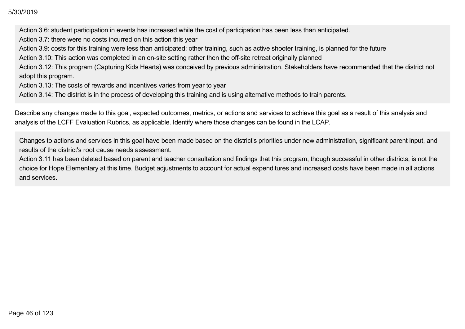Action 3.6: student participation in events has increased while the cost of participation has been less than anticipated.

Action 3.7: there were no costs incurred on this action this year

Action 3.9: costs for this training were less than anticipated; other training, such as active shooter training, is planned for the future

Action 3.10: This action was completed in an on-site setting rather then the off-site retreat originally planned

Action 3.12: This program (Capturing Kids Hearts) was conceived by previous administration. Stakeholders have recommended that the district not adopt this program.

Action 3.13: The costs of rewards and incentives varies from year to year

Action 3.14: The district is in the process of developing this training and is using alternative methods to train parents.

Describe any changes made to this goal, expected outcomes, metrics, or actions and services to achieve this goal as a result of this analysis and analysis of the LCFF Evaluation Rubrics, as applicable. Identify where those changes can be found in the LCAP.

Changes to actions and services in this goal have been made based on the district's priorities under new administration, significant parent input, and results of the district's root cause needs assessment.

Action 3.11 has been deleted based on parent and teacher consultation and findings that this program, though successful in other districts, is not the choice for Hope Elementary at this time. Budget adjustments to account for actual expenditures and increased costs have been made in all actions and services.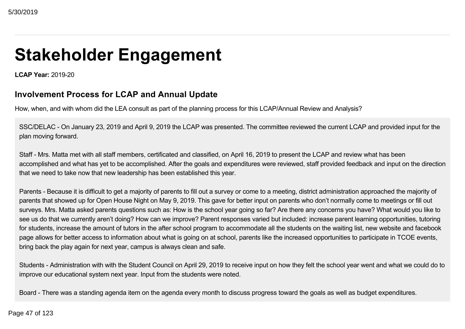# **Stakeholder Engagement**

**LCAP Year: 2019-20** 

### **Involvement Process for LCAP and Annual Update**

How, when, and with whom did the LEA consult as part of the planning process for this LCAP/Annual Review and Analysis?

SSC/DELAC - On January 23, 2019 and April 9, 2019 the LCAP was presented. The committee reviewed the current LCAP and provided input for the plan moving forward.

Staff - Mrs. Matta met with all staff members, certificated and classified, on April 16, 2019 to present the LCAP and review what has been accomplished and what has yet to be accomplished. After the goals and expenditures were reviewed, staff provided feedback and input on the direction that we need to take now that new leadership has been established this year.

Parents - Because it is difficult to get a majority of parents to fill out a survey or come to a meeting, district administration approached the majority of parents that showed up for Open House Night on May 9, 2019. This gave for better input on parents who don't normally come to meetings or fill out surveys. Mrs. Matta asked parents questions such as: How is the school year going so far? Are there any concerns you have? What would you like to see us do that we currently aren't doing? How can we improve? Parent responses varied but included: increase parent learning opportunities, tutoring for students, increase the amount of tutors in the after school program to accommodate all the students on the waiting list, new website and facebook page allows for better access to information about what is going on at school, parents like the increased opportunities to participate in TCOE events, bring back the play again for next year, campus is always clean and safe.

Students - Administration with with the Student Council on April 29, 2019 to receive input on how they felt the school year went and what we could do to improve our educational system next year. Input from the students were noted.

Board There was a standing agenda item on the agenda every month to discuss progress toward the goals as well as budget expenditures.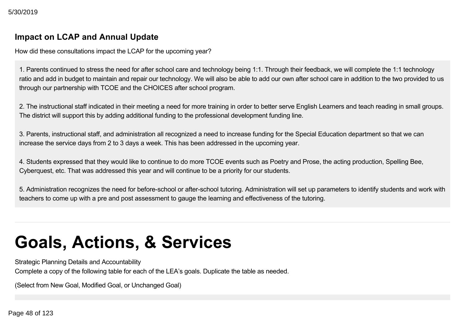### **Impact on LCAP and Annual Update**

How did these consultations impact the LCAP for the upcoming year?

1. Parents continued to stress the need for after school care and technology being 1:1. Through their feedback, we will complete the 1:1 technology ratio and add in budget to maintain and repair our technology. We will also be able to add our own after school care in addition to the two provided to us through our partnership with TCOE and the CHOICES after school program.

2. The instructional staff indicated in their meeting a need for more training in order to better serve English Learners and teach reading in small groups. The district will support this by adding additional funding to the professional development funding line.

3. Parents, instructional staff, and administration all recognized a need to increase funding for the Special Education department so that we can increase the service days from 2 to 3 days a week. This has been addressed in the upcoming year.

4. Students expressed that they would like to continue to do more TCOE events such as Poetry and Prose, the acting production, Spelling Bee, Cyberquest, etc. That was addressed this year and will continue to be a priority for our students.

5. Administration recognizes the need for before-school or after-school tutoring. Administration will set up parameters to identify students and work with teachers to come up with a pre and post assessment to gauge the learning and effectiveness of the tutoring.

# **Goals, Actions, & Services**

Strategic Planning Details and Accountability

Complete a copy of the following table for each of the LEA's goals. Duplicate the table as needed.

(Select from New Goal, Modified Goal, or Unchanged Goal)

Page 48 of 123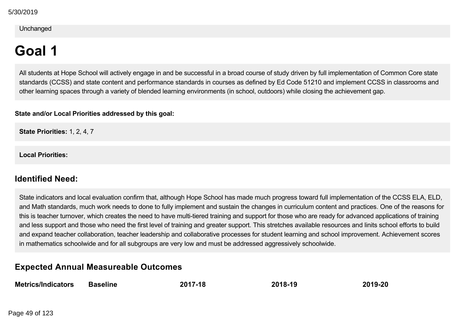#### Unchanged

# **Goal 1**

All students at Hope School will actively engage in and be successful in a broad course of study driven by full implementation of Common Core state standards (CCSS) and state content and performance standards in courses as defined by Ed Code 51210 and implement CCSS in classrooms and other learning spaces through a variety of blended learning environments (in school, outdoors) while closing the achievement gap.

#### **State and/or Local Priorities addressed by this goal:**

**State Priorities:** 1, 2, 4, 7

**Local Priorities:**

### **Identified Need:**

State indicators and local evaluation confirm that, although Hope School has made much progress toward full implementation of the CCSS ELA, ELD, and Math standards, much work needs to done to fully implement and sustain the changes in curriculum content and practices. One of the reasons for this is teacher turnover, which creates the need to have multi-tiered training and support for those who are ready for advanced applications of training and less support and those who need the first level of training and greater support. This stretches available resources and linits school efforts to build and expand teacher collaboration, teacher leadership and collaborative processes for student learning and school improvement. Achievement scores in mathematics schoolwide and for all subgroups are very low and must be addressed aggressively schoolwide.

### **Expected Annual Measureable Outcomes**

| <b>Metrics/Indicators</b> | <b>Baseline</b> | 2017-18 | 2018-19 | 2019-20 |
|---------------------------|-----------------|---------|---------|---------|
|                           |                 |         |         |         |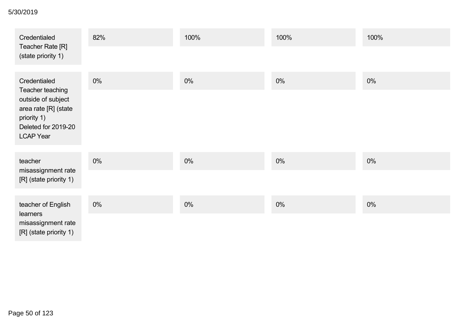#### **Metrics/Indicators Baseline 201718 201819 201920** 5/30/2019

| Credentialed<br>Teacher Rate [R]                                                                                         | 82%   | 100%  | 100%  | 100%  |
|--------------------------------------------------------------------------------------------------------------------------|-------|-------|-------|-------|
| (state priority 1)                                                                                                       |       |       |       |       |
| Credentialed                                                                                                             | $0\%$ | $0\%$ | 0%    | 0%    |
| Teacher teaching<br>outside of subject<br>area rate [R] (state<br>priority 1)<br>Deleted for 2019-20<br><b>LCAP Year</b> |       |       |       |       |
| teacher                                                                                                                  | 0%    | 0%    | 0%    | $0\%$ |
| misassignment rate<br>[R] (state priority 1)                                                                             |       |       |       |       |
| teacher of English<br>learners                                                                                           | $0\%$ | $0\%$ | $0\%$ | $0\%$ |
| misassignment rate<br>[R] (state priority 1)                                                                             |       |       |       |       |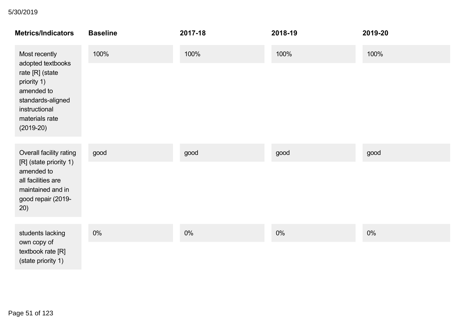| <b>Metrics/Indicators</b>                                                                                                                | <b>Baseline</b> | 2017-18 | 2018-19 | 2019-20 |
|------------------------------------------------------------------------------------------------------------------------------------------|-----------------|---------|---------|---------|
| Most recently                                                                                                                            | 100%            | 100%    | 100%    | 100%    |
| adopted textbooks<br>rate [R] (state<br>priority 1)<br>amended to<br>standards-aligned<br>instructional<br>materials rate<br>$(2019-20)$ |                 |         |         |         |
| Overall facility rating                                                                                                                  | good            | good    | good    | good    |
| [R] (state priority 1)<br>amended to<br>all facilities are<br>maintained and in<br>good repair (2019-<br>20)                             |                 |         |         |         |
| students lacking                                                                                                                         | $0\%$           | $0\%$   | $0\%$   | $0\%$   |
| own copy of<br>textbook rate [R]<br>(state priority 1)                                                                                   |                 |         |         |         |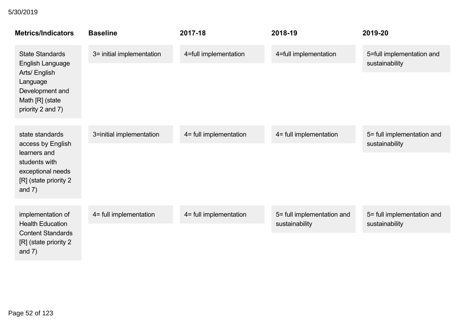| <b>Metrics/Indicators</b>                                                                | <b>Baseline</b>           | 2017-18                | 2018-19                    | 2019-20                                      |
|------------------------------------------------------------------------------------------|---------------------------|------------------------|----------------------------|----------------------------------------------|
| <b>State Standards</b><br><b>English Language</b>                                        | 3= initial implementation | 4=full implementation  | 4=full implementation      | 5=full implementation and<br>sustainability  |
| Arts/ English<br>Language<br>Development and<br>Math [R] (state<br>priority 2 and 7)     |                           |                        |                            |                                              |
| state standards<br>access by English                                                     | 3=initial implementation  | 4= full implementation | 4= full implementation     | 5= full implementation and<br>sustainability |
| learners and<br>students with<br>exceptional needs<br>[R] (state priority 2<br>and $7)$  |                           |                        |                            |                                              |
| implementation of                                                                        | 4= full implementation    | 4= full implementation | 5= full implementation and | 5= full implementation and                   |
| <b>Health Education</b><br><b>Content Standards</b><br>[R] (state priority 2<br>and $7)$ |                           |                        | sustainability             | sustainability                               |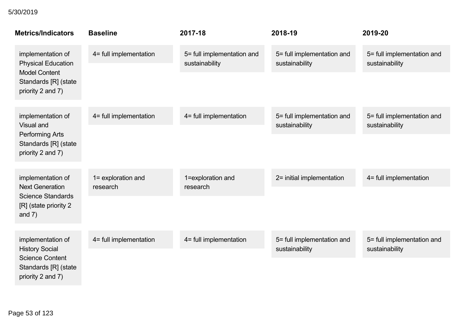| <b>Metrics/Indicators</b>                                           | <b>Baseline</b>                | 2017-18                                      | 2018-19                                      | 2019-20                                      |
|---------------------------------------------------------------------|--------------------------------|----------------------------------------------|----------------------------------------------|----------------------------------------------|
| implementation of<br><b>Physical Education</b>                      | 4= full implementation         | 5= full implementation and<br>sustainability | 5= full implementation and<br>sustainability | 5= full implementation and<br>sustainability |
| <b>Model Content</b><br>Standards [R] (state<br>priority 2 and 7)   |                                |                                              |                                              |                                              |
| implementation of<br><b>Visual and</b>                              | 4= full implementation         | 4= full implementation                       | 5= full implementation and<br>sustainability | 5= full implementation and<br>sustainability |
| <b>Performing Arts</b><br>Standards [R] (state<br>priority 2 and 7) |                                |                                              |                                              |                                              |
| implementation of<br><b>Next Generation</b>                         | 1= exploration and<br>research | 1=exploration and<br>research                | 2= initial implementation                    | 4= full implementation                       |
| <b>Science Standards</b><br>[R] (state priority 2<br>and $7)$       |                                |                                              |                                              |                                              |
| implementation of<br><b>History Social</b>                          | 4= full implementation         | 4= full implementation                       | 5= full implementation and<br>sustainability | 5= full implementation and<br>sustainability |
| <b>Science Content</b><br>Standards [R] (state<br>priority 2 and 7) |                                |                                              |                                              |                                              |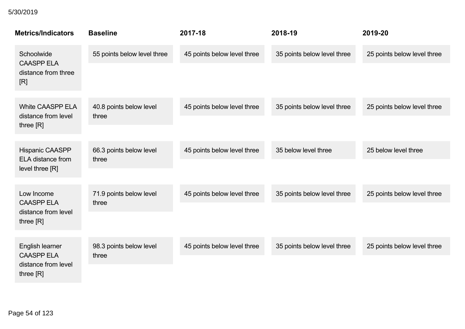| <b>Metrics/Indicators</b>                          | <b>Baseline</b>                  | 2017-18                     | 2018-19                     | 2019-20                     |
|----------------------------------------------------|----------------------------------|-----------------------------|-----------------------------|-----------------------------|
| Schoolwide<br><b>CAASPP ELA</b>                    | 55 points below level three      | 45 points below level three | 35 points below level three | 25 points below level three |
| distance from three<br>[R]                         |                                  |                             |                             |                             |
| <b>White CAASPP ELA</b><br>distance from level     | 40.8 points below level<br>three | 45 points below level three | 35 points below level three | 25 points below level three |
| three $[R]$                                        |                                  |                             |                             |                             |
| <b>Hispanic CAASPP</b><br><b>ELA</b> distance from | 66.3 points below level<br>three | 45 points below level three | 35 below level three        | 25 below level three        |
| level three [R]                                    |                                  |                             |                             |                             |
| Low Income<br><b>CAASPP ELA</b>                    | 71.9 points below level<br>three | 45 points below level three | 35 points below level three | 25 points below level three |
| distance from level<br>three $[R]$                 |                                  |                             |                             |                             |
| English learner<br><b>CAASPP ELA</b>               | 98.3 points below level<br>three | 45 points below level three | 35 points below level three | 25 points below level three |
| distance from level<br>three [R]                   |                                  |                             |                             |                             |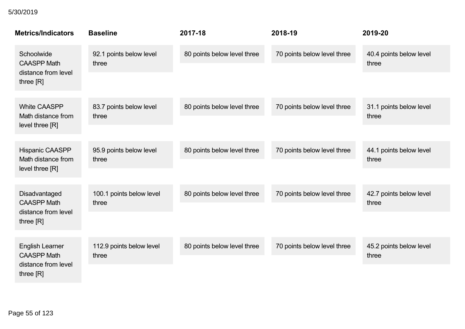| <b>Metrics/Indicators</b>                                           | <b>Baseline</b>                   | 2017-18                     | 2018-19                     | 2019-20                          |
|---------------------------------------------------------------------|-----------------------------------|-----------------------------|-----------------------------|----------------------------------|
| Schoolwide<br><b>CAASPP Math</b><br>distance from level             | 92.1 points below level<br>three  | 80 points below level three | 70 points below level three | 40.4 points below level<br>three |
| three $[R]$                                                         |                                   |                             |                             |                                  |
| <b>White CAASPP</b><br>Math distance from                           | 83.7 points below level<br>three  | 80 points below level three | 70 points below level three | 31.1 points below level<br>three |
| level three [R]                                                     |                                   |                             |                             |                                  |
| <b>Hispanic CAASPP</b><br>Math distance from                        | 95.9 points below level<br>three  | 80 points below level three | 70 points below level three | 44.1 points below level<br>three |
| level three [R]                                                     |                                   |                             |                             |                                  |
| Disadvantaged<br><b>CAASPP Math</b>                                 | 100.1 points below level<br>three | 80 points below level three | 70 points below level three | 42.7 points below level<br>three |
| distance from level<br>three $[R]$                                  |                                   |                             |                             |                                  |
| <b>English Learner</b><br><b>CAASPP Math</b><br>distance from level | 112.9 points below level<br>three | 80 points below level three | 70 points below level three | 45.2 points below level<br>three |
| three [R]                                                           |                                   |                             |                             |                                  |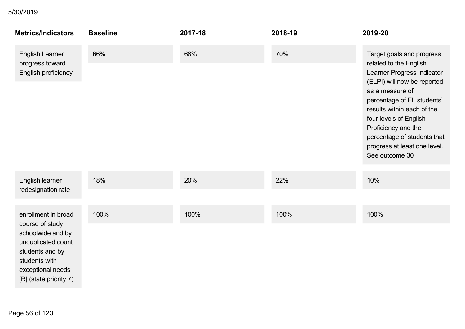| <b>Metrics/Indicators</b>                                                                                                  | <b>Baseline</b> | 2017-18 | 2018-19 | 2019-20                                                                                                                                                                                                                                                                                                                           |
|----------------------------------------------------------------------------------------------------------------------------|-----------------|---------|---------|-----------------------------------------------------------------------------------------------------------------------------------------------------------------------------------------------------------------------------------------------------------------------------------------------------------------------------------|
| <b>English Learner</b><br>progress toward<br>English proficiency                                                           | 66%             | 68%     | 70%     | Target goals and progress<br>related to the English<br>Learner Progress Indicator<br>(ELPI) will now be reported<br>as a measure of<br>percentage of EL students'<br>results within each of the<br>four levels of English<br>Proficiency and the<br>percentage of students that<br>progress at least one level.<br>See outcome 30 |
| English learner<br>redesignation rate                                                                                      | 18%             | 20%     | 22%     | 10%                                                                                                                                                                                                                                                                                                                               |
|                                                                                                                            |                 |         |         |                                                                                                                                                                                                                                                                                                                                   |
| enrollment in broad<br>course of study                                                                                     | 100%            | 100%    | 100%    | 100%                                                                                                                                                                                                                                                                                                                              |
| schoolwide and by<br>unduplicated count<br>students and by<br>students with<br>exceptional needs<br>[R] (state priority 7) |                 |         |         |                                                                                                                                                                                                                                                                                                                                   |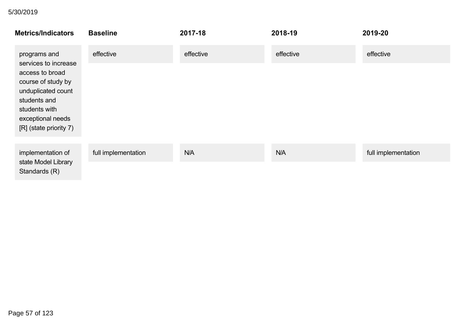| <b>Metrics/Indicators</b>                                                                          | <b>Baseline</b>     | 2017-18   | 2018-19   | 2019-20             |
|----------------------------------------------------------------------------------------------------|---------------------|-----------|-----------|---------------------|
| programs and<br>services to increase<br>access to broad<br>course of study by                      | effective           | effective | effective | effective           |
| unduplicated count<br>students and<br>students with<br>exceptional needs<br>[R] (state priority 7) |                     |           |           |                     |
| implementation of                                                                                  | full implementation | N/A       | N/A       | full implementation |
| state Model Library<br>Standards (R)                                                               |                     |           |           |                     |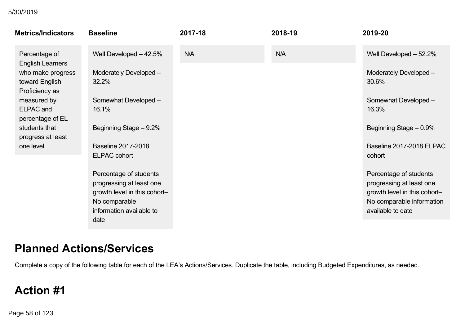#### implementation of 5/30/2019

| <b>Metrics/Indicators</b>                             | <b>Baseline</b>                                                                                                                         | 2017-18 | 2018-19 | 2019-20                                                                                                                              |
|-------------------------------------------------------|-----------------------------------------------------------------------------------------------------------------------------------------|---------|---------|--------------------------------------------------------------------------------------------------------------------------------------|
| Percentage of<br><b>English Learners</b>              | Well Developed $-42.5%$                                                                                                                 | N/A     | N/A     | Well Developed - 52.2%                                                                                                               |
| who make progress<br>toward English<br>Proficiency as | Moderately Developed -<br>32.2%                                                                                                         |         |         | Moderately Developed-<br>30.6%                                                                                                       |
| measured by<br><b>ELPAC</b> and<br>percentage of EL   | Somewhat Developed -<br>16.1%                                                                                                           |         |         | Somewhat Developed -<br>16.3%                                                                                                        |
| students that<br>progress at least                    | Beginning Stage - 9.2%                                                                                                                  |         |         | Beginning Stage - 0.9%                                                                                                               |
| one level                                             | <b>Baseline 2017-2018</b><br><b>ELPAC cohort</b>                                                                                        |         |         | Baseline 2017-2018 ELPAC<br>cohort                                                                                                   |
|                                                       | Percentage of students<br>progressing at least one<br>growth level in this cohort-<br>No comparable<br>information available to<br>date |         |         | Percentage of students<br>progressing at least one<br>growth level in this cohort-<br>No comparable information<br>available to date |
|                                                       |                                                                                                                                         |         |         |                                                                                                                                      |

# **Planned Actions/Services**

Complete a copy of the following table for each of the LEA's Actions/Services. Duplicate the table, including Budgeted Expenditures, as needed.

# **Action #1**

Page 58 of 123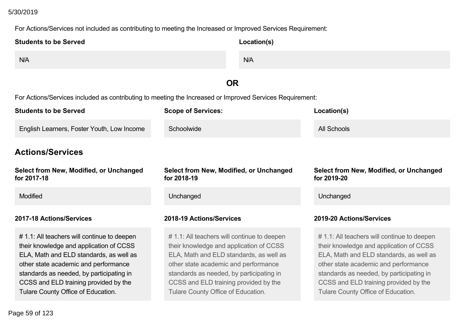## **Action #1** 5/30/2019

#### For Actions/Services not included as contributing to meeting the Increased or Improved Services Requirement:

| <b>Students to be Served</b>                                                                                                                                                                                                                                                                         | Location(s)                                                                                                                                                                                                                                                                                         |                                                                                                                                                                                                                                                                                                      |
|------------------------------------------------------------------------------------------------------------------------------------------------------------------------------------------------------------------------------------------------------------------------------------------------------|-----------------------------------------------------------------------------------------------------------------------------------------------------------------------------------------------------------------------------------------------------------------------------------------------------|------------------------------------------------------------------------------------------------------------------------------------------------------------------------------------------------------------------------------------------------------------------------------------------------------|
| N/A                                                                                                                                                                                                                                                                                                  | N/A                                                                                                                                                                                                                                                                                                 |                                                                                                                                                                                                                                                                                                      |
|                                                                                                                                                                                                                                                                                                      | <b>OR</b>                                                                                                                                                                                                                                                                                           |                                                                                                                                                                                                                                                                                                      |
|                                                                                                                                                                                                                                                                                                      | For Actions/Services included as contributing to meeting the Increased or Improved Services Requirement:                                                                                                                                                                                            |                                                                                                                                                                                                                                                                                                      |
| <b>Students to be Served</b>                                                                                                                                                                                                                                                                         | <b>Scope of Services:</b>                                                                                                                                                                                                                                                                           | Location(s)                                                                                                                                                                                                                                                                                          |
| English Learners, Foster Youth, Low Income                                                                                                                                                                                                                                                           | Schoolwide                                                                                                                                                                                                                                                                                          | <b>All Schools</b>                                                                                                                                                                                                                                                                                   |
| <b>Actions/Services</b>                                                                                                                                                                                                                                                                              |                                                                                                                                                                                                                                                                                                     |                                                                                                                                                                                                                                                                                                      |
| Select from New, Modified, or Unchanged<br>for 2017-18                                                                                                                                                                                                                                               | Select from New, Modified, or Unchanged<br>for 2018-19                                                                                                                                                                                                                                              | <b>Select from New, Modified, or Unchanged</b><br>for 2019-20                                                                                                                                                                                                                                        |
| Modified                                                                                                                                                                                                                                                                                             | Unchanged                                                                                                                                                                                                                                                                                           | Unchanged                                                                                                                                                                                                                                                                                            |
| 2017-18 Actions/Services                                                                                                                                                                                                                                                                             | 2018-19 Actions/Services                                                                                                                                                                                                                                                                            | 2019-20 Actions/Services                                                                                                                                                                                                                                                                             |
| # 1.1: All teachers will continue to deepen<br>their knowledge and application of CCSS<br>ELA, Math and ELD standards, as well as<br>other state academic and performance<br>standards as needed, by participating in<br>CCSS and ELD training provided by the<br>Tulare County Office of Education. | #1.1: All teachers will continue to deepen<br>their knowledge and application of CCSS<br>ELA, Math and ELD standards, as well as<br>other state academic and performance<br>standards as needed, by participating in<br>CCSS and ELD training provided by the<br>Tulare County Office of Education. | # 1.1: All teachers will continue to deepen<br>their knowledge and application of CCSS<br>ELA, Math and ELD standards, as well as<br>other state academic and performance<br>standards as needed, by participating in<br>CCSS and ELD training provided by the<br>Tulare County Office of Education. |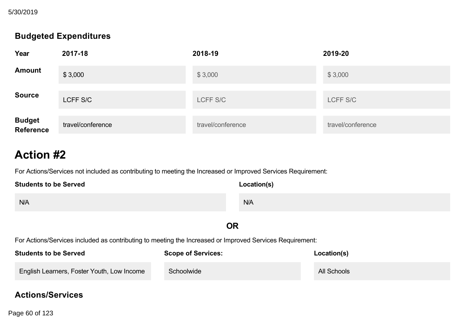Tulare County Office of Education. 5/30/2019

### **Budgeted Expenditures**

| Year                        | 2017-18           | 2018-19           | 2019-20           |
|-----------------------------|-------------------|-------------------|-------------------|
| <b>Amount</b>               | \$3,000           | \$3,000           | \$3,000           |
| <b>Source</b>               | LCFF S/C          | LCFF S/C          | LCFF S/C          |
| <b>Budget<br/>Reference</b> | travel/conference | travel/conference | travel/conference |

# **Action #2**

For Actions/Services not included as contributing to meeting the Increased or Improved Services Requirement:

| <b>Students to be Served</b> | Location(s) |
|------------------------------|-------------|
| N/A                          | N/A         |
|                              | OR          |

For Actions/Services included as contributing to meeting the Increased or Improved Services Requirement:

| <b>Students to be Served</b>                      | <b>Scope of Services:</b> | Location(s) |
|---------------------------------------------------|---------------------------|-------------|
| <b>English Learners, Foster Youth, Low Income</b> | Schoolwide                | All Schools |

### **Actions/Services**

**Page 60 of 123**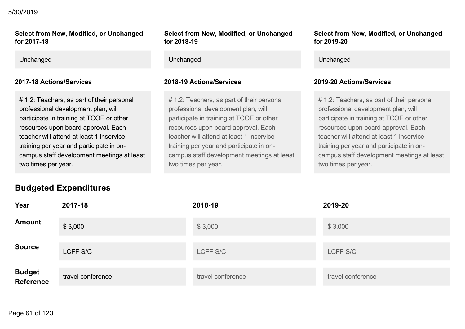## **Actions/Services** 5/30/2019

#### **Select from New, Modified, or Unchanged for 201718**

# 1.2: Teachers, as part of their personal professional development plan, will participate in training at TCOE or other resources upon board approval. Each teacher will attend at least 1 inservice training per year and participate in oncampus staff development meetings at least two times per year.

**Budgeted Expenditures**

#### **Select from New, Modified, or Unchanged for 201819**

Unchanged Unchanged Unchanged

# 1.2: Teachers, as part of their personal professional development plan, will participate in training at TCOE or other resources upon board approval. Each teacher will attend at least 1 inservice training per year and participate in oncampus staff development meetings at least two times per year.

**Select from New, Modified, or Unchanged for 201920**

#### **201718 Actions/Services 201819 Actions/Services 201920 Actions/Services**

# 1.2: Teachers, as part of their personal professional development plan, will participate in training at TCOE or other resources upon board approval. Each teacher will attend at least 1 inservice training per year and participate in oncampus staff development meetings at least two times per year.

| Year                              | 2017-18           | 2018-19           | 2019-20           |
|-----------------------------------|-------------------|-------------------|-------------------|
| <b>Amount</b>                     | \$3,000           | \$3,000           | \$3,000           |
| <b>Source</b>                     | LCFF S/C          | LCFF S/C          | LCFF S/C          |
| <b>Budget</b><br><b>Reference</b> | travel conference | travel conference | travel conference |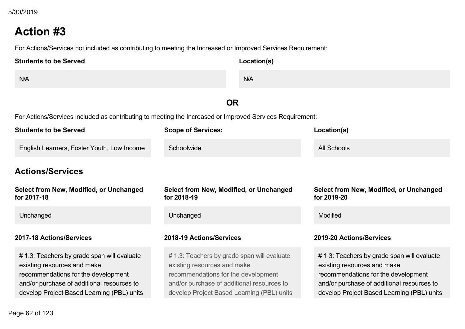# **Action #3**

For Actions/Services not included as contributing to meeting the Increased or Improved Services Requirement:

| <b>Students to be Served</b> | Location(s) |
|------------------------------|-------------|
| N/A                          | N/A         |

### **OR**

For Actions/Services included as contributing to meeting the Increased or Improved Services Requirement:

| <b>Students to be Served</b>                                                                                                                                                                                  | <b>Scope of Services:</b>                                                                                                                                                                                     | Location(s)                                                                                                                                                                                                   |
|---------------------------------------------------------------------------------------------------------------------------------------------------------------------------------------------------------------|---------------------------------------------------------------------------------------------------------------------------------------------------------------------------------------------------------------|---------------------------------------------------------------------------------------------------------------------------------------------------------------------------------------------------------------|
| English Learners, Foster Youth, Low Income                                                                                                                                                                    | Schoolwide                                                                                                                                                                                                    | All Schools                                                                                                                                                                                                   |
| <b>Actions/Services</b>                                                                                                                                                                                       |                                                                                                                                                                                                               |                                                                                                                                                                                                               |
| Select from New, Modified, or Unchanged<br>for 2017-18                                                                                                                                                        | Select from New, Modified, or Unchanged<br>for 2018-19                                                                                                                                                        | Select from New, Modified, or Unchanged<br>for 2019-20                                                                                                                                                        |
| Unchanged                                                                                                                                                                                                     | Unchanged                                                                                                                                                                                                     | <b>Modified</b>                                                                                                                                                                                               |
| 2017-18 Actions/Services                                                                                                                                                                                      | 2018-19 Actions/Services                                                                                                                                                                                      | 2019-20 Actions/Services                                                                                                                                                                                      |
| # 1.3: Teachers by grade span will evaluate<br>existing resources and make<br>recommendations for the development<br>and/or purchase of additional resources to<br>develop Project Based Learning (PBL) units | # 1.3: Teachers by grade span will evaluate<br>existing resources and make<br>recommendations for the development<br>and/or purchase of additional resources to<br>develop Project Based Learning (PBL) units | # 1.3: Teachers by grade span will evaluate<br>existing resources and make<br>recommendations for the development<br>and/or purchase of additional resources to<br>develop Project Based Learning (PBL) units |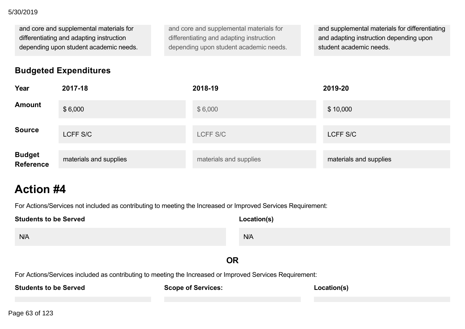#### and/or purchase of additional resources to 5/30/2019

and core and supplemental materials for differentiating and adapting instruction depending upon student academic needs.

and core and supplemental materials for differentiating and adapting instruction depending upon student academic needs. and supplemental materials for differentiating and adapting instruction depending upon student academic needs.

### **Budgeted Expenditures**

| Year                              | 2017-18                | 2018-19                | 2019-20                |
|-----------------------------------|------------------------|------------------------|------------------------|
| <b>Amount</b>                     | \$6,000                | \$6,000                | \$10,000               |
| <b>Source</b>                     | LCFF S/C               | LCFF S/C               | LCFF S/C               |
| <b>Budget</b><br><b>Reference</b> | materials and supplies | materials and supplies | materials and supplies |

# **Action #4**

For Actions/Services not included as contributing to meeting the Increased or Improved Services Requirement:

| <b>Students to be Served</b>                                                                             | Location(s) |  |
|----------------------------------------------------------------------------------------------------------|-------------|--|
| N/A                                                                                                      | N/A         |  |
| <b>OR</b>                                                                                                |             |  |
| For Actions/Services included as contributing to meeting the Increased or Improved Services Requirement: |             |  |
| <b>Students to be Served</b><br><b>Scope of Services:</b>                                                | Location(s) |  |

Page 63 of 123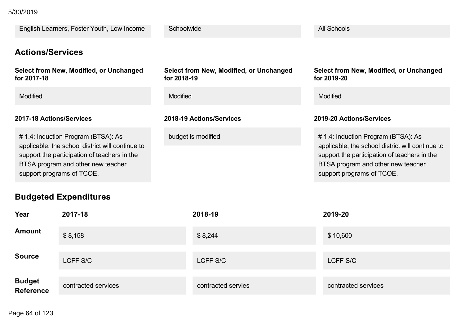#### **Students to be Served** 5/30/2019

| English Learners, Foster Youth, Low Income                                                                                                                                                                 | Schoolwide                                             | <b>All Schools</b>                                                                                                                                                                                         |
|------------------------------------------------------------------------------------------------------------------------------------------------------------------------------------------------------------|--------------------------------------------------------|------------------------------------------------------------------------------------------------------------------------------------------------------------------------------------------------------------|
| <b>Actions/Services</b>                                                                                                                                                                                    |                                                        |                                                                                                                                                                                                            |
| Select from New, Modified, or Unchanged<br>for 2017-18                                                                                                                                                     | Select from New, Modified, or Unchanged<br>for 2018-19 | Select from New, Modified, or Unchanged<br>for 2019-20                                                                                                                                                     |
| <b>Modified</b>                                                                                                                                                                                            | <b>Modified</b>                                        | <b>Modified</b>                                                                                                                                                                                            |
| 2017-18 Actions/Services                                                                                                                                                                                   | 2018-19 Actions/Services                               | 2019-20 Actions/Services                                                                                                                                                                                   |
| # 1.4: Induction Program (BTSA): As<br>applicable, the school district will continue to<br>support the participation of teachers in the<br>BTSA program and other new teacher<br>support programs of TCOE. | budget is modified                                     | # 1.4: Induction Program (BTSA): As<br>applicable, the school district will continue to<br>support the participation of teachers in the<br>BTSA program and other new teacher<br>support programs of TCOE. |

## **Budgeted Expenditures**

| Year                        | 2017-18             | 2018-19            | 2019-20             |
|-----------------------------|---------------------|--------------------|---------------------|
| <b>Amount</b>               | \$8,158             | \$8,244            | \$10,600            |
| <b>Source</b>               | LCFF S/C            | LCFF S/C           | LCFF S/C            |
| <b>Budget<br/>Reference</b> | contracted services | contracted servies | contracted services |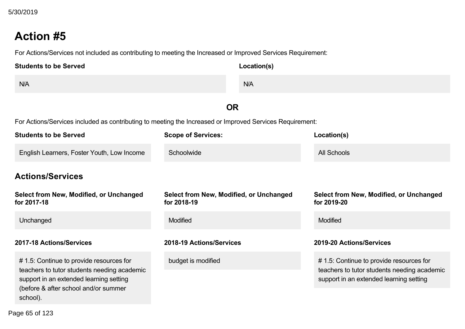# **Action #5**

For Actions/Services not included as contributing to meeting the Increased or Improved Services Requirement:

| <b>Students to be Served</b> | Location(s) |
|------------------------------|-------------|
| N/A                          | N/A         |
|                              | ОR          |

For Actions/Services included as contributing to meeting the Increased or Improved Services Requirement:

| <b>Students to be Served</b>                                                                                                                                              | <b>Scope of Services:</b>                              | Location(s)                                                                                                                       |
|---------------------------------------------------------------------------------------------------------------------------------------------------------------------------|--------------------------------------------------------|-----------------------------------------------------------------------------------------------------------------------------------|
| English Learners, Foster Youth, Low Income                                                                                                                                | Schoolwide                                             | <b>All Schools</b>                                                                                                                |
| <b>Actions/Services</b>                                                                                                                                                   |                                                        |                                                                                                                                   |
| Select from New, Modified, or Unchanged<br>for 2017-18                                                                                                                    | Select from New, Modified, or Unchanged<br>for 2018-19 | Select from New, Modified, or Unchanged<br>for 2019-20                                                                            |
| Unchanged                                                                                                                                                                 | <b>Modified</b>                                        | <b>Modified</b>                                                                                                                   |
| 2017-18 Actions/Services                                                                                                                                                  | 2018-19 Actions/Services                               | 2019-20 Actions/Services                                                                                                          |
| #1.5: Continue to provide resources for<br>teachers to tutor students needing academic<br>support in an extended learning setting<br>(before & after school and/or summer | budget is modified                                     | #1.5: Continue to provide resources for<br>teachers to tutor students needing academic<br>support in an extended learning setting |
| school).                                                                                                                                                                  |                                                        |                                                                                                                                   |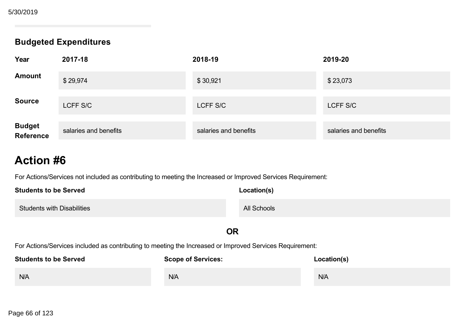### **Budgeted Expenditures**

| Year                        | 2017-18               | 2018-19               | 2019-20               |
|-----------------------------|-----------------------|-----------------------|-----------------------|
| <b>Amount</b>               | \$29,974              | \$30,921              | \$23,073              |
| <b>Source</b>               | LCFF S/C              | LCFF S/C              | LCFF S/C              |
| <b>Budget<br/>Reference</b> | salaries and benefits | salaries and benefits | salaries and benefits |

# **Action #6**

For Actions/Services not included as contributing to meeting the Increased or Improved Services Requirement:

| <b>Students to be Served</b>      | Location(s) |
|-----------------------------------|-------------|
| <b>Students with Disabilities</b> | All Schools |

### **OR**

For Actions/Services included as contributing to meeting the Increased or Improved Services Requirement:

| <b>Students to be Served</b> | <b>Scope of Services:</b> | Location(s) |
|------------------------------|---------------------------|-------------|
| N/A                          | N/A                       | N/A         |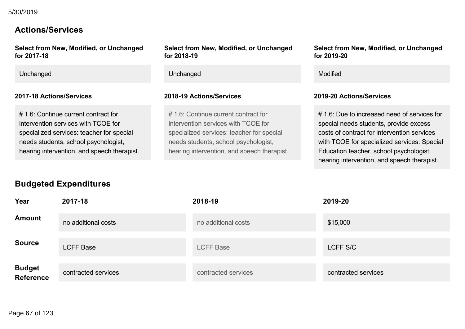### **Actions/Services**

**Select from New, Modified, or Unchanged for 201718**

# 1.6: Continue current contract for intervention services with TCOE for specialized services: teacher for special needs students, school psychologist, hearing intervention, and speech therapist.

#### **Select from New, Modified, or Unchanged for 201819**

Unchanged **Modified** Modified Contains a structure of the Unchanged Contains a structure of the Modified

#### **201718 Actions/Services 201819 Actions/Services 201920 Actions/Services**

# 1.6: Continue current contract for intervention services with TCOE for specialized services: teacher for special needs students, school psychologist, hearing intervention, and speech therapist. **Select from New, Modified, or Unchanged for 201920**

# 1.6: Due to increased need of services for special needs students, provide excess costs of contract for intervention services with TCOE for specialized services: Special Education teacher, school psychologist, hearing intervention, and speech therapist.

## **Budgeted Expenditures**

| Year                        | 2017-18             | 2018-19             | 2019-20             |
|-----------------------------|---------------------|---------------------|---------------------|
| <b>Amount</b>               | no additional costs | no additional costs | \$15,000            |
| <b>Source</b>               | <b>LCFF Base</b>    | <b>LCFF Base</b>    | LCFF S/C            |
| <b>Budget<br/>Reference</b> | contracted services | contracted services | contracted services |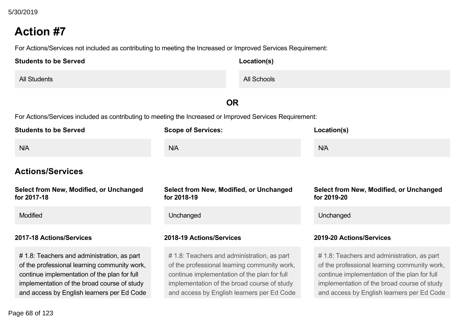# **Action #7**

For Actions/Services not included as contributing to meeting the Increased or Improved Services Requirement:

| <b>Students to be Served</b> | Location(s) |
|------------------------------|-------------|
| <b>All Students</b>          | All Schools |

## **OR**

For Actions/Services included as contributing to meeting the Increased or Improved Services Requirement:

| <b>Students to be Served</b>                                                                                                                                                                                                             | <b>Scope of Services:</b>                                                                                                                                                                                                                | Location(s)                                                                                                                                                                                                                              |
|------------------------------------------------------------------------------------------------------------------------------------------------------------------------------------------------------------------------------------------|------------------------------------------------------------------------------------------------------------------------------------------------------------------------------------------------------------------------------------------|------------------------------------------------------------------------------------------------------------------------------------------------------------------------------------------------------------------------------------------|
| N/A                                                                                                                                                                                                                                      | <b>N/A</b>                                                                                                                                                                                                                               | N/A                                                                                                                                                                                                                                      |
| <b>Actions/Services</b>                                                                                                                                                                                                                  |                                                                                                                                                                                                                                          |                                                                                                                                                                                                                                          |
| Select from New, Modified, or Unchanged<br>for 2017-18                                                                                                                                                                                   | Select from New, Modified, or Unchanged<br>for 2018-19                                                                                                                                                                                   | Select from New, Modified, or Unchanged<br>for 2019-20                                                                                                                                                                                   |
| Modified                                                                                                                                                                                                                                 | Unchanged                                                                                                                                                                                                                                | Unchanged                                                                                                                                                                                                                                |
| 2017-18 Actions/Services                                                                                                                                                                                                                 | 2018-19 Actions/Services                                                                                                                                                                                                                 | 2019-20 Actions/Services                                                                                                                                                                                                                 |
| # 1.8: Teachers and administration, as part<br>of the professional learning community work,<br>continue implementation of the plan for full<br>implementation of the broad course of study<br>and access by English learners per Ed Code | # 1.8: Teachers and administration, as part<br>of the professional learning community work,<br>continue implementation of the plan for full<br>implementation of the broad course of study<br>and access by English learners per Ed Code | # 1.8: Teachers and administration, as part<br>of the professional learning community work,<br>continue implementation of the plan for full<br>implementation of the broad course of study<br>and access by English learners per Ed Code |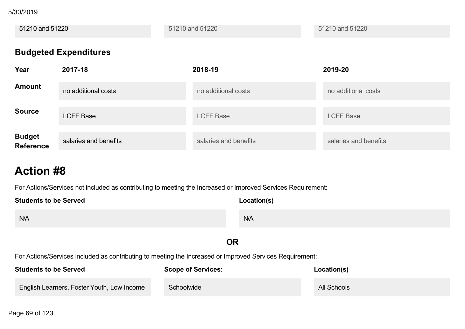implementation of the broad course of study 5/30/2019

51210 and 51220 51210 and 51220 51210 and 51220 **Budgeted Expenditures Year 201718 201819 201920 Amount** no additional costs no additional costs no additional costs **Source** LCFF Base LCFF Base LCFF Base **Budget**

salaries and benefits salaries and salaries and benefits salaries and benefits salaries and benefits

# **Action #8**

**Reference**

For Actions/Services not included as contributing to meeting the Increased or Improved Services Requirement:

| <b>Students to be Served</b> | Location(s) |
|------------------------------|-------------|
| N/A                          | N/A         |

### **OR**

For Actions/Services included as contributing to meeting the Increased or Improved Services Requirement:

| <b>Students to be Served</b>                      | <b>Scope of Services:</b> | Location(s) |
|---------------------------------------------------|---------------------------|-------------|
| <b>English Learners, Foster Youth, Low Income</b> | Schoolwide                | All Schools |

Page 69 of 123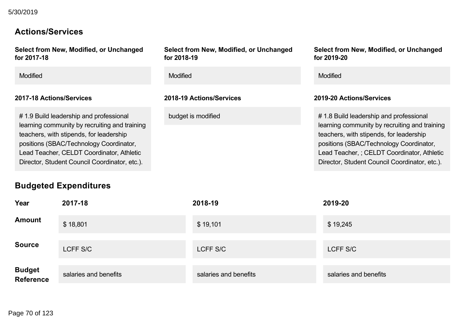### **Actions/Services**

**Select from New, Modified, or Unchanged** for 2017-18

### **201718 Actions/Services 201819 Actions/Services 201920 Actions/Services**

# 1.9 Build leadership and professional learning community by recruiting and training teachers, with stipends, for leadership positions (SBAC/Technology Coordinator, Lead Teacher, CELDT Coordinator, Athletic Director, Student Council Coordinator, etc.).

## **Budgeted Expenditures**

**Select from New, Modified, or Unchanged for 201819**

Modified Modified Modified

**Select from New, Modified, or Unchanged for 201920**

budget is modified budget is modified  $\# 1.8$  Build leadership and professional learning community by recruiting and training teachers, with stipends, for leadership positions (SBAC/Technology Coordinator, Lead Teacher, ; CELDT Coordinator, Athletic Director, Student Council Coordinator, etc.).

| Year                        | 2017-18               | 2018-19               | 2019-20               |
|-----------------------------|-----------------------|-----------------------|-----------------------|
| <b>Amount</b>               | \$18,801              | \$19,101              | \$19,245              |
| <b>Source</b>               | LCFF S/C              | LCFF S/C              | LCFF S/C              |
| <b>Budget<br/>Reference</b> | salaries and benefits | salaries and benefits | salaries and benefits |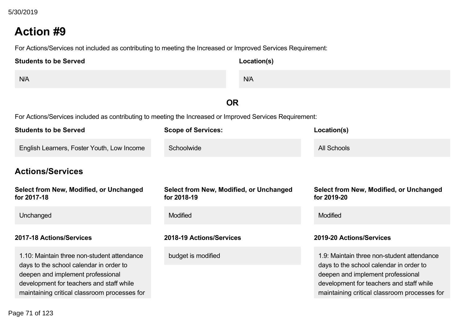# **Action #9**

For Actions/Services not included as contributing to meeting the Increased or Improved Services Requirement:

| <b>Students to be Served</b> | Location(s) |
|------------------------------|-------------|
| N/A                          | N/A         |

### **OR**

For Actions/Services included as contributing to meeting the Increased or Improved Services Requirement:

| <b>Students to be Served</b>                                                                                                                                                                                            | <b>Scope of Services:</b>                              | Location(s)                                                                                                                                                                                                            |
|-------------------------------------------------------------------------------------------------------------------------------------------------------------------------------------------------------------------------|--------------------------------------------------------|------------------------------------------------------------------------------------------------------------------------------------------------------------------------------------------------------------------------|
| English Learners, Foster Youth, Low Income                                                                                                                                                                              | Schoolwide                                             | <b>All Schools</b>                                                                                                                                                                                                     |
| <b>Actions/Services</b>                                                                                                                                                                                                 |                                                        |                                                                                                                                                                                                                        |
| Select from New, Modified, or Unchanged<br>for 2017-18                                                                                                                                                                  | Select from New, Modified, or Unchanged<br>for 2018-19 | Select from New, Modified, or Unchanged<br>for 2019-20                                                                                                                                                                 |
| Unchanged                                                                                                                                                                                                               | <b>Modified</b>                                        | <b>Modified</b>                                                                                                                                                                                                        |
| 2017-18 Actions/Services                                                                                                                                                                                                | 2018-19 Actions/Services                               | 2019-20 Actions/Services                                                                                                                                                                                               |
| 1.10: Maintain three non-student attendance<br>days to the school calendar in order to<br>deepen and implement professional<br>development for teachers and staff while<br>maintaining critical classroom processes for | budget is modified                                     | 1.9: Maintain three non-student attendance<br>days to the school calendar in order to<br>deepen and implement professional<br>development for teachers and staff while<br>maintaining critical classroom processes for |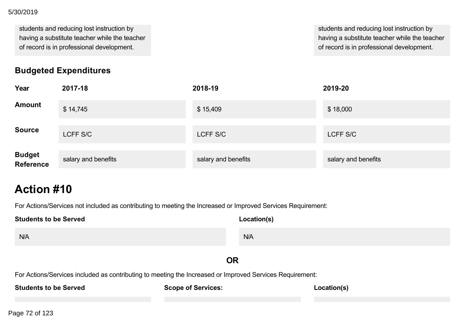#### development for teachers and staff while 5/30/2019

students and reducing lost instruction by having a substitute teacher while the teacher of record is in professional development.

**Budgeted Expenditures**

students and reducing lost instruction by having a substitute teacher while the teacher of record is in professional development.

| Year                | 2017-18             | 2018-19             | 2019-20             |
|---------------------|---------------------|---------------------|---------------------|
| <b>Amount</b>       | \$14,745            | \$15,409            | \$18,000            |
| <b>Source</b>       | LCFF S/C            | LCFF S/C            | LCFF S/C            |
| Budget<br>Reference | salary and benefits | salary and benefits | salary and benefits |

# **Action #10**

For Actions/Services not included as contributing to meeting the Increased or Improved Services Requirement:

| <b>Students to be Served</b>                                                                             | Location(s) |  |  |  |
|----------------------------------------------------------------------------------------------------------|-------------|--|--|--|
| N/A                                                                                                      | N/A         |  |  |  |
| <b>OR</b>                                                                                                |             |  |  |  |
| For Actions/Services included as contributing to meeting the Increased or Improved Services Requirement: |             |  |  |  |
| <b>Students to be Served</b><br><b>Scope of Services:</b>                                                | Location(s) |  |  |  |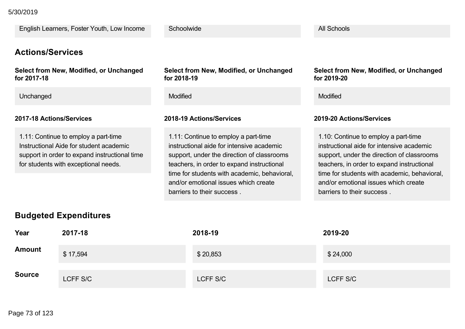English Learners, Foster Youth, Low Income

#### **Actions/Services**

**Select from New, Modified, or Unchanged for 201718**

Unchanged Modified Modified

#### **201718 Actions/Services 201819 Actions/Services 201920 Actions/Services**

1.11: Continue to employ a part-time Instructional Aide for student academic support in order to expand instructional time for students with exceptional needs.

**Select from New, Modified, or Unchanged for 201819**

**Schoolwide** 

1.11: Continue to employ a part-time instructional aide for intensive academic support, under the direction of classrooms teachers, in order to expand instructional time for students with academic, behavioral, and/or emotional issues which create barriers to their success .

**Select from New, Modified, or Unchanged for 201920**

All Schools

1.10: Continue to employ a part-time instructional aide for intensive academic support, under the direction of classrooms teachers, in order to expand instructional time for students with academic, behavioral, and/or emotional issues which create barriers to their success .

#### **Budgeted Expenditures**

| Year          | 2017-18  | 2018-19  | 2019-20  |
|---------------|----------|----------|----------|
| <b>Amount</b> | \$17,594 | \$20,853 | \$24,000 |
| <b>Source</b> | LCFF S/C | LCFF S/C | LCFF S/C |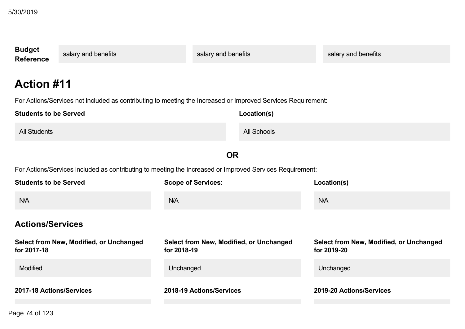| <b>Budget</b><br><b>Reference</b>                                     | salary and benefits                                                                                          | salary and benefits                            |                    | salary and benefits                                           |
|-----------------------------------------------------------------------|--------------------------------------------------------------------------------------------------------------|------------------------------------------------|--------------------|---------------------------------------------------------------|
| <b>Action #11</b>                                                     | For Actions/Services not included as contributing to meeting the Increased or Improved Services Requirement: |                                                |                    |                                                               |
| <b>Students to be Served</b>                                          |                                                                                                              |                                                | Location(s)        |                                                               |
| <b>All Students</b>                                                   |                                                                                                              |                                                | <b>All Schools</b> |                                                               |
|                                                                       |                                                                                                              | <b>OR</b>                                      |                    |                                                               |
|                                                                       | For Actions/Services included as contributing to meeting the Increased or Improved Services Requirement:     |                                                |                    |                                                               |
| <b>Students to be Served</b><br><b>Scope of Services:</b>             |                                                                                                              |                                                |                    | Location(s)                                                   |
| N/A                                                                   |                                                                                                              | N/A                                            |                    | N/A                                                           |
| <b>Actions/Services</b>                                               |                                                                                                              |                                                |                    |                                                               |
| Select from New, Modified, or Unchanged<br>for 2018-19<br>for 2017-18 |                                                                                                              | <b>Select from New, Modified, or Unchanged</b> |                    | <b>Select from New, Modified, or Unchanged</b><br>for 2019-20 |
| Modified                                                              |                                                                                                              | Unchanged                                      |                    | Unchanged                                                     |
| 2017-18 Actions/Services                                              |                                                                                                              | 2018-19 Actions/Services                       |                    | 2019-20 Actions/Services                                      |

 $1.71 \cdot 100$ Page 74 of 123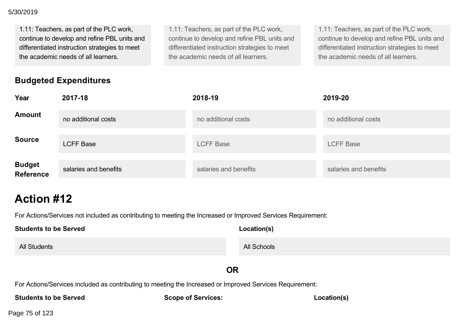1.11: Teachers, as part of the PLC work, continue to develop and refine PBL units and differentiated instruction strategies to meet the academic needs of all learners.

#### 1.11: Teachers, as part of the PLC work, continue to develop and refine PBL units and differentiated instruction strategies to meet the academic needs of all learners.

1.11: Teachers, as part of the PLC work, continue to develop and refine PBL units and differentiated instruction strategies to meet the academic needs of all learners.

## **Budgeted Expenditures**

| Year                        | 2017-18               | 2018-19               | 2019-20               |
|-----------------------------|-----------------------|-----------------------|-----------------------|
| <b>Amount</b>               | no additional costs   | no additional costs   | no additional costs   |
| <b>Source</b>               | <b>LCFF Base</b>      | <b>LCFF Base</b>      | <b>LCFF Base</b>      |
| <b>Budget<br/>Reference</b> | salaries and benefits | salaries and benefits | salaries and benefits |

# **Action #12**

For Actions/Services not included as contributing to meeting the Increased or Improved Services Requirement:

| <b>Students to be Served</b> | Location(s) |
|------------------------------|-------------|
| <b>All Students</b>          | All Schools |

### **OR**

For Actions/Services included as contributing to meeting the Increased or Improved Services Requirement:

**Students to be Served**

**Scope of Services:**

**Location(s)**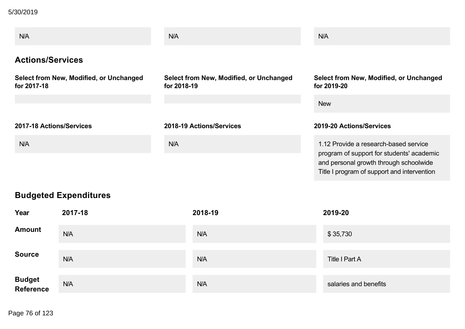5/30/2019

| N/A                                                    | N/A                                                    | N/A                                                                                                                                                                         |
|--------------------------------------------------------|--------------------------------------------------------|-----------------------------------------------------------------------------------------------------------------------------------------------------------------------------|
| <b>Actions/Services</b>                                |                                                        |                                                                                                                                                                             |
| Select from New, Modified, or Unchanged<br>for 2017-18 | Select from New, Modified, or Unchanged<br>for 2018-19 | Select from New, Modified, or Unchanged<br>for 2019-20                                                                                                                      |
|                                                        |                                                        | <b>New</b>                                                                                                                                                                  |
| 2017-18 Actions/Services                               | 2018-19 Actions/Services                               | 2019-20 Actions/Services                                                                                                                                                    |
| N/A                                                    | N/A                                                    | 1.12 Provide a research-based service<br>program of support for students' academic<br>and personal growth through schoolwide<br>Title I program of support and intervention |

## **Budgeted Expenditures**

| Year                | 2017-18 | 2018-19    | 2019-20               |
|---------------------|---------|------------|-----------------------|
| <b>Amount</b>       | N/A     | <b>N/A</b> | \$35,730              |
| <b>Source</b>       | N/A     | <b>N/A</b> | Title I Part A        |
| Budget<br>Reference | N/A     | <b>N/A</b> | salaries and benefits |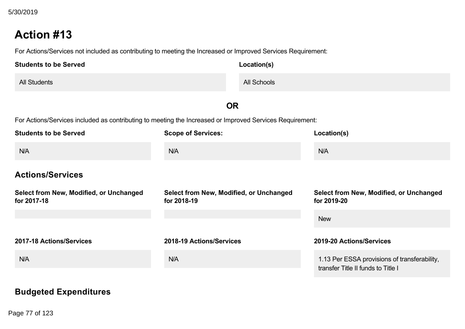For Actions/Services not included as contributing to meeting the Increased or Improved Services Requirement:

| <b>Students to be Served</b> | Location(s) |
|------------------------------|-------------|
| <b>All Students</b>          | All Schools |

**OR**

For Actions/Services included as contributing to meeting the Increased or Improved Services Requirement:

| <b>Students to be Served</b>                           | <b>Scope of Services:</b>                              | Location(s)                                                                        |
|--------------------------------------------------------|--------------------------------------------------------|------------------------------------------------------------------------------------|
| N/A                                                    | N/A                                                    | N/A                                                                                |
| <b>Actions/Services</b>                                |                                                        |                                                                                    |
| Select from New, Modified, or Unchanged<br>for 2017-18 | Select from New, Modified, or Unchanged<br>for 2018-19 | Select from New, Modified, or Unchanged<br>for 2019-20                             |
|                                                        |                                                        | <b>New</b>                                                                         |
| 2017-18 Actions/Services                               | 2018-19 Actions/Services                               | 2019-20 Actions/Services                                                           |
| N/A                                                    | N/A                                                    | 1.13 Per ESSA provisions of transferability,<br>transfer Title II funds to Title I |

## **Budgeted Expenditures**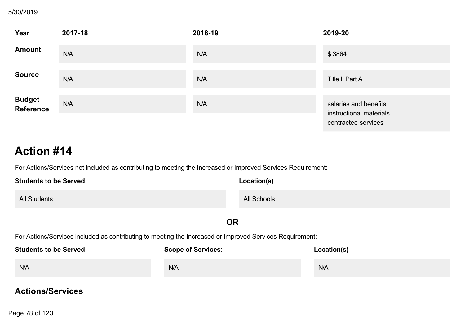## **Budgeted Expenditures** 5/30/2019

| Year                        | 2017-18 | 2018-19 | 2019-20                                                                 |
|-----------------------------|---------|---------|-------------------------------------------------------------------------|
| <b>Amount</b>               | N/A     | N/A     | \$3864                                                                  |
| <b>Source</b>               | N/A     | N/A     | <b>Title II Part A</b>                                                  |
| <b>Budget<br/>Reference</b> | N/A     | N/A     | salaries and benefits<br>instructional materials<br>contracted services |

# **Action #14**

For Actions/Services not included as contributing to meeting the Increased or Improved Services Requirement:

| <b>Students to be Served</b> | Location(s)        |
|------------------------------|--------------------|
| <b>All Students</b>          | <b>All Schools</b> |

#### **OR**

For Actions/Services included as contributing to meeting the Increased or Improved Services Requirement:

| <b>Students to be Served</b> | <b>Scope of Services:</b> | Location(s) |
|------------------------------|---------------------------|-------------|
| N/A                          | N/A                       | N/A         |

#### **Actions/Services**

 $\frac{36}{400}$  of 122 **for 201718** Page 78 of 123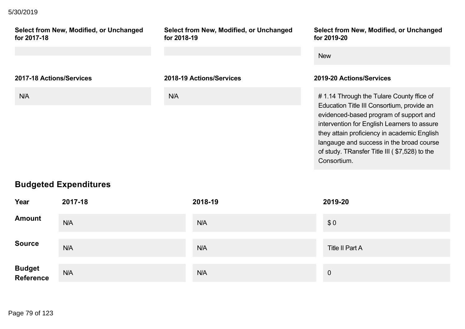#### **Actions/Services** 5/30/2019

**Select from New, Modified, or Unchanged for 201718 Select from New, Modified, or Unchanged for 201819 Select from New, Modified, or Unchanged for 201920** New **201718 Actions/Services 201819 Actions/Services 201920 Actions/Services** N/A **N/A** N/A **N/A** N/A **1.14 Through the Tulare County ffice of** Education Title III Consortium, provide an evidenced-based program of support and intervention for English Learners to assure they attain proficiency in academic English langauge and success in the broad course of study. TRansfer Title III ( \$7,528) to the Consortium.

### **Budgeted Expenditures**

| Year                | 2017-18    | 2018-19    | 2019-20         |
|---------------------|------------|------------|-----------------|
| <b>Amount</b>       | N/A        | <b>N/A</b> | \$0             |
| <b>Source</b>       | <b>N/A</b> | <b>N/A</b> | Title II Part A |
| Budget<br>Reference | N/A        | N/A        | $\overline{0}$  |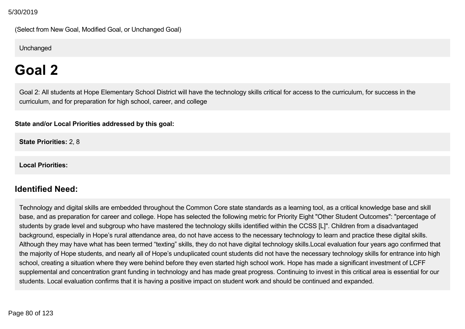(Select from New Goal, Modified Goal, or Unchanged Goal)

**Unchanged** 

# **Goal 2**

Goal 2: All students at Hope Elementary School District will have the technology skills critical for access to the curriculum, for success in the curriculum, and for preparation for high school, career, and college

**State and/or Local Priorities addressed by this goal:**

**State Priorities:** 2, 8

**Local Priorities:**

### **Identified Need:**

Technology and digital skills are embedded throughout the Common Core state standards as a learning tool, as a critical knowledge base and skill base, and as preparation for career and college. Hope has selected the following metric for Priority Eight "Other Student Outcomes": "percentage of students by grade level and subgroup who have mastered the technology skills identified within the CCSS [L]". Children from a disadvantaged background, especially in Hope's rural attendance area, do not have access to the necessary technology to learn and practice these digital skills. Although they may have what has been termed "texting" skills, they do not have digital technology skills.Local evaluation four years ago confirmed that the majority of Hope students, and nearly all of Hope's unduplicated count students did not have the necessary technology skills for entrance into high school, creating a situation where they were behind before they even started high school work. Hope has made a significant investment of LCFF supplemental and concentration grant funding in technology and has made great progress. Continuing to invest in this critical area is essential for our students. Local evaluation confirms that it is having a positive impact on student work and should be continued and expanded.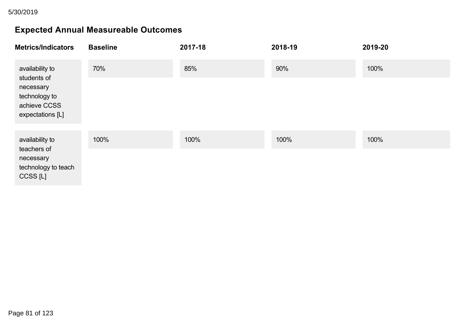## **Expected Annual Measureable Outcomes**

| <b>Metrics/Indicators</b>                                      | <b>Baseline</b> | 2017-18 | 2018-19 | 2019-20 |
|----------------------------------------------------------------|-----------------|---------|---------|---------|
| availability to<br>students of                                 | 70%             | 85%     | 90%     | 100%    |
| necessary<br>technology to<br>achieve CCSS<br>expectations [L] |                 |         |         |         |
| availability to                                                | 100%            | 100%    | 100%    | 100%    |
| teachers of<br>necessary<br>technology to teach<br>CCSS [L]    |                 |         |         |         |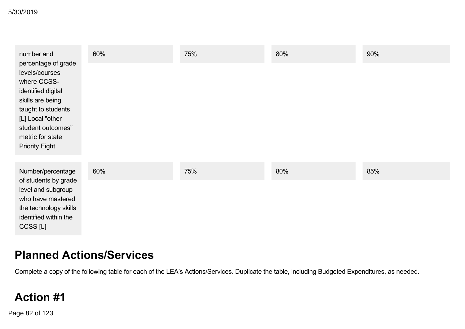| number and                                                                                                                                                                                                 | 60% | 75% | 80% | 90% |
|------------------------------------------------------------------------------------------------------------------------------------------------------------------------------------------------------------|-----|-----|-----|-----|
| percentage of grade<br>levels/courses<br>where CCSS-<br>identified digital<br>skills are being<br>taught to students<br>[L] Local "other<br>student outcomes"<br>metric for state<br><b>Priority Eight</b> |     |     |     |     |
| Number/percentage                                                                                                                                                                                          | 60% | 75% | 80% | 85% |
| of students by grade<br>level and subgroup<br>who have mastered<br>the technology skills<br>identified within the<br>CCSS [L]                                                                              |     |     |     |     |

## **Planned Actions/Services**

Complete a copy of the following table for each of the LEA's Actions/Services. Duplicate the table, including Budgeted Expenditures, as needed.

# **Action #1**

Page 82 of 123 and Increased as contributing the Increased or Improved Services Requirement: The Increased Services Requirement: The Increased Services Requirement: The Increased Services Requirement: The Increased Service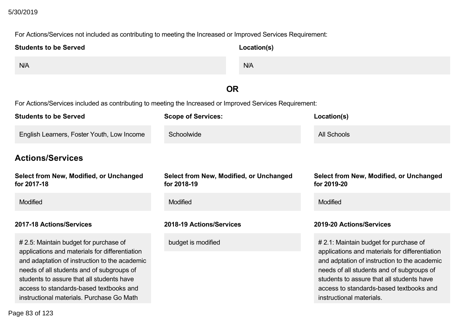# **Action #1** 5/30/2019

For Actions/Services not included as contributing to meeting the Increased or Improved Services Requirement:

| <b>Students to be Served</b>                                                                                                                                                                                                                                                                                                | Location(s)                                                                                              |                                                                                                                                                                                                                                                                                                           |
|-----------------------------------------------------------------------------------------------------------------------------------------------------------------------------------------------------------------------------------------------------------------------------------------------------------------------------|----------------------------------------------------------------------------------------------------------|-----------------------------------------------------------------------------------------------------------------------------------------------------------------------------------------------------------------------------------------------------------------------------------------------------------|
| N/A                                                                                                                                                                                                                                                                                                                         | N/A                                                                                                      |                                                                                                                                                                                                                                                                                                           |
|                                                                                                                                                                                                                                                                                                                             | <b>OR</b>                                                                                                |                                                                                                                                                                                                                                                                                                           |
|                                                                                                                                                                                                                                                                                                                             | For Actions/Services included as contributing to meeting the Increased or Improved Services Requirement: |                                                                                                                                                                                                                                                                                                           |
| <b>Students to be Served</b>                                                                                                                                                                                                                                                                                                | <b>Scope of Services:</b>                                                                                | Location(s)                                                                                                                                                                                                                                                                                               |
| English Learners, Foster Youth, Low Income                                                                                                                                                                                                                                                                                  | Schoolwide                                                                                               | <b>All Schools</b>                                                                                                                                                                                                                                                                                        |
| <b>Actions/Services</b>                                                                                                                                                                                                                                                                                                     |                                                                                                          |                                                                                                                                                                                                                                                                                                           |
| Select from New, Modified, or Unchanged<br>for 2017-18                                                                                                                                                                                                                                                                      | Select from New, Modified, or Unchanged<br>for 2018-19                                                   | <b>Select from New, Modified, or Unchanged</b><br>for 2019-20                                                                                                                                                                                                                                             |
| <b>Modified</b>                                                                                                                                                                                                                                                                                                             | Modified                                                                                                 | Modified                                                                                                                                                                                                                                                                                                  |
| 2017-18 Actions/Services                                                                                                                                                                                                                                                                                                    | 2018-19 Actions/Services                                                                                 | 2019-20 Actions/Services                                                                                                                                                                                                                                                                                  |
| # 2.5: Maintain budget for purchase of<br>applications and materials for differentiation<br>and adaptation of instruction to the academic<br>needs of all students and of subgroups of<br>students to assure that all students have<br>access to standards-based textbooks and<br>instructional materials. Purchase Go Math | budget is modified                                                                                       | # 2.1: Maintain budget for purchase of<br>applications and materials for differentiation<br>and adptation of instruction to the academic<br>needs of all students and of subgroups of<br>students to assure that all students have<br>access to standards-based textbooks and<br>instructional materials. |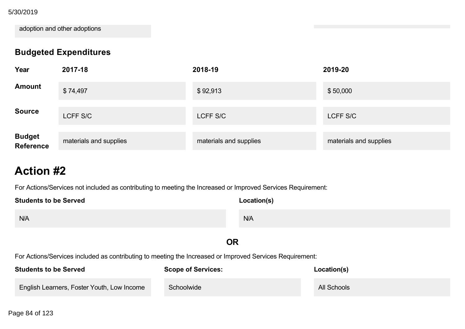access to standardsbased textbooks and 5/30/2019

adoption and other adoptions

## **Budgeted Expenditures**

| Year                        | 2017-18                | 2018-19                | 2019-20                |
|-----------------------------|------------------------|------------------------|------------------------|
| <b>Amount</b>               | \$74,497               | \$92,913               | \$50,000               |
| <b>Source</b>               | LCFF S/C               | LCFF S/C               | LCFF S/C               |
| <b>Budget<br/>Reference</b> | materials and supplies | materials and supplies | materials and supplies |

# **Action #2**

For Actions/Services not included as contributing to meeting the Increased or Improved Services Requirement:

| <b>Students to be Served</b> | Location(s) |
|------------------------------|-------------|
| N/A                          | N/A         |

## **OR**

For Actions/Services included as contributing to meeting the Increased or Improved Services Requirement:

| <b>Students to be Served</b>               | <b>Scope of Services:</b> | Location(s) |
|--------------------------------------------|---------------------------|-------------|
| English Learners, Foster Youth, Low Income | Schoolwide                | All Schools |

Page 84 of 123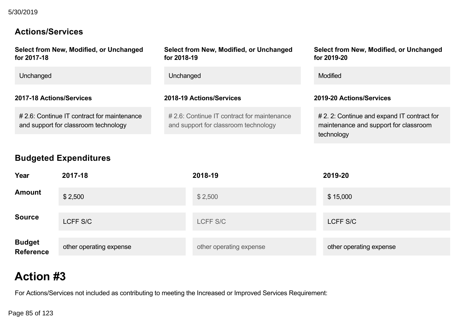## **Actions/Services**

| Select from New, Modified, or Unchanged<br>for 2017-18                              | Select from New, Modified, or Unchanged<br>for 2018-19                              | Select from New, Modified, or Unchanged<br>for 2019-20                                             |
|-------------------------------------------------------------------------------------|-------------------------------------------------------------------------------------|----------------------------------------------------------------------------------------------------|
| Unchanged                                                                           | Unchanged                                                                           | Modified                                                                                           |
| 2017-18 Actions/Services                                                            | 2018-19 Actions/Services                                                            | 2019-20 Actions/Services                                                                           |
| # 2.6: Continue IT contract for maintenance<br>and support for classroom technology | # 2.6: Continue IT contract for maintenance<br>and support for classroom technology | # 2. 2: Continue and expand IT contract for<br>maintenance and support for classroom<br>technology |

## **Budgeted Expenditures**

| Year                        | 2017-18                 | 2018-19                 | 2019-20                 |
|-----------------------------|-------------------------|-------------------------|-------------------------|
| <b>Amount</b>               | \$2,500                 | \$2,500                 | \$15,000                |
| <b>Source</b>               | LCFF S/C                | LCFF S/C                | LCFF S/C                |
| <b>Budget<br/>Reference</b> | other operating expense | other operating expense | other operating expense |

# **Action #3**

For Actions/Services not included as contributing to meeting the Increased or Improved Services Requirement:

Page 85 of 123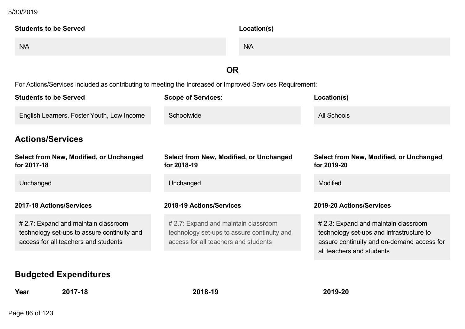#### $F_{\text{C}}$  and  $F_{\text{C}}$  included as contributing to meeting the Increased or Improved Services Requirement: 5/30/2019

| <b>Students to be Served</b>                                                                             | Location(s)       |  |
|----------------------------------------------------------------------------------------------------------|-------------------|--|
| N/A                                                                                                      | N/A               |  |
|                                                                                                          | OR                |  |
| For Actions/Services included as contributing to meeting the Increased or Improved Services Requirement: |                   |  |
| Otto de otra tra les Ormes d<br>$\mathbf{A}$                                                             | $1 - 2 = 11 - 11$ |  |

| <b>Students to be Served</b>                                                                                                | <b>Scope of Services:</b>                                                                                                   | Location(s)                                                                                                                                                 |
|-----------------------------------------------------------------------------------------------------------------------------|-----------------------------------------------------------------------------------------------------------------------------|-------------------------------------------------------------------------------------------------------------------------------------------------------------|
| English Learners, Foster Youth, Low Income                                                                                  | Schoolwide                                                                                                                  | All Schools                                                                                                                                                 |
| <b>Actions/Services</b>                                                                                                     |                                                                                                                             |                                                                                                                                                             |
| Select from New, Modified, or Unchanged<br>for 2017-18                                                                      | Select from New, Modified, or Unchanged<br>for 2018-19                                                                      | Select from New, Modified, or Unchanged<br>for 2019-20                                                                                                      |
| Unchanged                                                                                                                   | Unchanged                                                                                                                   | <b>Modified</b>                                                                                                                                             |
| 2017-18 Actions/Services                                                                                                    | 2018-19 Actions/Services                                                                                                    | 2019-20 Actions/Services                                                                                                                                    |
| # 2.7: Expand and maintain classroom<br>technology set-ups to assure continuity and<br>access for all teachers and students | # 2.7: Expand and maintain classroom<br>technology set-ups to assure continuity and<br>access for all teachers and students | # 2.3: Expand and maintain classroom<br>technology set-ups and infrastructure to<br>assure continuity and on-demand access for<br>all teachers and students |

## **Budgeted Expenditures**

**Year 201718 201819 201920**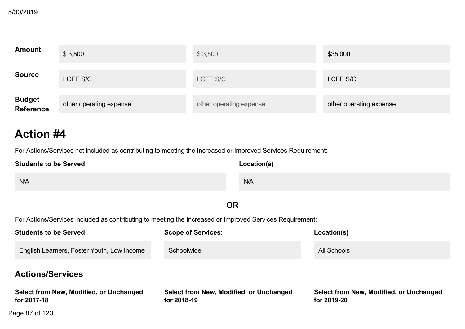| <b>Amount</b>               | \$3,500                 | \$3,500                 | \$35,000                |
|-----------------------------|-------------------------|-------------------------|-------------------------|
| <b>Source</b>               | LCFF S/C                | LCFF S/C                | LCFF S/C                |
| <b>Budget<br/>Reference</b> | other operating expense | other operating expense | other operating expense |

For Actions/Services not included as contributing to meeting the Increased or Improved Services Requirement:

| <b>Students to be Served</b> | Location(s) |
|------------------------------|-------------|
| N/A                          | N/A         |

### **OR**

For Actions/Services included as contributing to meeting the Increased or Improved Services Requirement:

 $U$ unchanged Unchanged Unchanged Unchanged Unchanged Unchanged Unchanged Unchanged Unchanged Unchanged Unchanged Unchanged Unchanged Unchanged Unchanged Unchanged Unchanged Unchanged Unchanged Unchanged Unchanged Unchange

| <b>Students to be Served</b>                           | <b>Scope of Services:</b>                              | Location(s)                                            |
|--------------------------------------------------------|--------------------------------------------------------|--------------------------------------------------------|
| English Learners, Foster Youth, Low Income             | Schoolwide                                             | All Schools                                            |
| <b>Actions/Services</b>                                |                                                        |                                                        |
| Select from New, Modified, or Unchanged<br>for 2017-18 | Select from New, Modified, or Unchanged<br>for 2018-19 | Select from New, Modified, or Unchanged<br>for 2019-20 |
| Page 87 of 123                                         |                                                        |                                                        |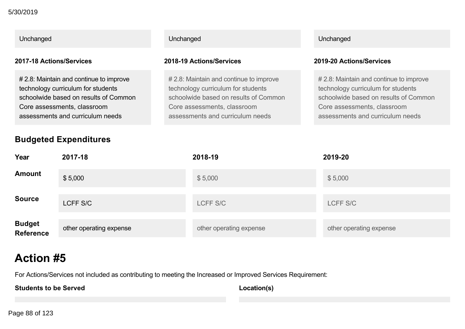| Unchanged                    |                                                                                                                                                                                           | Unchanged |                                                                                                                                                                                           |  | Unchanged                                                                                                                                                                                 |
|------------------------------|-------------------------------------------------------------------------------------------------------------------------------------------------------------------------------------------|-----------|-------------------------------------------------------------------------------------------------------------------------------------------------------------------------------------------|--|-------------------------------------------------------------------------------------------------------------------------------------------------------------------------------------------|
| 2017-18 Actions/Services     |                                                                                                                                                                                           |           | 2018-19 Actions/Services                                                                                                                                                                  |  | 2019-20 Actions/Services                                                                                                                                                                  |
|                              | # 2.8: Maintain and continue to improve<br>technology curriculum for students<br>schoolwide based on results of Common<br>Core assessments, classroom<br>assessments and curriculum needs |           | # 2.8: Maintain and continue to improve<br>technology curriculum for students<br>schoolwide based on results of Common<br>Core assessments, classroom<br>assessments and curriculum needs |  | # 2.8: Maintain and continue to improve<br>technology curriculum for students<br>schoolwide based on results of Common<br>Core assessments, classroom<br>assessments and curriculum needs |
| <b>Budgeted Expenditures</b> |                                                                                                                                                                                           |           |                                                                                                                                                                                           |  |                                                                                                                                                                                           |
| Year                         | 2017-18                                                                                                                                                                                   |           | 2018-19                                                                                                                                                                                   |  | 2019-20                                                                                                                                                                                   |
| <b>Amount</b>                | \$5,000                                                                                                                                                                                   |           | \$5,000                                                                                                                                                                                   |  | \$5,000                                                                                                                                                                                   |
| <b>Source</b>                | <b>LCFF S/C</b>                                                                                                                                                                           |           | <b>LCFF S/C</b>                                                                                                                                                                           |  | LCFF S/C                                                                                                                                                                                  |

other operating expense **other operation** other operating expense other operating expense

For Actions/Services not included as contributing to meeting the Increased or Improved Services Requirement:

**Students to be Served**

**Action #5**

**Location(s)**

Page 88 of 123

**Budget Reference**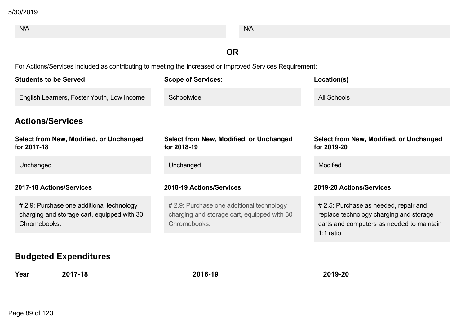| N/A                                                                                                      | N/A                                                                                                      |                                                                                                                                               |  |  |  |
|----------------------------------------------------------------------------------------------------------|----------------------------------------------------------------------------------------------------------|-----------------------------------------------------------------------------------------------------------------------------------------------|--|--|--|
|                                                                                                          |                                                                                                          |                                                                                                                                               |  |  |  |
|                                                                                                          | <b>OR</b>                                                                                                |                                                                                                                                               |  |  |  |
|                                                                                                          | For Actions/Services included as contributing to meeting the Increased or Improved Services Requirement: |                                                                                                                                               |  |  |  |
| <b>Students to be Served</b>                                                                             | <b>Scope of Services:</b>                                                                                | Location(s)                                                                                                                                   |  |  |  |
| English Learners, Foster Youth, Low Income                                                               | Schoolwide                                                                                               | <b>All Schools</b>                                                                                                                            |  |  |  |
| <b>Actions/Services</b>                                                                                  |                                                                                                          |                                                                                                                                               |  |  |  |
| Select from New, Modified, or Unchanged<br>for 2017-18                                                   | Select from New, Modified, or Unchanged<br>for 2018-19                                                   | Select from New, Modified, or Unchanged<br>for 2019-20                                                                                        |  |  |  |
| Unchanged                                                                                                | Unchanged                                                                                                | Modified                                                                                                                                      |  |  |  |
| 2017-18 Actions/Services                                                                                 | 2018-19 Actions/Services                                                                                 | 2019-20 Actions/Services                                                                                                                      |  |  |  |
| # 2.9: Purchase one additional technology<br>charging and storage cart, equipped with 30<br>Chromebooks. | # 2.9: Purchase one additional technology<br>charging and storage cart, equipped with 30<br>Chromebooks. | # 2.5: Purchase as needed, repair and<br>replace technology charging and storage<br>carts and computers as needed to maintain<br>$1:1$ ratio. |  |  |  |
| <b>Rudantod Evnonditurne</b>                                                                             |                                                                                                          |                                                                                                                                               |  |  |  |

#### **Budgeted Expenditures**

**Year 201718 201819 201920**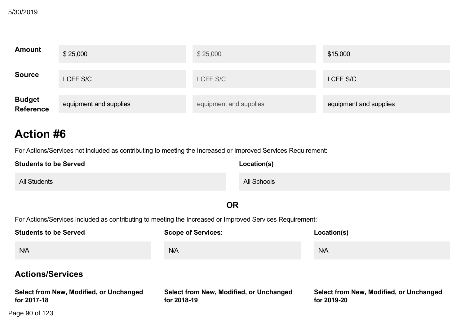| <b>Amount</b>                     | \$25,000               | \$25,000               | \$15,000               |
|-----------------------------------|------------------------|------------------------|------------------------|
| <b>Source</b>                     | LCFF S/C               | LCFF S/C               | LCFF S/C               |
| <b>Budget</b><br><b>Reference</b> | equipment and supplies | equipment and supplies | equipment and supplies |

For Actions/Services not included as contributing to meeting the Increased or Improved Services Requirement:

| <b>Students to be Served</b> | Location(s) |
|------------------------------|-------------|
| <b>All Students</b>          | All Schools |

#### **OR**

For Actions/Services included as contributing to meeting the Increased or Improved Services Requirement:

| <b>Students to be Served</b>                           | <b>Scope of Services:</b>                              | Location(s)                                            |
|--------------------------------------------------------|--------------------------------------------------------|--------------------------------------------------------|
| N/A                                                    | N/A                                                    | N/A                                                    |
| <b>Actions/Services</b>                                |                                                        |                                                        |
| Select from New, Modified, or Unchanged<br>for 2017-18 | Select from New, Modified, or Unchanged<br>for 2018-19 | Select from New, Modified, or Unchanged<br>for 2019-20 |
| Page 90 of 123                                         |                                                        |                                                        |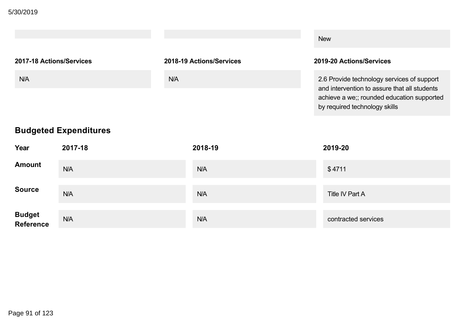|                          |                          | <b>New</b>                                                                                                                                                                |
|--------------------------|--------------------------|---------------------------------------------------------------------------------------------------------------------------------------------------------------------------|
| 2017-18 Actions/Services | 2018-19 Actions/Services | 2019-20 Actions/Services                                                                                                                                                  |
| N/A                      | <b>N/A</b>               | 2.6 Provide technology services of support<br>and intervention to assure that all students<br>achieve a we;; rounded education supported<br>by required technology skills |

## **Budgeted Expenditures**

| Year                        | 2017-18 | 2018-19 | 2019-20             |
|-----------------------------|---------|---------|---------------------|
| <b>Amount</b>               | N/A     | N/A     | \$4711              |
| <b>Source</b>               | N/A     | N/A     | Title IV Part A     |
| <b>Budget<br/>Reference</b> | N/A     | N/A     | contracted services |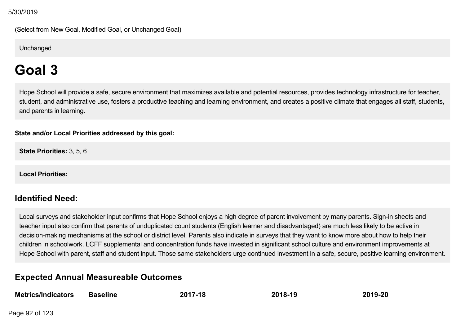(Select from New Goal, Modified Goal, or Unchanged Goal)

**Unchanged** 

# **Goal 3**

Hope School will provide a safe, secure environment that maximizes available and potential resources, provides technology infrastructure for teacher, student, and administrative use, fosters a productive teaching and learning environment, and creates a positive climate that engages all staff, students, and parents in learning.

#### **State and/or Local Priorities addressed by this goal:**

**State Priorities:** 3, 5, 6

**Local Priorities:**

## **Identified Need:**

Local surveys and stakeholder input confirms that Hope School enjoys a high degree of parent involvement by many parents. Sign-in sheets and teacher input also confirm that parents of unduplicated count students (English learner and disadvantaged) are much less likely to be active in decision-making mechanisms at the school or district level. Parents also indicate in surveys that they want to know more about how to help their children in schoolwork. LCFF supplemental and concentration funds have invested in significant school culture and environment improvements at Hope School with parent, staff and student input. Those same stakeholders urge continued investment in a safe, secure, positive learning environment.

## **Expected Annual Measureable Outcomes**

| <b>Metrics/Indicators</b> | <b>Baseline</b> | 2017-18 | 2018-19 | 2019-20 |
|---------------------------|-----------------|---------|---------|---------|
|                           |                 |         |         |         |

Page 92 of 123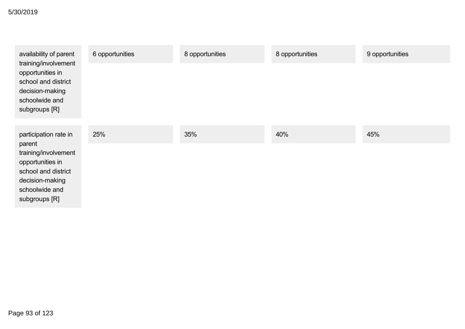| availability of parent                                                                                                          | 6 opportunities | 8 opportunities | 8 opportunities | 9 opportunities |
|---------------------------------------------------------------------------------------------------------------------------------|-----------------|-----------------|-----------------|-----------------|
| training/involvement<br>opportunities in<br>school and district<br>decision-making<br>schoolwide and<br>subgroups [R]           |                 |                 |                 |                 |
| participation rate in                                                                                                           | 25%             | 35%             | 40%             | 45%             |
| parent<br>training/involvement<br>opportunities in<br>school and district<br>decision-making<br>schoolwide and<br>subgroups [R] |                 |                 |                 |                 |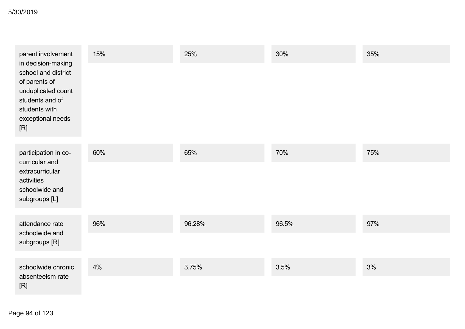| parent involvement                                                                                                                               | 15% | 25%    | 30%   | 35% |
|--------------------------------------------------------------------------------------------------------------------------------------------------|-----|--------|-------|-----|
| in decision-making<br>school and district<br>of parents of<br>unduplicated count<br>students and of<br>students with<br>exceptional needs<br>[R] |     |        |       |     |
| participation in co-<br>curricular and                                                                                                           | 60% | 65%    | 70%   | 75% |
| extracurricular<br>activities<br>schoolwide and<br>subgroups [L]                                                                                 |     |        |       |     |
| attendance rate                                                                                                                                  | 96% | 96.28% | 96.5% | 97% |
| schoolwide and<br>subgroups [R]                                                                                                                  |     |        |       |     |
| schoolwide chronic                                                                                                                               | 4%  | 3.75%  | 3.5%  | 3%  |
| absenteeism rate<br>[R]                                                                                                                          |     |        |       |     |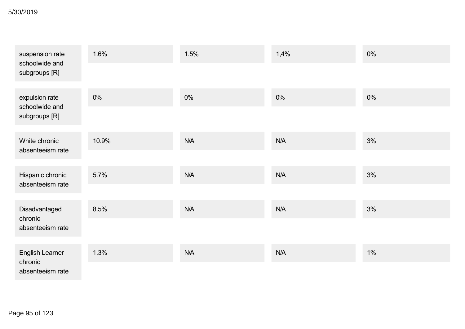#### schoolwide chronic 5/30/2019

| suspension rate<br>schoolwide and    | 1.6%  | 1.5%  | 1,4%  | 0%    |
|--------------------------------------|-------|-------|-------|-------|
| subgroups [R]                        |       |       |       |       |
| expulsion rate<br>schoolwide and     | $0\%$ | $0\%$ | $0\%$ | $0\%$ |
| subgroups [R]                        |       |       |       |       |
| White chronic                        | 10.9% | N/A   | N/A   | 3%    |
| absenteeism rate                     |       |       |       |       |
| Hispanic chronic<br>absenteeism rate | 5.7%  | N/A   | N/A   | 3%    |
|                                      |       |       |       |       |
| Disadvantaged<br>chronic             | 8.5%  | N/A   | N/A   | 3%    |
| absenteeism rate                     |       |       |       |       |
| <b>English Learner</b>               | 1.3%  | N/A   | N/A   | $1\%$ |
| chronic<br>absenteeism rate          |       |       |       |       |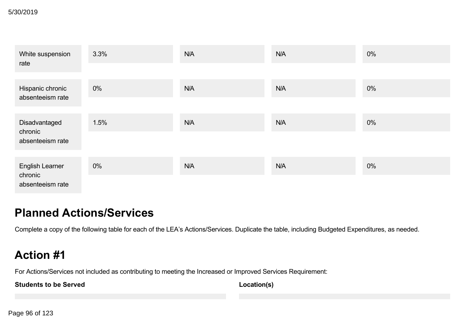| White suspension<br>rate             | 3.3%  | N/A | <b>N/A</b> | $0\%$ |
|--------------------------------------|-------|-----|------------|-------|
|                                      |       |     |            |       |
| Hispanic chronic<br>absenteeism rate | $0\%$ | N/A | <b>N/A</b> | $0\%$ |
|                                      |       |     |            |       |
| Disadvantaged                        | 1.5%  | N/A | <b>N/A</b> | $0\%$ |
| chronic<br>absenteeism rate          |       |     |            |       |
| <b>English Learner</b><br>chronic    | $0\%$ | N/A | <b>N/A</b> | 0%    |
| absenteeism rate                     |       |     |            |       |

# **Planned Actions/Services**

Complete a copy of the following table for each of the LEA's Actions/Services. Duplicate the table, including Budgeted Expenditures, as needed.

# **Action #1**

For Actions/Services not included as contributing to meeting the Increased or Improved Services Requirement:

**Students to be Served**

**Location(s)**

Page 96 of 123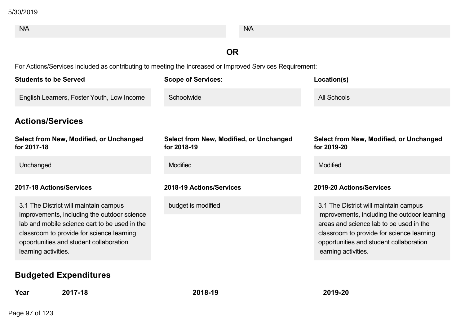| N/A                                                                                                                                                                                                                                                   | N/A                                                    |                                                                                                                                                                                                                                                  |
|-------------------------------------------------------------------------------------------------------------------------------------------------------------------------------------------------------------------------------------------------------|--------------------------------------------------------|--------------------------------------------------------------------------------------------------------------------------------------------------------------------------------------------------------------------------------------------------|
|                                                                                                                                                                                                                                                       | <b>OR</b>                                              |                                                                                                                                                                                                                                                  |
| For Actions/Services included as contributing to meeting the Increased or Improved Services Requirement:                                                                                                                                              |                                                        |                                                                                                                                                                                                                                                  |
| <b>Students to be Served</b>                                                                                                                                                                                                                          | <b>Scope of Services:</b>                              | Location(s)                                                                                                                                                                                                                                      |
| English Learners, Foster Youth, Low Income                                                                                                                                                                                                            | Schoolwide                                             | All Schools                                                                                                                                                                                                                                      |
| <b>Actions/Services</b>                                                                                                                                                                                                                               |                                                        |                                                                                                                                                                                                                                                  |
| Select from New, Modified, or Unchanged<br>for 2017-18                                                                                                                                                                                                | Select from New, Modified, or Unchanged<br>for 2018-19 | Select from New, Modified, or Unchanged<br>for 2019-20                                                                                                                                                                                           |
| Unchanged                                                                                                                                                                                                                                             | Modified                                               | Modified                                                                                                                                                                                                                                         |
| 2017-18 Actions/Services                                                                                                                                                                                                                              | 2018-19 Actions/Services                               | 2019-20 Actions/Services                                                                                                                                                                                                                         |
| 3.1 The District will maintain campus<br>improvements, including the outdoor science<br>lab and mobile science cart to be used in the<br>classroom to provide for science learning<br>opportunities and student collaboration<br>learning activities. | budget is modified                                     | 3.1 The District will maintain campus<br>improvements, including the outdoor learning<br>areas and science lab to be used in the<br>classroom to provide for science learning<br>opportunities and student collaboration<br>learning activities. |
| <b>Budgeted Expenditures</b>                                                                                                                                                                                                                          |                                                        |                                                                                                                                                                                                                                                  |

**Year 201718 201819 201920**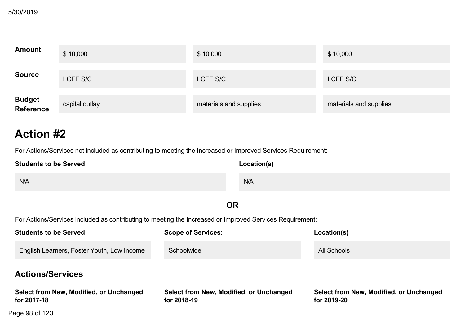| <b>Amount</b>               | \$10,000       | \$10,000               | \$10,000               |
|-----------------------------|----------------|------------------------|------------------------|
| <b>Source</b>               | LCFF S/C       | LCFF S/C               | LCFF S/C               |
| <b>Budget<br/>Reference</b> | capital outlay | materials and supplies | materials and supplies |

For Actions/Services not included as contributing to meeting the Increased or Improved Services Requirement:

| <b>Students to be Served</b> | Location(s) |
|------------------------------|-------------|
| N/A                          | N/A         |

### **OR**

For Actions/Services included as contributing to meeting the Increased or Improved Services Requirement:

 $U$  of  $\Omega$  and  $U$  and  $\Omega$  and  $\Omega$  and  $\Omega$  and  $\Omega$  and  $\Omega$  and  $\Omega$  and  $\Omega$  and  $\Omega$  and  $\Omega$  and  $\Omega$  and  $\Omega$  and  $\Omega$  and  $\Omega$  and  $\Omega$  and  $\Omega$  and  $\Omega$  and  $\Omega$  and  $\Omega$  and  $\Omega$  and  $\Omega$  and  $\Omega$  and  $\Omega$  and

| <b>Students to be Served</b>                           | <b>Scope of Services:</b>                              | Location(s)                                            |
|--------------------------------------------------------|--------------------------------------------------------|--------------------------------------------------------|
| English Learners, Foster Youth, Low Income             | Schoolwide                                             | All Schools                                            |
| <b>Actions/Services</b>                                |                                                        |                                                        |
| Select from New, Modified, or Unchanged<br>for 2017-18 | Select from New, Modified, or Unchanged<br>for 2018-19 | Select from New, Modified, or Unchanged<br>for 2019-20 |
| Page 98 of 123                                         |                                                        |                                                        |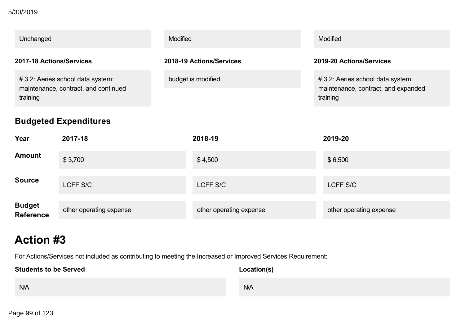#### **Select from New, Modified, or Unchanged** 5/30/2019

| Unchanged                                                                            | <b>Modified</b>          | Modified                                                                            |
|--------------------------------------------------------------------------------------|--------------------------|-------------------------------------------------------------------------------------|
| 2017-18 Actions/Services                                                             | 2018-19 Actions/Services | 2019-20 Actions/Services                                                            |
| #3.2: Aeries school data system:<br>maintenance, contract, and continued<br>training | budget is modified       | #3.2: Aeries school data system:<br>maintenance, contract, and expanded<br>training |

## **Budgeted Expenditures**

| Year                              | 2017-18                 | 2018-19                 | 2019-20                 |
|-----------------------------------|-------------------------|-------------------------|-------------------------|
| <b>Amount</b>                     | \$3,700                 | \$4,500                 | \$6,500                 |
| <b>Source</b>                     | LCFF S/C                | LCFF S/C                | LCFF S/C                |
| <b>Budget</b><br><b>Reference</b> | other operating expense | other operating expense | other operating expense |

# **Action #3**

For Actions/Services not included as contributing to meeting the Increased or Improved Services Requirement:

| <b>Students to be Served</b> | Location(s) |
|------------------------------|-------------|
| N/A                          | N/A         |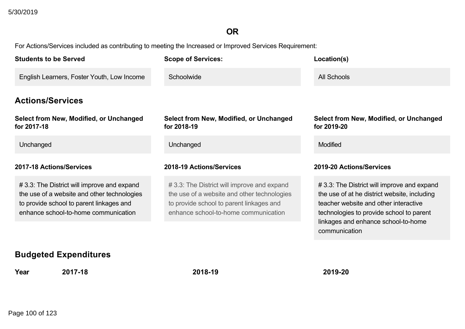## **OR**

For Actions/Services included as contributing to meeting the Increased or Improved Services Requirement:

| <b>Students to be Served</b>                                                                                                                                                  | <b>Scope of Services:</b>                                                                                                                                                     | Location(s)                                                                                                                                                                                                                             |
|-------------------------------------------------------------------------------------------------------------------------------------------------------------------------------|-------------------------------------------------------------------------------------------------------------------------------------------------------------------------------|-----------------------------------------------------------------------------------------------------------------------------------------------------------------------------------------------------------------------------------------|
| English Learners, Foster Youth, Low Income                                                                                                                                    | Schoolwide                                                                                                                                                                    | <b>All Schools</b>                                                                                                                                                                                                                      |
| <b>Actions/Services</b>                                                                                                                                                       |                                                                                                                                                                               |                                                                                                                                                                                                                                         |
| <b>Select from New, Modified, or Unchanged</b><br>for 2017-18                                                                                                                 | Select from New, Modified, or Unchanged<br>for 2018-19                                                                                                                        | <b>Select from New, Modified, or Unchanged</b><br>for 2019-20                                                                                                                                                                           |
| Unchanged                                                                                                                                                                     | Unchanged                                                                                                                                                                     | Modified                                                                                                                                                                                                                                |
| 2017-18 Actions/Services                                                                                                                                                      | 2018-19 Actions/Services                                                                                                                                                      | 2019-20 Actions/Services                                                                                                                                                                                                                |
| #3.3: The District will improve and expand<br>the use of a website and other technologies<br>to provide school to parent linkages and<br>enhance school-to-home communication | #3.3: The District will improve and expand<br>the use of a website and other technologies<br>to provide school to parent linkages and<br>enhance school-to-home communication | #3.3: The District will improve and expand<br>the use of at he district website, including<br>teacher website and other interactive<br>technologies to provide school to parent<br>linkages and enhance school-to-home<br>communication |
| <b>Rudantod Evnonditurne</b>                                                                                                                                                  |                                                                                                                                                                               |                                                                                                                                                                                                                                         |

### **Budgeted Expenditures**

**Year 201718 201819 201920**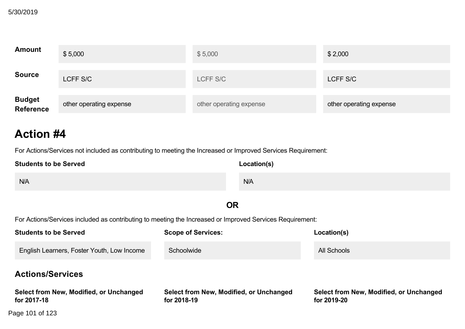| <b>Amount</b>               | \$5,000                 | \$5,000                 | \$2,000                 |
|-----------------------------|-------------------------|-------------------------|-------------------------|
| <b>Source</b>               | LCFF S/C                | LCFF S/C                | LCFF S/C                |
| <b>Budget<br/>Reference</b> | other operating expense | other operating expense | other operating expense |

For Actions/Services not included as contributing to meeting the Increased or Improved Services Requirement:

| <b>Students to be Served</b> | Location(s) |
|------------------------------|-------------|
| N/A                          | N/A         |

### **OR**

For Actions/Services included as contributing to meeting the Increased or Improved Services Requirement:

 $U$  of  $U$  and  $U$ 

| <b>Students to be Served</b>                           | <b>Scope of Services:</b>                              | Location(s)                                            |
|--------------------------------------------------------|--------------------------------------------------------|--------------------------------------------------------|
| English Learners, Foster Youth, Low Income             | Schoolwide                                             | All Schools                                            |
| <b>Actions/Services</b>                                |                                                        |                                                        |
| Select from New, Modified, or Unchanged<br>for 2017-18 | Select from New, Modified, or Unchanged<br>for 2018-19 | Select from New, Modified, or Unchanged<br>for 2019-20 |
| Page 101 of 123                                        |                                                        |                                                        |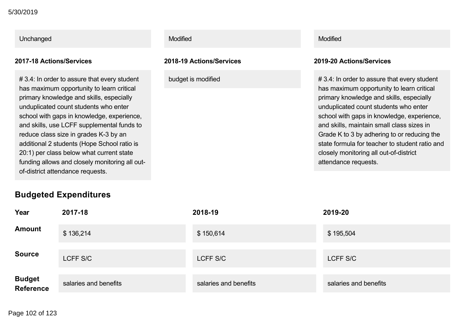#### **Select from New, Modified, or Unchanged** 5/30/2019

## Unchanged **Modified** Modified Modified **Modified** Modified Modified Modified Model and Modified Modified Modified

#3.4: In order to assure that every student has maximum opportunity to learn critical primary knowledge and skills, especially unduplicated count students who enter school with gaps in knowledge, experience, and skills, use LCFF supplemental funds to reduce class size in grades K-3 by an additional 2 students (Hope School ratio is 20:1) per class below what current state funding allows and closely monitoring all outof-district attendance requests.

#### **Budgeted Expenditures**

#### **201718 Actions/Services 201819 Actions/Services 201920 Actions/Services**

 $# 3.4:$  In order to assure that every student has maximum opportunity to learn critical primary knowledge and skills, especially unduplicated count students who enter school with gaps in knowledge, experience, and skills, maintain small class sizes in Grade K to 3 by adhering to or reducing the state formula for teacher to student ratio and closely monitoring all out-of-district attendance requests.

| Year                        | 2017-18               | 2018-19               | 2019-20               |
|-----------------------------|-----------------------|-----------------------|-----------------------|
| <b>Amount</b>               | \$136,214             | \$150,614             | \$195,504             |
| <b>Source</b>               | LCFF S/C              | LCFF S/C              | LCFF S/C              |
| <b>Budget<br/>Reference</b> | salaries and benefits | salaries and benefits | salaries and benefits |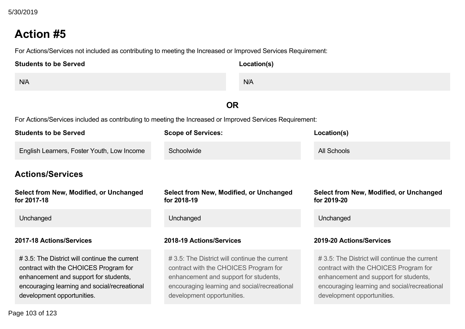For Actions/Services not included as contributing to meeting the Increased or Improved Services Requirement:

| <b>Students to be Served</b> | Location(s) |
|------------------------------|-------------|
| N/A                          | N/A         |

### **OR**

For Actions/Services included as contributing to meeting the Increased or Improved Services Requirement:

| <b>Students to be Served</b>                                                                                                                                                                                  | <b>Scope of Services:</b>                                                                                                                                                                                     | Location(s)                                                                                                                                                                                                   |  |
|---------------------------------------------------------------------------------------------------------------------------------------------------------------------------------------------------------------|---------------------------------------------------------------------------------------------------------------------------------------------------------------------------------------------------------------|---------------------------------------------------------------------------------------------------------------------------------------------------------------------------------------------------------------|--|
| English Learners, Foster Youth, Low Income                                                                                                                                                                    | Schoolwide                                                                                                                                                                                                    | All Schools                                                                                                                                                                                                   |  |
| <b>Actions/Services</b>                                                                                                                                                                                       |                                                                                                                                                                                                               |                                                                                                                                                                                                               |  |
| Select from New, Modified, or Unchanged<br>for 2017-18                                                                                                                                                        | Select from New, Modified, or Unchanged<br>for 2018-19                                                                                                                                                        | Select from New, Modified, or Unchanged<br>for 2019-20                                                                                                                                                        |  |
| Unchanged                                                                                                                                                                                                     | Unchanged                                                                                                                                                                                                     | Unchanged                                                                                                                                                                                                     |  |
| 2017-18 Actions/Services                                                                                                                                                                                      | 2018-19 Actions/Services                                                                                                                                                                                      | 2019-20 Actions/Services                                                                                                                                                                                      |  |
| # 3.5: The District will continue the current<br>contract with the CHOICES Program for<br>enhancement and support for students,<br>encouraging learning and social/recreational<br>development opportunities. | # 3.5: The District will continue the current<br>contract with the CHOICES Program for<br>enhancement and support for students,<br>encouraging learning and social/recreational<br>development opportunities. | # 3.5: The District will continue the current<br>contract with the CHOICES Program for<br>enhancement and support for students,<br>encouraging learning and social/recreational<br>development opportunities. |  |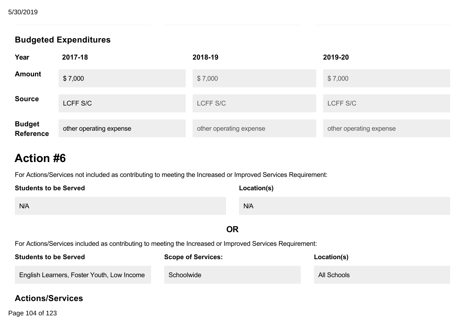## **Budgeted Expenditures**

| Year                        | 2017-18                 | 2018-19                 | 2019-20                 |
|-----------------------------|-------------------------|-------------------------|-------------------------|
| <b>Amount</b>               | \$7,000                 | \$7,000                 | \$7,000                 |
| <b>Source</b>               | LCFF S/C                | LCFF S/C                | LCFF S/C                |
| <b>Budget<br/>Reference</b> | other operating expense | other operating expense | other operating expense |

# **Action #6**

For Actions/Services not included as contributing to meeting the Increased or Improved Services Requirement:

| <b>Students to be Served</b>                                                                             | Location(s) |  |  |
|----------------------------------------------------------------------------------------------------------|-------------|--|--|
| N/A                                                                                                      | N/A         |  |  |
|                                                                                                          | <b>OR</b>   |  |  |
| For Actions/Services included as contributing to meeting the Increased or Improved Services Requirement: |             |  |  |

| <b>Students to be Served</b>               | <b>Scope of Services:</b> | Location(s) |
|--------------------------------------------|---------------------------|-------------|
| English Learners, Foster Youth, Low Income | Schoolwide                | All Schools |

### **Actions/Services**

Page 104 of 123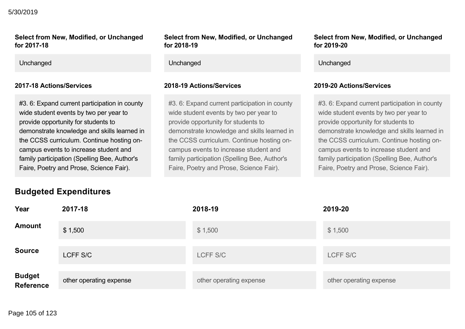#### 5/30/2019

#### **Select from New, Modified, or Unchanged** for 2017-18

#3. 6: Expand current participation in county wide student events by two per year to provide opportunity for students to demonstrate knowledge and skills learned in the CCSS curriculum. Continue hosting oncampus events to increase student and family participation (Spelling Bee, Author's Faire, Poetry and Prose, Science Fair).

#### **Select from New, Modified, or Unchanged** for 2018-19

Unchanged Unchanged Unchanged

#### **201718 Actions/Services 201819 Actions/Services 201920 Actions/Services**

#3. 6: Expand current participation in county wide student events by two per year to provide opportunity for students to demonstrate knowledge and skills learned in the CCSS curriculum. Continue hosting oncampus events to increase student and family participation (Spelling Bee, Author's Faire, Poetry and Prose, Science Fair).

#### **Select from New, Modified, or Unchanged for 201920**

#3. 6: Expand current participation in county wide student events by two per year to provide opportunity for students to demonstrate knowledge and skills learned in the CCSS curriculum. Continue hosting oncampus events to increase student and family participation (Spelling Bee, Author's Faire, Poetry and Prose, Science Fair).

### **Budgeted Expenditures**

| Year                        | 2017-18                 | 2018-19                 | 2019-20                 |
|-----------------------------|-------------------------|-------------------------|-------------------------|
| <b>Amount</b>               | \$1,500                 | \$1,500                 | \$1,500                 |
| <b>Source</b>               | LCFF S/C                | LCFF S/C                | LCFF S/C                |
| <b>Budget<br/>Reference</b> | other operating expense | other operating expense | other operating expense |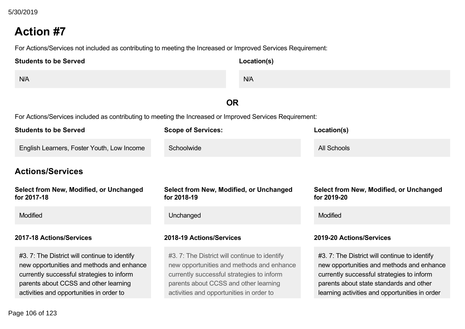For Actions/Services not included as contributing to meeting the Increased or Improved Services Requirement:

| <b>Students to be Served</b> | Location(s) |
|------------------------------|-------------|
| N/A                          | N/A         |

## **OR**

For Actions/Services included as contributing to meeting the Increased or Improved Services Requirement:

| <b>Students to be Served</b>                                                                                                                                                                                                | <b>Scope of Services:</b>                                                                                                                                                                                                   | Location(s)                                                                                                                                                                                                                         |
|-----------------------------------------------------------------------------------------------------------------------------------------------------------------------------------------------------------------------------|-----------------------------------------------------------------------------------------------------------------------------------------------------------------------------------------------------------------------------|-------------------------------------------------------------------------------------------------------------------------------------------------------------------------------------------------------------------------------------|
| English Learners, Foster Youth, Low Income                                                                                                                                                                                  | Schoolwide                                                                                                                                                                                                                  | All Schools                                                                                                                                                                                                                         |
| <b>Actions/Services</b>                                                                                                                                                                                                     |                                                                                                                                                                                                                             |                                                                                                                                                                                                                                     |
| Select from New, Modified, or Unchanged<br>for 2017-18                                                                                                                                                                      | Select from New, Modified, or Unchanged<br>for 2018-19                                                                                                                                                                      | <b>Select from New, Modified, or Unchanged</b><br>for 2019-20                                                                                                                                                                       |
| <b>Modified</b>                                                                                                                                                                                                             | Unchanged                                                                                                                                                                                                                   | <b>Modified</b>                                                                                                                                                                                                                     |
| 2017-18 Actions/Services                                                                                                                                                                                                    | 2018-19 Actions/Services                                                                                                                                                                                                    | 2019-20 Actions/Services                                                                                                                                                                                                            |
| #3.7: The District will continue to identify<br>new opportunities and methods and enhance<br>currently successful strategies to inform<br>parents about CCSS and other learning<br>activities and opportunities in order to | #3.7: The District will continue to identify<br>new opportunities and methods and enhance<br>currently successful strategies to inform<br>parents about CCSS and other learning<br>activities and opportunities in order to | #3.7: The District will continue to identify<br>new opportunities and methods and enhance<br>currently successful strategies to inform<br>parents about state standards and other<br>learning activities and opportunities in order |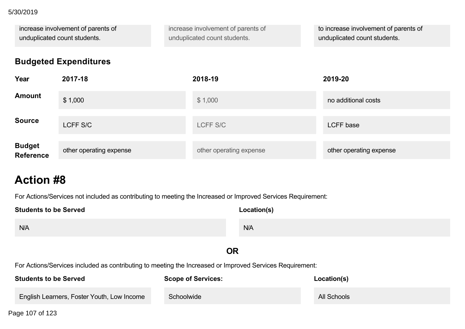#### parents about CCSS and other learning 5/30/2019

| increase involvement of parents of | increase involvement of parents of | to increase involvement of parents of |
|------------------------------------|------------------------------------|---------------------------------------|
| unduplicated count students.       | unduplicated count students.       | unduplicated count students.          |

## **Budgeted Expenditures**

| Year                        | 2017-18                 | 2018-19                 | 2019-20                 |
|-----------------------------|-------------------------|-------------------------|-------------------------|
| <b>Amount</b>               | \$1,000                 | \$1,000                 | no additional costs     |
| <b>Source</b>               | LCFF S/C                | LCFF S/C                | <b>LCFF</b> base        |
| <b>Budget<br/>Reference</b> | other operating expense | other operating expense | other operating expense |

# **Action #8**

For Actions/Services not included as contributing to meeting the Increased or Improved Services Requirement:

| <b>Students to be Served</b>                                                                             |                           | Location(s) |             |  |  |
|----------------------------------------------------------------------------------------------------------|---------------------------|-------------|-------------|--|--|
| N/A                                                                                                      |                           | N/A         |             |  |  |
| <b>OR</b>                                                                                                |                           |             |             |  |  |
| For Actions/Services included as contributing to meeting the Increased or Improved Services Requirement: |                           |             |             |  |  |
| <b>Students to be Served</b>                                                                             | <b>Scope of Services:</b> |             | Location(s) |  |  |
| English Learners, Foster Youth, Low Income                                                               | Schoolwide                |             | All Schools |  |  |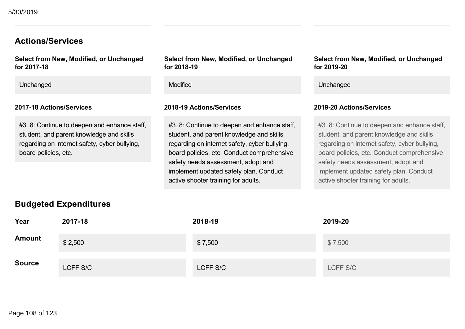#### **Actions/Services**

**Select from New, Modified, or Unchanged** for 2017-18

Unchanged **Modified** Changed Unchanged Changed Modified Changed Unchanged Unchanged Unchanged

#### **201718 Actions/Services 201819 Actions/Services 201920 Actions/Services**

#3. 8: Continue to deepen and enhance staff, student, and parent knowledge and skills regarding on internet safety, cyber bullying, board policies, etc.

**Select from New, Modified, or Unchanged for 201819**

#3. 8: Continue to deepen and enhance staff, student, and parent knowledge and skills regarding on internet safety, cyber bullying, board policies, etc. Conduct comprehensive safety needs assessment, adopt and implement updated safety plan. Conduct active shooter training for adults.

#### **Select from New, Modified, or Unchanged for 201920**

#3. 8: Continue to deepen and enhance staff, student, and parent knowledge and skills regarding on internet safety, cyber bullying, board policies, etc. Conduct comprehensive safety needs assessment, adopt and implement updated safety plan. Conduct active shooter training for adults.

| <b>Budgeted Expenditures</b> |          |          |          |  |  |
|------------------------------|----------|----------|----------|--|--|
| Year                         | 2017-18  | 2018-19  | 2019-20  |  |  |
| <b>Amount</b>                | \$2,500  | \$7,500  | \$7,500  |  |  |
| <b>Source</b>                | LCFF S/C | LCFF S/C | LCFF S/C |  |  |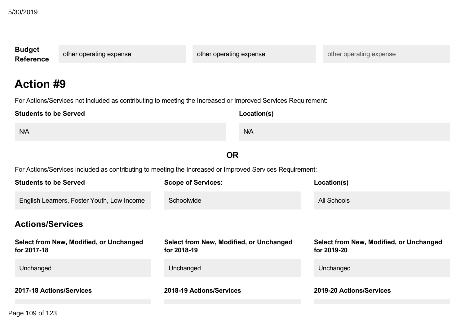| <b>Budget</b><br><b>Reference</b>                                                                        | other operating expense                                                                                      |                                                        | other operating expense | other operating expense                                |  |  |  |
|----------------------------------------------------------------------------------------------------------|--------------------------------------------------------------------------------------------------------------|--------------------------------------------------------|-------------------------|--------------------------------------------------------|--|--|--|
|                                                                                                          | <b>Action #9</b>                                                                                             |                                                        |                         |                                                        |  |  |  |
|                                                                                                          | For Actions/Services not included as contributing to meeting the Increased or Improved Services Requirement: |                                                        |                         |                                                        |  |  |  |
| <b>Students to be Served</b>                                                                             |                                                                                                              |                                                        | Location(s)             |                                                        |  |  |  |
| N/A                                                                                                      |                                                                                                              |                                                        | N/A                     |                                                        |  |  |  |
|                                                                                                          |                                                                                                              |                                                        | <b>OR</b>               |                                                        |  |  |  |
| For Actions/Services included as contributing to meeting the Increased or Improved Services Requirement: |                                                                                                              |                                                        |                         |                                                        |  |  |  |
| <b>Students to be Served</b>                                                                             |                                                                                                              | <b>Scope of Services:</b>                              |                         | Location(s)                                            |  |  |  |
| English Learners, Foster Youth, Low Income<br>Schoolwide                                                 |                                                                                                              |                                                        |                         | <b>All Schools</b>                                     |  |  |  |
| <b>Actions/Services</b>                                                                                  |                                                                                                              |                                                        |                         |                                                        |  |  |  |
| for 2017-18                                                                                              | Select from New, Modified, or Unchanged                                                                      | Select from New, Modified, or Unchanged<br>for 2018-19 |                         | Select from New, Modified, or Unchanged<br>for 2019-20 |  |  |  |
| Unchanged                                                                                                |                                                                                                              | Unchanged                                              |                         | Unchanged                                              |  |  |  |
| 2017-18 Actions/Services                                                                                 |                                                                                                              | 2018-19 Actions/Services                               |                         | 2019-20 Actions/Services                               |  |  |  |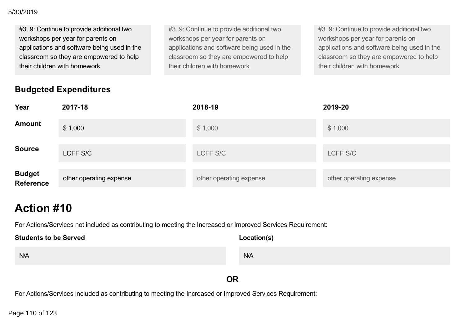#### **201718 Actions/Services 201819 Actions/Services 201920 Actions/Services** 5/30/2019

| #3. 9: Continue to provide additional two   | #3. 9: Continue to provide additional two   | #3. 9: Continue to provide additional two   |
|---------------------------------------------|---------------------------------------------|---------------------------------------------|
| workshops per year for parents on           | workshops per year for parents on           | workshops per year for parents on           |
| applications and software being used in the | applications and software being used in the | applications and software being used in the |
| classroom so they are empowered to help     | classroom so they are empowered to help     | classroom so they are empowered to help     |
| their children with homework                | their children with homework                | their children with homework                |

## **Budgeted Expenditures**

|               | $\sim$ and $\sim$ and $\sim$ and $\sim$ and $\sim$ and $\sim$ and $\sim$ and $\sim$ and $\sim$ and $\sim$ and $\sim$ and $\sim$ |
|---------------|---------------------------------------------------------------------------------------------------------------------------------|
| wered to help | classroom so they are empowered to help                                                                                         |
|               | their children with homework                                                                                                    |
|               |                                                                                                                                 |
|               |                                                                                                                                 |
|               |                                                                                                                                 |
|               |                                                                                                                                 |
|               |                                                                                                                                 |
|               |                                                                                                                                 |

| Year                              | 2017-18                 | 2018-19                 | 2019-20                 |
|-----------------------------------|-------------------------|-------------------------|-------------------------|
| <b>Amount</b>                     | \$1,000                 | \$1,000                 | \$1,000                 |
| <b>Source</b>                     | LCFF S/C                | LCFF S/C                | LCFF S/C                |
| <b>Budget</b><br><b>Reference</b> | other operating expense | other operating expense | other operating expense |

## **Action #10**

For Actions/Services not included as contributing to meeting the Increased or Improved Services Requirement:

| <b>Students to be Served</b> | Location(s) |
|------------------------------|-------------|
| N/A                          | N/A         |

## **OR**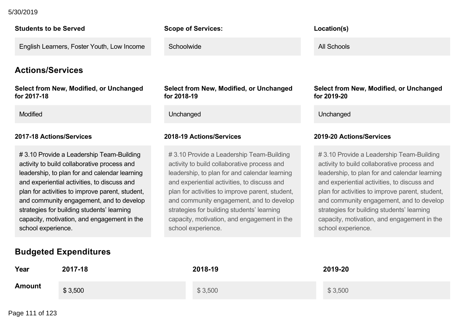#### $F_{\text{C}}$  as contributing to meeting the Increased or Improved Services Requirement: 5/30/2019

#### **Students to be Served**

English Learners, Foster Youth, Low Income

### **Actions/Services**

**Select from New, Modified, or Unchanged for 201718**

# 3.10 Provide a Leadership Team-Building activity to build collaborative process and leadership, to plan for and calendar learning and experiential activities, to discuss and plan for activities to improve parent, student, and community engagement, and to develop strategies for building students' learning capacity, motivation, and engagement in the school experience.

### **Scope of Services:**

**Schoolwide** 

**Select from New, Modified, or Unchanged for 201819**

Modified **Unchanged** Unchanged Unchanged Unchanged Unchanged Unchanged Unchanged

# 3.10 Provide a Leadership Team-Building activity to build collaborative process and leadership, to plan for and calendar learning and experiential activities, to discuss and plan for activities to improve parent, student, and community engagement, and to develop strategies for building students' learning capacity, motivation, and engagement in the school experience.

#### **Location(s)**

All Schools

**Select from New, Modified, or Unchanged for 201920**

#### **201718 Actions/Services 201819 Actions/Services 201920 Actions/Services**

# 3.10 Provide a Leadership Team-Building activity to build collaborative process and leadership, to plan for and calendar learning and experiential activities, to discuss and plan for activities to improve parent, student, and community engagement, and to develop strategies for building students' learning capacity, motivation, and engagement in the school experience.

## **Budgeted Expenditures**

| Year          | 2017-18 | 2018-19 | 2019-20 |
|---------------|---------|---------|---------|
| <b>Amount</b> | \$3,500 | \$3,500 | \$3,500 |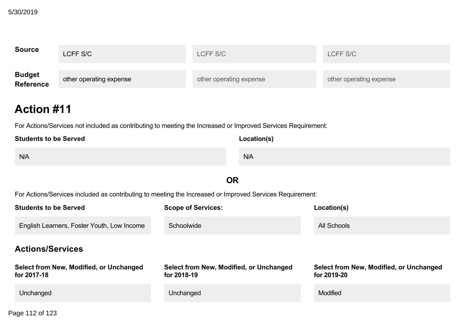| <b>Source</b>                     | LCFF S/C                | LCFF S/C                | LCFF S/C                |
|-----------------------------------|-------------------------|-------------------------|-------------------------|
| <b>Budget</b><br><b>Reference</b> | other operating expense | other operating expense | other operating expense |

## **Action #11**

For Actions/Services not included as contributing to meeting the Increased or Improved Services Requirement:

| <b>Students to be Served</b> | Location(s) |
|------------------------------|-------------|
| N/A                          | N/A         |

## **OR**

| <b>Students to be Served</b>                           | <b>Scope of Services:</b>                              | Location(s)                                            |
|--------------------------------------------------------|--------------------------------------------------------|--------------------------------------------------------|
| English Learners, Foster Youth, Low Income             | Schoolwide                                             | All Schools                                            |
| <b>Actions/Services</b>                                |                                                        |                                                        |
| Select from New, Modified, or Unchanged<br>for 2017-18 | Select from New, Modified, or Unchanged<br>for 2018-19 | Select from New, Modified, or Unchanged<br>for 2019-20 |
| Unchanged                                              | Unchanged                                              | <b>Modified</b>                                        |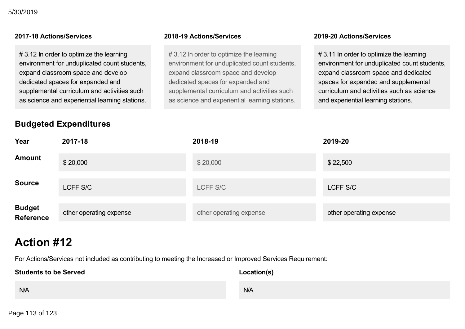# 3.12 In order to optimize the learning environment for unduplicated count students, expand classroom space and develop dedicated spaces for expanded and supplemental curriculum and activities such as science and experiential learning stations.

## **Budgeted Expenditures**

# 3.12 In order to optimize the learning environment for unduplicated count students, expand classroom space and develop dedicated spaces for expanded and supplemental curriculum and activities such as science and experiential learning stations.

#### **201718 Actions/Services 201819 Actions/Services 201920 Actions/Services**

# 3.11 In order to optimize the learning environment for unduplicated count students, expand classroom space and dedicated spaces for expanded and supplemental curriculum and activities such as science and experiential learning stations.

| Year                              | 2017-18                 | 2018-19                 | 2019-20                 |
|-----------------------------------|-------------------------|-------------------------|-------------------------|
| <b>Amount</b>                     | \$20,000                | \$20,000                | \$22,500                |
| <b>Source</b>                     | LCFF S/C                | LCFF S/C                | LCFF S/C                |
| <b>Budget</b><br><b>Reference</b> | other operating expense | other operating expense | other operating expense |

## **Action #12**

| <b>Students to be Served</b> | Location(s) |
|------------------------------|-------------|
| N/A                          | N/A         |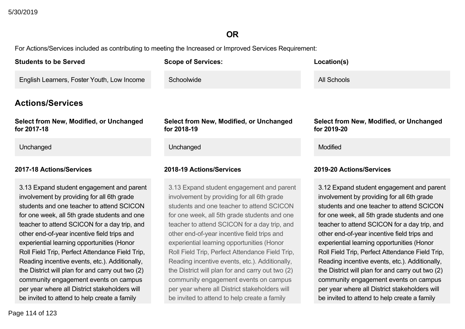## **OR**

| <b>Students to be Served</b>                                                                                                                                                                                                                                                                                                                                                                                                                                                                                                                                                                                                                            | <b>Scope of Services:</b>                                                                                                                                                                                                                                                                                                                                                                                                                                                                                                                                                                                                            | Location(s)                                                                                                                                                                                                                                                                                                                                                                                                                                                                                                                                                                                                                          |
|---------------------------------------------------------------------------------------------------------------------------------------------------------------------------------------------------------------------------------------------------------------------------------------------------------------------------------------------------------------------------------------------------------------------------------------------------------------------------------------------------------------------------------------------------------------------------------------------------------------------------------------------------------|--------------------------------------------------------------------------------------------------------------------------------------------------------------------------------------------------------------------------------------------------------------------------------------------------------------------------------------------------------------------------------------------------------------------------------------------------------------------------------------------------------------------------------------------------------------------------------------------------------------------------------------|--------------------------------------------------------------------------------------------------------------------------------------------------------------------------------------------------------------------------------------------------------------------------------------------------------------------------------------------------------------------------------------------------------------------------------------------------------------------------------------------------------------------------------------------------------------------------------------------------------------------------------------|
| English Learners, Foster Youth, Low Income                                                                                                                                                                                                                                                                                                                                                                                                                                                                                                                                                                                                              | Schoolwide                                                                                                                                                                                                                                                                                                                                                                                                                                                                                                                                                                                                                           | <b>All Schools</b>                                                                                                                                                                                                                                                                                                                                                                                                                                                                                                                                                                                                                   |
| <b>Actions/Services</b>                                                                                                                                                                                                                                                                                                                                                                                                                                                                                                                                                                                                                                 |                                                                                                                                                                                                                                                                                                                                                                                                                                                                                                                                                                                                                                      |                                                                                                                                                                                                                                                                                                                                                                                                                                                                                                                                                                                                                                      |
| Select from New, Modified, or Unchanged<br>for 2017-18                                                                                                                                                                                                                                                                                                                                                                                                                                                                                                                                                                                                  | Select from New, Modified, or Unchanged<br>for 2018-19                                                                                                                                                                                                                                                                                                                                                                                                                                                                                                                                                                               | Select from New, Modified, or Unchanged<br>for 2019-20                                                                                                                                                                                                                                                                                                                                                                                                                                                                                                                                                                               |
| Unchanged                                                                                                                                                                                                                                                                                                                                                                                                                                                                                                                                                                                                                                               | Unchanged                                                                                                                                                                                                                                                                                                                                                                                                                                                                                                                                                                                                                            | <b>Modified</b>                                                                                                                                                                                                                                                                                                                                                                                                                                                                                                                                                                                                                      |
| 2017-18 Actions/Services                                                                                                                                                                                                                                                                                                                                                                                                                                                                                                                                                                                                                                | 2018-19 Actions/Services                                                                                                                                                                                                                                                                                                                                                                                                                                                                                                                                                                                                             | 2019-20 Actions/Services                                                                                                                                                                                                                                                                                                                                                                                                                                                                                                                                                                                                             |
| 3.13 Expand student engagement and parent<br>involvement by providing for all 6th grade<br>students and one teacher to attend SCICON<br>for one week, all 5th grade students and one<br>teacher to attend SCICON for a day trip, and<br>other end-of-year incentive field trips and<br>experiential learning opportunities (Honor<br>Roll Field Trip, Perfect Attendance Field Trip,<br>Reading incentive events, etc.). Additionally,<br>the District will plan for and carry out two (2)<br>community engagement events on campus<br>per year where all District stakeholders will<br>be invited to attend to help create a family<br>Page 114 of 123 | 3.13 Expand student engagement and parent<br>involvement by providing for all 6th grade<br>students and one teacher to attend SCICON<br>for one week, all 5th grade students and one<br>teacher to attend SCICON for a day trip, and<br>other end-of-year incentive field trips and<br>experiential learning opportunities (Honor<br>Roll Field Trip, Perfect Attendance Field Trip,<br>Reading incentive events, etc.). Additionally,<br>the District will plan for and carry out two (2)<br>community engagement events on campus<br>per year where all District stakeholders will<br>be invited to attend to help create a family | 3.12 Expand student engagement and parent<br>involvement by providing for all 6th grade<br>students and one teacher to attend SCICON<br>for one week, all 5th grade students and one<br>teacher to attend SCICON for a day trip, and<br>other end-of-year incentive field trips and<br>experiential learning opportunities (Honor<br>Roll Field Trip, Perfect Attendance Field Trip,<br>Reading incentive events, etc.). Additionally,<br>the District will plan for and carry out two (2)<br>community engagement events on campus<br>per year where all District stakeholders will<br>be invited to attend to help create a family |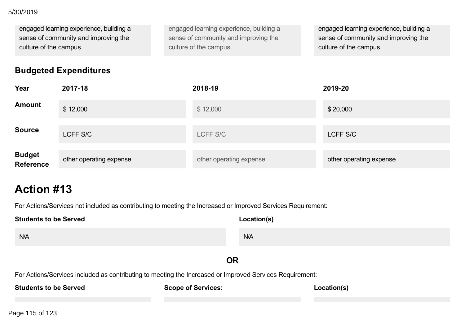### per year where all District stakeholders will 5/30/2019

engaged learning experience, building a sense of community and improving the culture of the campus.

engaged learning experience, building a sense of community and improving the culture of the campus.

engaged learning experience, building a sense of community and improving the culture of the campus.

## **Budgeted Expenditures**

| Year                | 2017-18                 | 2018-19                 | 2019-20                 |
|---------------------|-------------------------|-------------------------|-------------------------|
| Amount              | \$12,000                | \$12,000                | \$20,000                |
| <b>Source</b>       | LCFF S/C                | LCFF S/C                | LCFF S/C                |
| Budget<br>Reference | other operating expense | other operating expense | other operating expense |

## **Action #13**

For Actions/Services not included as contributing to meeting the Increased or Improved Services Requirement:

| <b>Students to be Served</b>                                                                             | Location(s)               |             |  |
|----------------------------------------------------------------------------------------------------------|---------------------------|-------------|--|
| N/A                                                                                                      | N/A                       |             |  |
| <b>OR</b>                                                                                                |                           |             |  |
| For Actions/Services included as contributing to meeting the Increased or Improved Services Requirement: |                           |             |  |
| <b>Students to be Served</b>                                                                             | <b>Scope of Services:</b> | Location(s) |  |

Page 115 of 123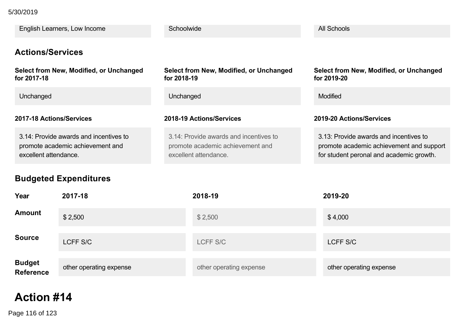**Students to be Served** 5/30/2019

| English Learners, Low Income                                                                        | Schoolwide                                                                                          | All Schools                                                                                                                    |
|-----------------------------------------------------------------------------------------------------|-----------------------------------------------------------------------------------------------------|--------------------------------------------------------------------------------------------------------------------------------|
| <b>Actions/Services</b>                                                                             |                                                                                                     |                                                                                                                                |
| Select from New, Modified, or Unchanged<br>for 2017-18                                              | Select from New, Modified, or Unchanged<br>for 2018-19                                              | <b>Select from New, Modified, or Unchanged</b><br>for 2019-20                                                                  |
| Unchanged                                                                                           | Unchanged                                                                                           | Modified                                                                                                                       |
| 2017-18 Actions/Services                                                                            | 2018-19 Actions/Services                                                                            | 2019-20 Actions/Services                                                                                                       |
| 3.14: Provide awards and incentives to<br>promote academic achievement and<br>excellent attendance. | 3.14: Provide awards and incentives to<br>promote academic achievement and<br>excellent attendance. | 3.13: Provide awards and incentives to<br>promote academic achievement and support<br>for student peronal and academic growth. |
| <b>Budgeted Expenditures</b>                                                                        |                                                                                                     |                                                                                                                                |

| Year                        | 2017-18                 | 2018-19                 | 2019-20                 |
|-----------------------------|-------------------------|-------------------------|-------------------------|
| <b>Amount</b>               | \$2,500                 | \$2,500                 | \$4,000                 |
| <b>Source</b>               | LCFF S/C                | LCFF S/C                | LCFF S/C                |
| <b>Budget<br/>Reference</b> | other operating expense | other operating expense | other operating expense |

## **Action #14**

Page 116 of 123 **Page 116 of Increased or Improved Services Requirement:** Page 116 of Increased Services Requirement: **Page 116 of Increased Services Requirement:** Page 116 of Increased Services Requirement: **Page 116 of I**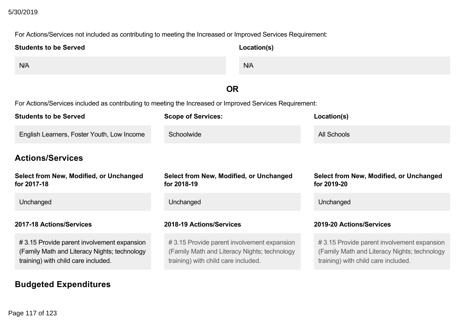#### **Action Action Action** 5/30/2019

For Actions/Services not included as contributing to meeting the Increased or Improved Services Requirement:

| <b>Students to be Served</b>                                                                                                      | Location(s)                                                                                                                       |                                                                                                                                   |
|-----------------------------------------------------------------------------------------------------------------------------------|-----------------------------------------------------------------------------------------------------------------------------------|-----------------------------------------------------------------------------------------------------------------------------------|
| N/A                                                                                                                               | N/A                                                                                                                               |                                                                                                                                   |
|                                                                                                                                   | <b>OR</b>                                                                                                                         |                                                                                                                                   |
| For Actions/Services included as contributing to meeting the Increased or Improved Services Requirement:                          |                                                                                                                                   |                                                                                                                                   |
| <b>Students to be Served</b>                                                                                                      | <b>Scope of Services:</b>                                                                                                         | Location(s)                                                                                                                       |
| English Learners, Foster Youth, Low Income                                                                                        | Schoolwide                                                                                                                        | <b>All Schools</b>                                                                                                                |
| <b>Actions/Services</b>                                                                                                           |                                                                                                                                   |                                                                                                                                   |
| Select from New, Modified, or Unchanged<br>for 2017-18                                                                            | Select from New, Modified, or Unchanged<br>for 2018-19                                                                            | Select from New, Modified, or Unchanged<br>for 2019-20                                                                            |
| Unchanged                                                                                                                         | Unchanged                                                                                                                         | Unchanged                                                                                                                         |
| 2017-18 Actions/Services<br>2018-19 Actions/Services                                                                              |                                                                                                                                   | 2019-20 Actions/Services                                                                                                          |
| #3.15 Provide parent involvement expansion<br>(Family Math and Literacy Nights; technology<br>training) with child care included. | #3.15 Provide parent involvement expansion<br>(Family Math and Literacy Nights; technology<br>training) with child care included. | #3.15 Provide parent involvement expansion<br>(Family Math and Literacy Nights; technology<br>training) with child care included. |

**Budgeted Expenditures**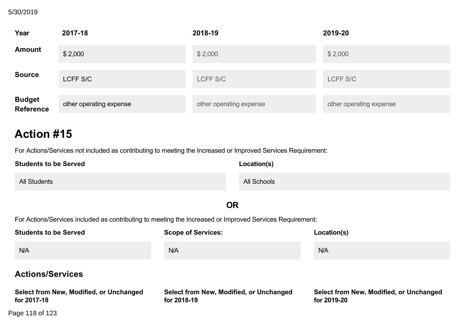## **Budgeted Expenditures** 5/30/2019

| Year                        | 2017-18                 | 2018-19                 | 2019-20                 |
|-----------------------------|-------------------------|-------------------------|-------------------------|
| <b>Amount</b>               | \$2,000                 | \$2,000                 | \$2,000                 |
| <b>Source</b>               | LCFF S/C                | LCFF S/C                | LCFF S/C                |
| <b>Budget<br/>Reference</b> | other operating expense | other operating expense | other operating expense |

## **Action #15**

For Actions/Services not included as contributing to meeting the Increased or Improved Services Requirement:

| <b>Students to be Served</b> | Location(s) |
|------------------------------|-------------|
| <b>All Students</b>          | All Schools |

## **OR**

| <b>Students to be Served</b>                           | <b>Scope of Services:</b>                              | Location(s)                                            |
|--------------------------------------------------------|--------------------------------------------------------|--------------------------------------------------------|
| N/A                                                    | N/A                                                    | N/A                                                    |
| <b>Actions/Services</b>                                |                                                        |                                                        |
| Select from New, Modified, or Unchanged<br>for 2017-18 | Select from New, Modified, or Unchanged<br>for 2018-19 | Select from New, Modified, or Unchanged<br>for 2019-20 |
| Page 118 of 123                                        |                                                        |                                                        |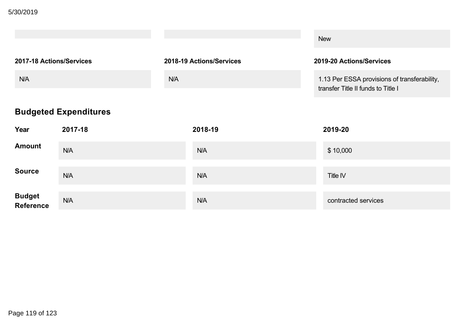|                          |                          | <b>New</b>                                                                         |
|--------------------------|--------------------------|------------------------------------------------------------------------------------|
| 2017-18 Actions/Services | 2018-19 Actions/Services | 2019-20 Actions/Services                                                           |
| N/A                      | N/A                      | 1.13 Per ESSA provisions of transferability,<br>transfer Title II funds to Title I |

## **Budgeted Expenditures**

| Year                        | 2017-18 | 2018-19 | 2019-20             |
|-----------------------------|---------|---------|---------------------|
| <b>Amount</b>               | N/A     | N/A     | \$10,000            |
| <b>Source</b>               | N/A     | N/A     | Title IV            |
| <b>Budget<br/>Reference</b> | N/A     | N/A     | contracted services |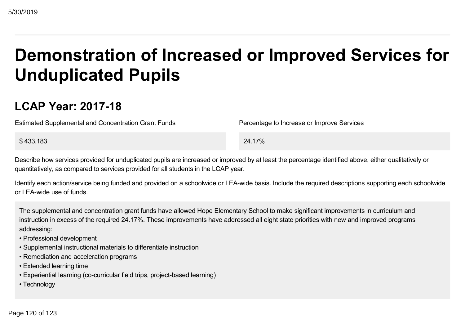# **Demonstration of Increased or Improved Services for Unduplicated Pupils**

## **LCAP Year: 201718**

Estimated Supplemental and Concentration Grant Funds Percentage to Increase or Improve Services

 $$433,183$  24.17%

Describe how services provided for unduplicated pupils are increased or improved by at least the percentage identified above, either qualitatively or quantitatively, as compared to services provided for all students in the LCAP year.

Identify each action/service being funded and provided on a schoolwide or LEA-wide basis. Include the required descriptions supporting each schoolwide or LEAwide use of funds.

The supplemental and concentration grant funds have allowed Hope Elementary School to make significant improvements in curriculum and instruction in excess of the required 24.17%. These improvements have addressed all eight state priorities with new and improved programs addressing:

- Professional development
- Supplemental instructional materials to differentiate instruction
- Remediation and acceleration programs
- Extended learning time
- Experiential learning (co-curricular field trips, project-based learning)
- Technology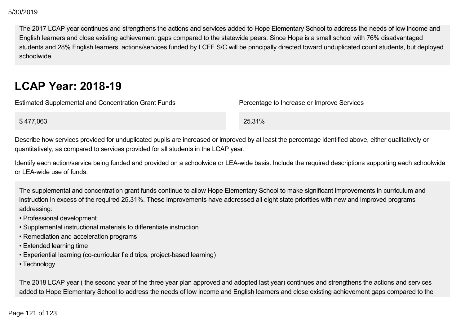The 2017 LCAP year continues and strengthens the actions and services added to Hope Elementary School to address the needs of low income and English learners and close existing achievement gaps compared to the statewide peers. Since Hope is a small school with 76% disadvantaged students and 28% English learners, actions/services funded by LCFF S/C will be principally directed toward unduplicated count students, but deployed schoolwide.

## **LCAP Year: 201819**

| <b>Estimated Supplemental and Concentration Grant Funds</b> | Percentage to Increase or Improve Services |
|-------------------------------------------------------------|--------------------------------------------|
| \$477,063                                                   | 25.31%                                     |
|                                                             |                                            |

Describe how services provided for unduplicated pupils are increased or improved by at least the percentage identified above, either qualitatively or quantitatively, as compared to services provided for all students in the LCAP year.

Identify each action/service being funded and provided on a schoolwide or LEA-wide basis. Include the required descriptions supporting each schoolwide or LEAwide use of funds.

The supplemental and concentration grant funds continue to allow Hope Elementary School to make significant improvements in curriculum and instruction in excess of the required 25.31%. These improvements have addressed all eight state priorities with new and improved programs addressing:

- Professional development
- Supplemental instructional materials to differentiate instruction
- Remediation and acceleration programs
- Extended learning time
- Experiential learning (co-curricular field trips, project-based learning)
- Technology

The 2018 LCAP year ( the second year of the three year plan approved and adopted last year) continues and strengthens the actions and services added to Hope Elementary School to address the needs of low income and English learners and close existing achievement gaps compared to the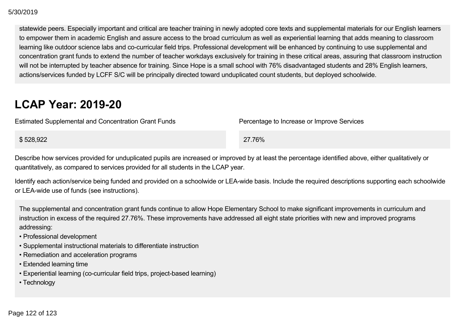### $5/2019$

statewide peers. Especially important and critical are teacher training in newly adopted core texts and supplemental materials for our English learners to empower them in academic English and assure access to the broad curriculum as well as experiential learning that adds meaning to classroom learning like outdoor science labs and co-curricular field trips. Professional development will be enhanced by continuing to use supplemental and concentration grant funds to extend the number of teacher workdays exclusively for training in these critical areas, assuring that classroom instruction will not be interrupted by teacher absence for training. Since Hope is a small school with 76% disadvantaged students and 28% English learners, actions/services funded by LCFF S/C will be principally directed toward unduplicated count students, but deployed schoolwide. 33022019<br>
statewide poets. Especially important and critical are teacher training in newly adopted core texts are superiored in a material of the product students, Productions of the productions for the productions of the

## **LCAP Year: 2019-20**

Estimated Supplemental and Concentration Grant Funds Percentage to Increase or Improve Services

\$ 528,922 27.76%

Describe how services provided for unduplicated pupils are increased or improved by at least the percentage identified above, either qualitatively or quantitatively, as compared to services provided for all students in the LCAP year.

Identify each action/service being funded and provided on a schoolwide or LEA-wide basis. Include the required descriptions supporting each schoolwide or LEA-wide use of funds (see instructions).

The supplemental and concentration grant funds continue to allow Hope Elementary School to make significant improvements in curriculum and instruction in excess of the required 27.76%. These improvements have addressed all eight state priorities with new and improved programs addressing:

- Professional development
- Supplemental instructional materials to differentiate instruction
- Remediation and acceleration programs
- Extended learning time
- Experiential learning (co-curricular field trips, project-based learning)
- Technology